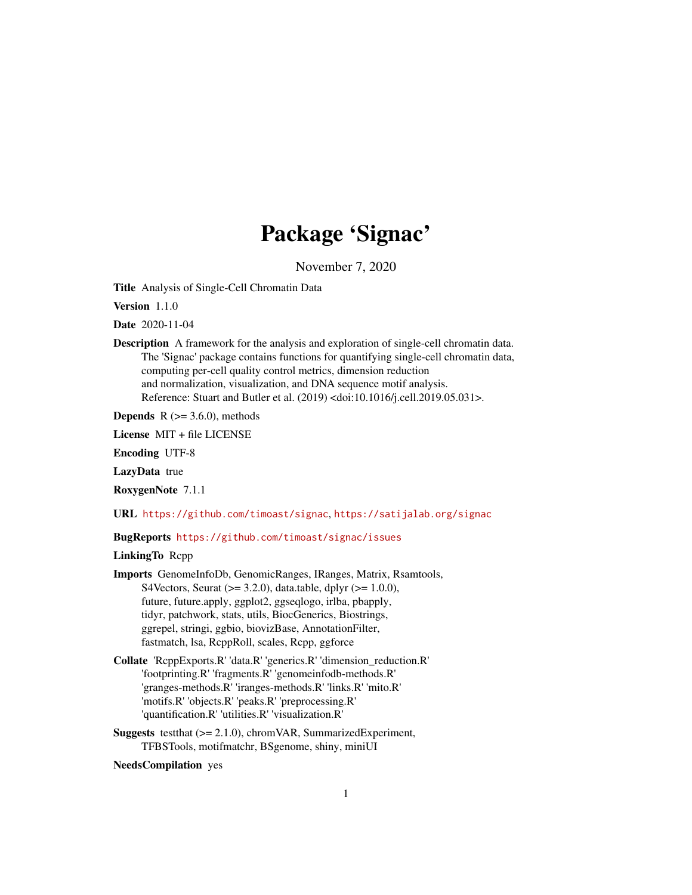# Package 'Signac'

November 7, 2020

<span id="page-0-0"></span>Title Analysis of Single-Cell Chromatin Data

Version 1.1.0

Date 2020-11-04

Description A framework for the analysis and exploration of single-cell chromatin data. The 'Signac' package contains functions for quantifying single-cell chromatin data, computing per-cell quality control metrics, dimension reduction and normalization, visualization, and DNA sequence motif analysis. Reference: Stuart and Butler et al. (2019) <doi:10.1016/j.cell.2019.05.031>.

**Depends** R  $(>= 3.6.0)$ , methods

License MIT + file LICENSE

Encoding UTF-8

LazyData true

RoxygenNote 7.1.1

URL <https://github.com/timoast/signac>, <https://satijalab.org/signac>

BugReports <https://github.com/timoast/signac/issues>

### LinkingTo Rcpp

- Imports GenomeInfoDb, GenomicRanges, IRanges, Matrix, Rsamtools, S4Vectors, Seurat ( $> = 3.2.0$ ), data.table, dplyr ( $> = 1.0.0$ ), future, future.apply, ggplot2, ggseqlogo, irlba, pbapply, tidyr, patchwork, stats, utils, BiocGenerics, Biostrings, ggrepel, stringi, ggbio, biovizBase, AnnotationFilter, fastmatch, lsa, RcppRoll, scales, Rcpp, ggforce
- Collate 'RcppExports.R' 'data.R' 'generics.R' 'dimension\_reduction.R' 'footprinting.R' 'fragments.R' 'genomeinfodb-methods.R' 'granges-methods.R' 'iranges-methods.R' 'links.R' 'mito.R' 'motifs.R' 'objects.R' 'peaks.R' 'preprocessing.R' 'quantification.R' 'utilities.R' 'visualization.R'
- Suggests testthat (>= 2.1.0), chromVAR, SummarizedExperiment, TFBSTools, motifmatchr, BSgenome, shiny, miniUI

### NeedsCompilation yes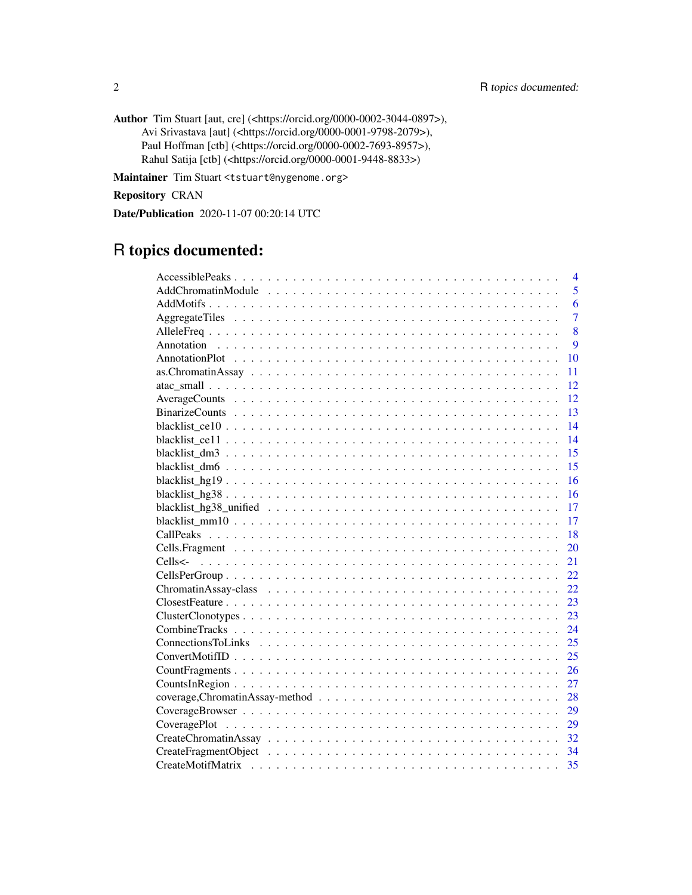Author Tim Stuart [aut, cre] (<https://orcid.org/0000-0002-3044-0897>), Avi Srivastava [aut] (<https://orcid.org/0000-0001-9798-2079>), Paul Hoffman [ctb] (<https://orcid.org/0000-0002-7693-8957>), Rahul Satija [ctb] (<https://orcid.org/0000-0001-9448-8833>)

Maintainer Tim Stuart <tstuart@nygenome.org>

Repository CRAN

Date/Publication 2020-11-07 00:20:14 UTC

# R topics documented:

| $\overline{4}$ |
|----------------|
| 5              |
| 6              |
| $\overline{7}$ |
| 8              |
| $\overline{Q}$ |
| 10             |
| 11             |
| 12             |
| 12             |
| 13             |
| 14             |
| 14             |
| 15             |
| 15             |
| 16             |
| 16             |
| 17             |
| 17             |
| 18             |
| 20             |
| 21             |
| 22             |
| 22             |
| 23             |
| 23             |
| 24             |
| 25             |
| 25             |
| 26             |
| 27             |
| 28             |
| 29             |
| 29             |
| 32             |
| 34             |
| 35             |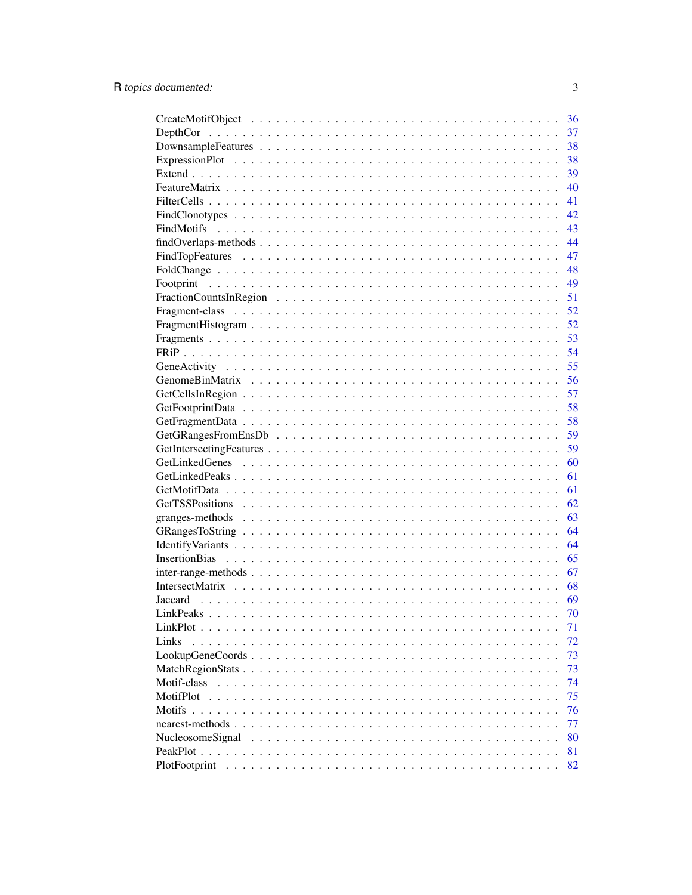|                                                                          | 36 |
|--------------------------------------------------------------------------|----|
|                                                                          | 37 |
|                                                                          | 38 |
|                                                                          | 38 |
|                                                                          | 39 |
|                                                                          | 40 |
|                                                                          | 41 |
|                                                                          | 42 |
| FindMotifs                                                               | 43 |
|                                                                          | 44 |
|                                                                          | 47 |
|                                                                          | 48 |
|                                                                          | 49 |
|                                                                          | 51 |
|                                                                          | 52 |
|                                                                          | 52 |
|                                                                          | 53 |
|                                                                          | 54 |
|                                                                          | 55 |
|                                                                          | 56 |
|                                                                          | 57 |
|                                                                          | 58 |
|                                                                          | 58 |
|                                                                          | 59 |
|                                                                          | 59 |
|                                                                          | 60 |
|                                                                          | 61 |
|                                                                          | 61 |
|                                                                          | 62 |
|                                                                          | 63 |
|                                                                          | 64 |
|                                                                          | 64 |
|                                                                          | 65 |
|                                                                          | 67 |
|                                                                          | 68 |
|                                                                          | 69 |
|                                                                          | 70 |
|                                                                          | 71 |
| Links<br>$\mathbf{r}$ and $\mathbf{r}$ and $\mathbf{r}$ and $\mathbf{r}$ | 72 |
|                                                                          | 73 |
|                                                                          | 73 |
| Motif-class                                                              | 74 |
| MotifPlot                                                                | 75 |
| Motifs                                                                   | 76 |
|                                                                          | 77 |
| NucleosomeSignal                                                         | 80 |
|                                                                          | 81 |
|                                                                          | 82 |
|                                                                          |    |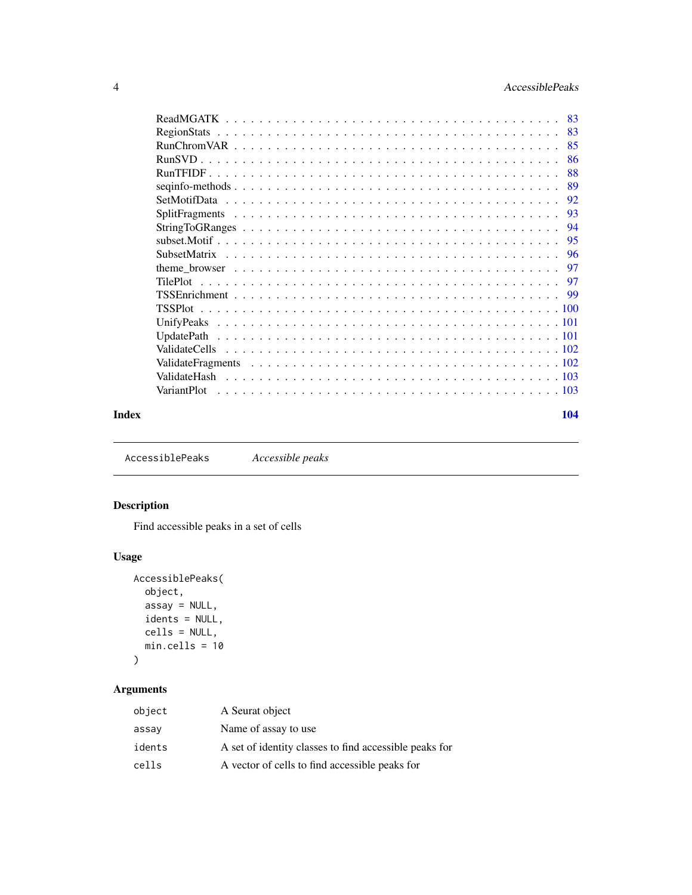<span id="page-3-0"></span>

|             | 83 |
|-------------|----|
|             | 83 |
|             | 85 |
|             | 86 |
|             | 88 |
|             | 89 |
|             | 92 |
|             | 93 |
|             | 94 |
|             | 95 |
|             | 96 |
|             | 97 |
|             | 97 |
|             |    |
|             |    |
|             |    |
|             |    |
|             |    |
|             |    |
|             |    |
| VariantPlot |    |
|             |    |

#### **Index** the contract of the contract of the contract of the contract of the contract of the contract of the contract of the contract of the contract of the contract of the contract of the contract of the contract of the co

AccessiblePeaks *Accessible peaks*

### Description

Find accessible peaks in a set of cells

### Usage

```
AccessiblePeaks(
  object,
  assay = NULL,idents = NULL,
  cells = NULL,
  min.cells = 10
\mathcal{L}
```

| object | A Seurat object                                        |
|--------|--------------------------------------------------------|
| assav  | Name of assay to use                                   |
| idents | A set of identity classes to find accessible peaks for |
| cells  | A vector of cells to find accessible peaks for         |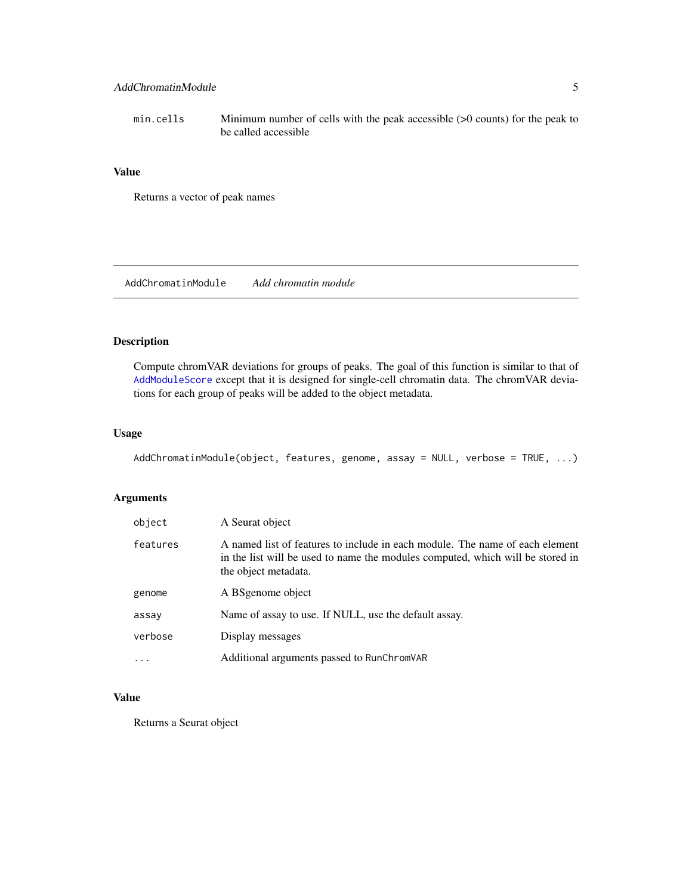### <span id="page-4-0"></span>AddChromatinModule 5

min.cells Minimum number of cells with the peak accessible (>0 counts) for the peak to be called accessible

#### Value

Returns a vector of peak names

AddChromatinModule *Add chromatin module*

### Description

Compute chromVAR deviations for groups of peaks. The goal of this function is similar to that of [AddModuleScore](#page-0-0) except that it is designed for single-cell chromatin data. The chromVAR deviations for each group of peaks will be added to the object metadata.

#### Usage

```
AddChromatinModule(object, features, genome, assay = NULL, verbose = TRUE, ...)
```
### Arguments

| object   | A Seurat object                                                                                                                                                                        |
|----------|----------------------------------------------------------------------------------------------------------------------------------------------------------------------------------------|
| features | A named list of features to include in each module. The name of each element<br>in the list will be used to name the modules computed, which will be stored in<br>the object metadata. |
| genome   | A BSgenome object                                                                                                                                                                      |
| assay    | Name of assay to use. If NULL, use the default assay.                                                                                                                                  |
| verbose  | Display messages                                                                                                                                                                       |
| $\cdots$ | Additional arguments passed to RunChromVAR                                                                                                                                             |

### Value

Returns a Seurat object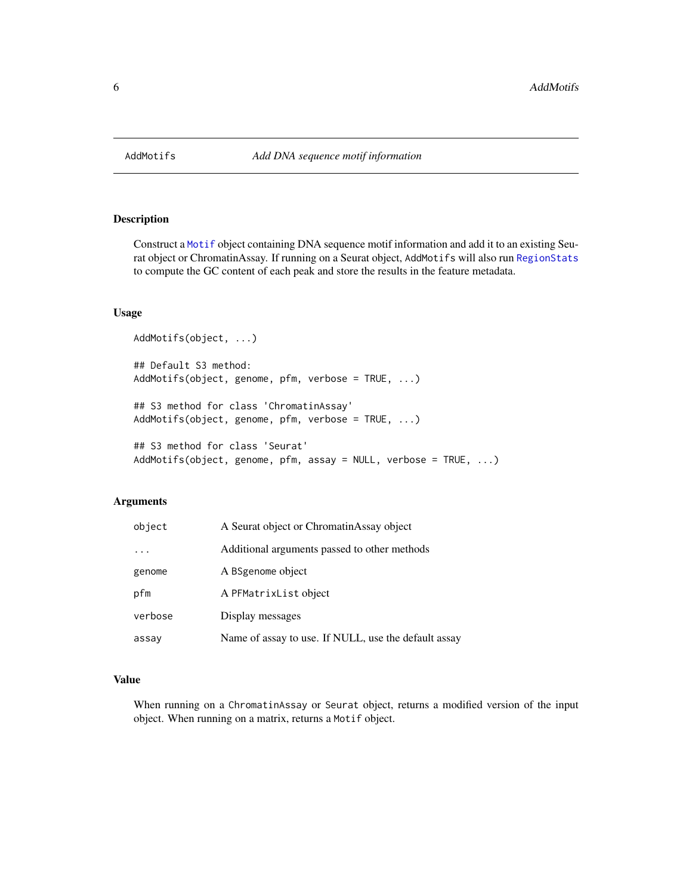<span id="page-5-0"></span>

Construct a [Motif](#page-73-1) object containing DNA sequence motif information and add it to an existing Seurat object or ChromatinAssay. If running on a Seurat object, AddMotifs will also run [RegionStats](#page-82-1) to compute the GC content of each peak and store the results in the feature metadata.

#### Usage

```
AddMotifs(object, ...)
## Default S3 method:
AddMotifs(object, genome, pfm, verbose = TRUE, ...)
## S3 method for class 'ChromatinAssay'
AddMotifs(object, genome, pfm, verbose = TRUE, ...)
## S3 method for class 'Seurat'
AddMotifs(object, genome, pfm, assay = NULL, verbose = TRUE, ...)
```
#### Arguments

| object   | A Seurat object or Chromatin Assay object            |
|----------|------------------------------------------------------|
| $\cdots$ | Additional arguments passed to other methods         |
| genome   | A BSgenome object                                    |
| pfm      | A PFMatrixList object                                |
| verbose  | Display messages                                     |
| assay    | Name of assay to use. If NULL, use the default assay |

### Value

When running on a ChromatinAssay or Seurat object, returns a modified version of the input object. When running on a matrix, returns a Motif object.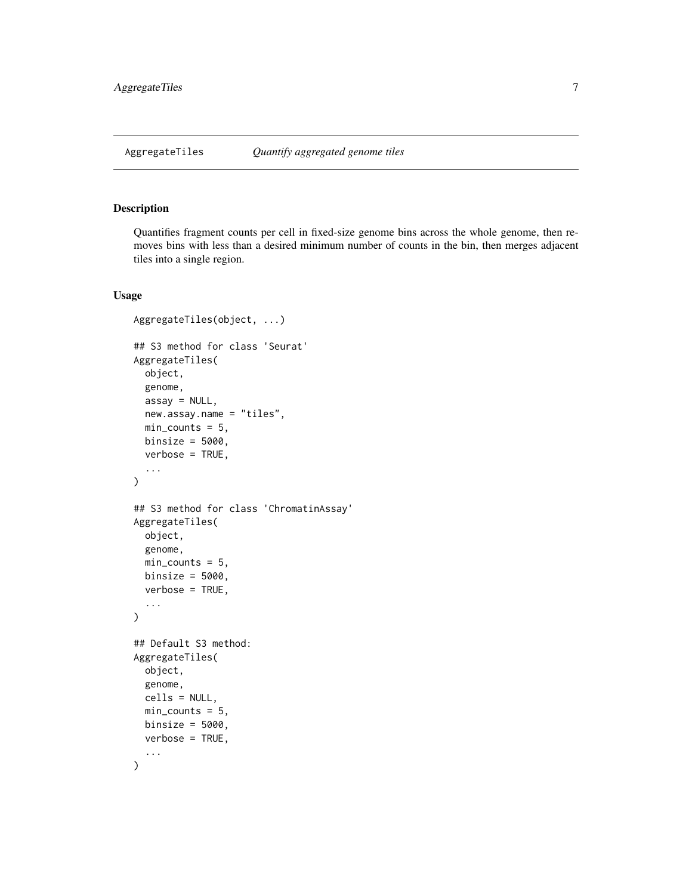<span id="page-6-0"></span>Quantifies fragment counts per cell in fixed-size genome bins across the whole genome, then removes bins with less than a desired minimum number of counts in the bin, then merges adjacent tiles into a single region.

#### Usage

```
AggregateTiles(object, ...)
## S3 method for class 'Seurat'
AggregateTiles(
  object,
  genome,
  assay = NULL,
  new.assay.name = "tiles",
 min\_counts = 5,binsize = 5000,
  verbose = TRUE,
  ...
\mathcal{L}## S3 method for class 'ChromatinAssay'
AggregateTiles(
 object,
  genome,
 min\_counts = 5,binsize = 5000,
  verbose = TRUE,
  ...
)
## Default S3 method:
AggregateTiles(
 object,
  genome,
  cells = NULL,
 min\_counts = 5,
 binsize = 5000,
  verbose = TRUE,
  ...
)
```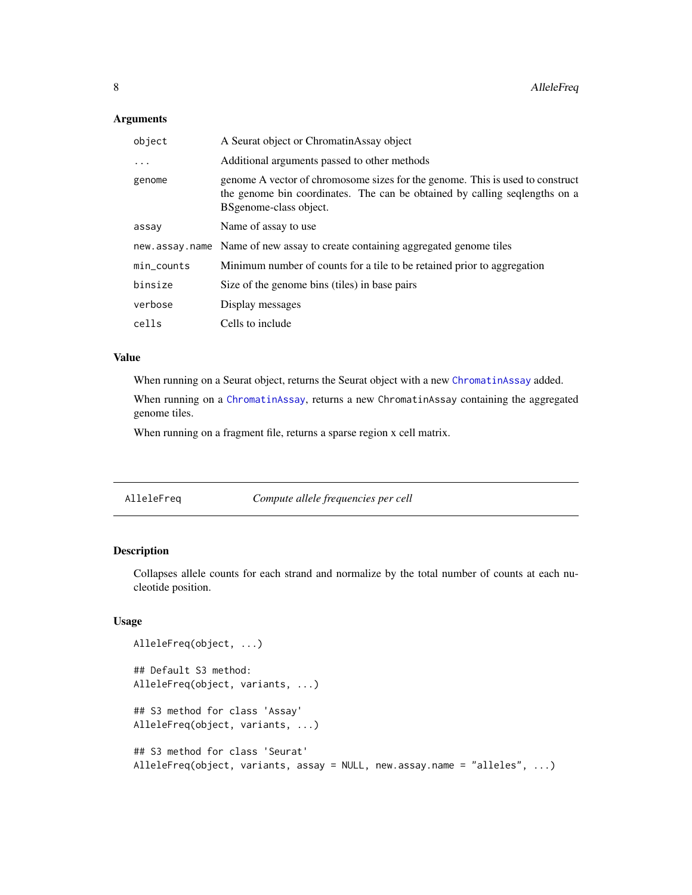### <span id="page-7-0"></span>Arguments

| object     | A Seurat object or Chromatin Assay object                                                                                                                                             |
|------------|---------------------------------------------------------------------------------------------------------------------------------------------------------------------------------------|
| $\cdots$   | Additional arguments passed to other methods                                                                                                                                          |
| genome     | genome A vector of chromosome sizes for the genome. This is used to construct<br>the genome bin coordinates. The can be obtained by calling seqlengths on a<br>BSgenome-class object. |
| assay      | Name of assay to use                                                                                                                                                                  |
|            | new. assay. name Name of new assay to create containing aggregated genome tiles                                                                                                       |
| min_counts | Minimum number of counts for a tile to be retained prior to aggregation                                                                                                               |
| binsize    | Size of the genome bins (tiles) in base pairs                                                                                                                                         |
| verbose    | Display messages                                                                                                                                                                      |
| cells      | Cells to include                                                                                                                                                                      |

### Value

When running on a Seurat object, returns the Seurat object with a new [ChromatinAssay](#page-21-1) added.

When running on a [ChromatinAssay](#page-21-1), returns a new ChromatinAssay containing the aggregated genome tiles.

When running on a fragment file, returns a sparse region x cell matrix.

AlleleFreq *Compute allele frequencies per cell*

### Description

Collapses allele counts for each strand and normalize by the total number of counts at each nucleotide position.

### Usage

```
AlleleFreq(object, ...)
## Default S3 method:
AlleleFreq(object, variants, ...)
## S3 method for class 'Assay'
AlleleFreq(object, variants, ...)
## S3 method for class 'Seurat'
AlleleFreq(object, variants, assay = NULL, new.assay.name = "alleles", ...)
```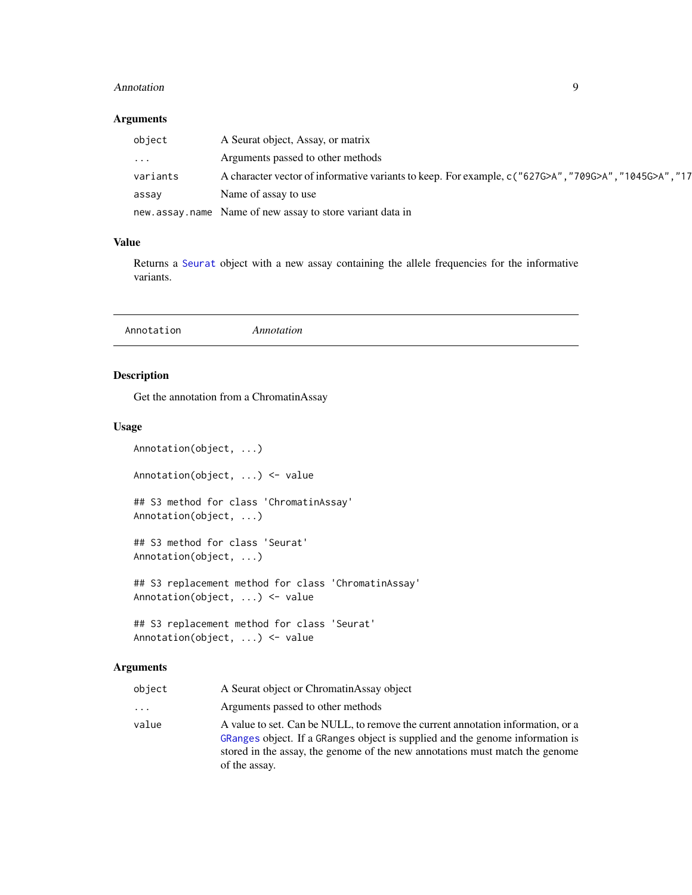#### <span id="page-8-0"></span>Annotation 9

### Arguments

| object                  | A Seurat object, Assay, or matrix                                                                      |
|-------------------------|--------------------------------------------------------------------------------------------------------|
| $\cdot$ $\cdot$ $\cdot$ | Arguments passed to other methods                                                                      |
| variants                | A character vector of informative variants to keep. For example, c ("627G>A", "709G>A", "1045G>A", "17 |
| assay                   | Name of assay to use                                                                                   |
|                         | new assay name Name of new assay to store variant data in                                              |

### Value

Returns a [Seurat](#page-0-0) object with a new assay containing the allele frequencies for the informative variants.

|  |  | Annotation | Annotation |
|--|--|------------|------------|
|--|--|------------|------------|

### Description

Get the annotation from a ChromatinAssay

#### Usage

Annotation(object, ...) Annotation(object, ...) <- value ## S3 method for class 'ChromatinAssay' Annotation(object, ...) ## S3 method for class 'Seurat' Annotation(object, ...) ## S3 replacement method for class 'ChromatinAssay' Annotation(object, ...) <- value ## S3 replacement method for class 'Seurat'

```
Annotation(object, ...) <- value
```

| object | A Seurat object or Chromatin Assay object                                                                                                                                                                                                                         |
|--------|-------------------------------------------------------------------------------------------------------------------------------------------------------------------------------------------------------------------------------------------------------------------|
| .      | Arguments passed to other methods                                                                                                                                                                                                                                 |
| value  | A value to set. Can be NULL, to remove the current annotation information, or a<br>GRanges object. If a GRanges object is supplied and the genome information is<br>stored in the assay, the genome of the new annotations must match the genome<br>of the assay. |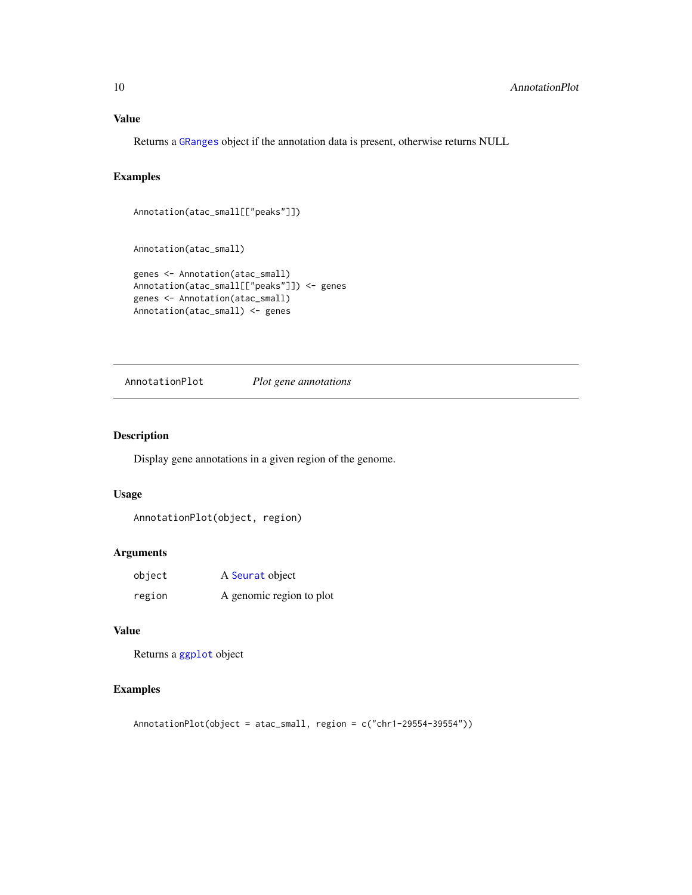### <span id="page-9-0"></span>Value

Returns a [GRanges](#page-0-0) object if the annotation data is present, otherwise returns NULL

### Examples

```
Annotation(atac_small[["peaks"]])
```
Annotation(atac\_small)

```
genes <- Annotation(atac_small)
Annotation(atac_small[["peaks"]]) <- genes
genes <- Annotation(atac_small)
Annotation(atac_small) <- genes
```
AnnotationPlot *Plot gene annotations*

### Description

Display gene annotations in a given region of the genome.

#### Usage

AnnotationPlot(object, region)

### Arguments

| object | A Seurat object          |  |
|--------|--------------------------|--|
| region | A genomic region to plot |  |

### Value

```
Returns a ggplot object
```
### Examples

```
AnnotationPlot(object = atac_small, region = c("chr1-29554-39554"))
```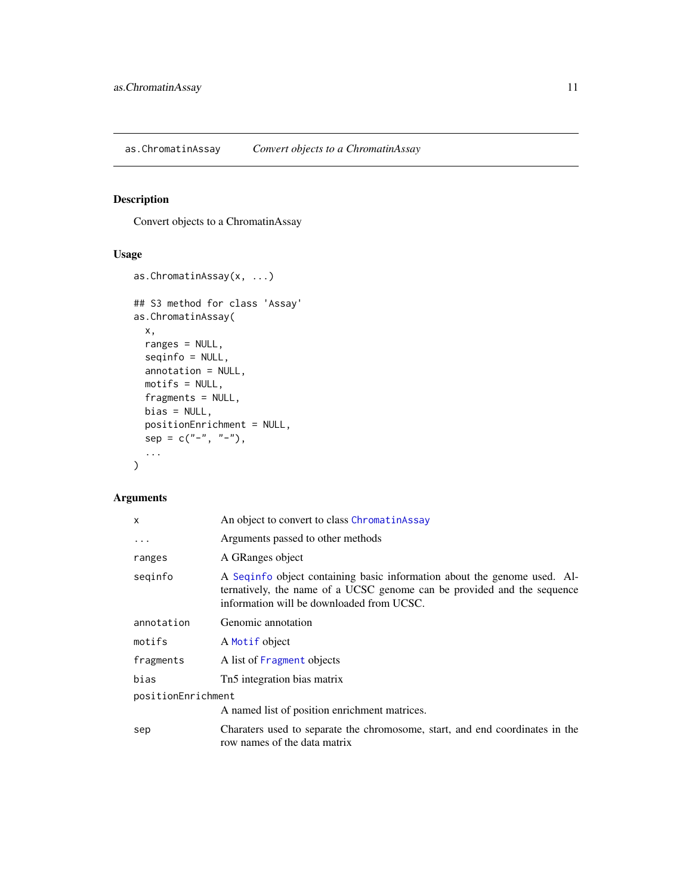<span id="page-10-0"></span>as.ChromatinAssay *Convert objects to a ChromatinAssay*

### Description

Convert objects to a ChromatinAssay

### Usage

```
as.ChromatinAssay(x, ...)
## S3 method for class 'Assay'
as.ChromatinAssay(
 x,
 ranges = NULL,
  seqinfo = NULL,
 annotation = NULL,
 motifs = NULL,
 fragments = NULL,
 bias = NULL,
 positionEnrichment = NULL,
 sep = c("-"," "-"),...
)
```

| x                  | An object to convert to class ChromatinAssay                                                                                                                                                      |
|--------------------|---------------------------------------------------------------------------------------------------------------------------------------------------------------------------------------------------|
| $\cdots$           | Arguments passed to other methods                                                                                                                                                                 |
| ranges             | A GRanges object                                                                                                                                                                                  |
| seqinfo            | A Sequinfo object containing basic information about the genome used. Al-<br>ternatively, the name of a UCSC genome can be provided and the sequence<br>information will be downloaded from UCSC. |
| annotation         | Genomic annotation                                                                                                                                                                                |
| motifs             | A Motif object                                                                                                                                                                                    |
| fragments          | A list of Fragment objects                                                                                                                                                                        |
| bias               | Tn5 integration bias matrix                                                                                                                                                                       |
| positionEnrichment |                                                                                                                                                                                                   |
|                    | A named list of position enrichment matrices.                                                                                                                                                     |
| sep                | Charaters used to separate the chromosome, start, and end coordinates in the<br>row names of the data matrix                                                                                      |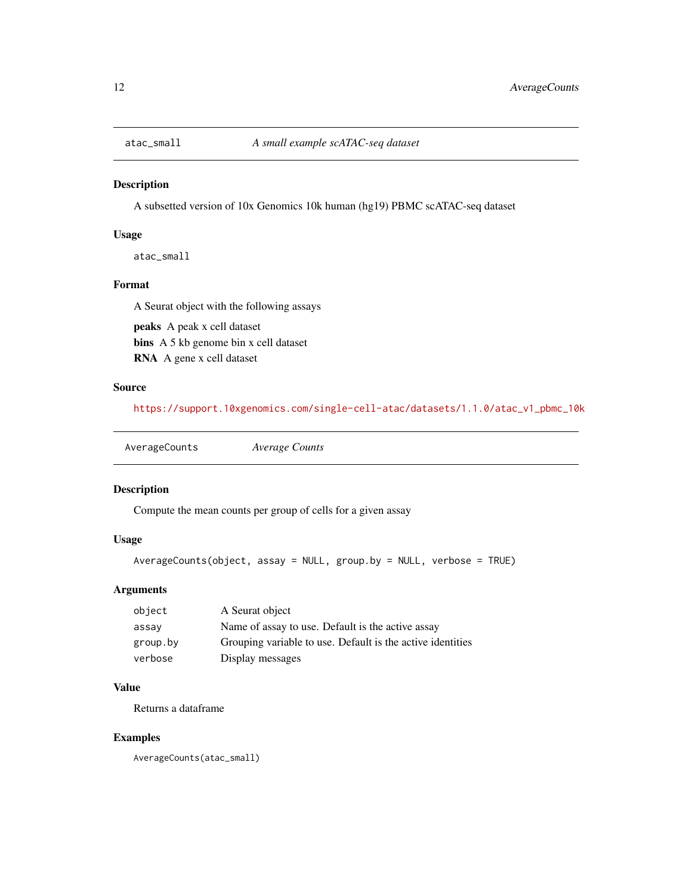<span id="page-11-0"></span>

A subsetted version of 10x Genomics 10k human (hg19) PBMC scATAC-seq dataset

### Usage

atac\_small

### Format

A Seurat object with the following assays

peaks A peak x cell dataset bins A 5 kb genome bin x cell dataset RNA A gene x cell dataset

### Source

[https://support.10xgenomics.com/single-cell-atac/datasets/1.1.0/atac\\_v1\\_pbmc\\_10k](https://support.10xgenomics.com/single-cell-atac/datasets/1.1.0/atac_v1_pbmc_10k)

```
AverageCounts Average Counts
```
### Description

Compute the mean counts per group of cells for a given assay

### Usage

AverageCounts(object, assay = NULL, group.by = NULL, verbose = TRUE)

### Arguments

| object   | A Seurat object                                            |
|----------|------------------------------------------------------------|
| assay    | Name of assay to use. Default is the active assay          |
| group.by | Grouping variable to use. Default is the active identities |
| verbose  | Display messages                                           |

### Value

Returns a dataframe

#### Examples

AverageCounts(atac\_small)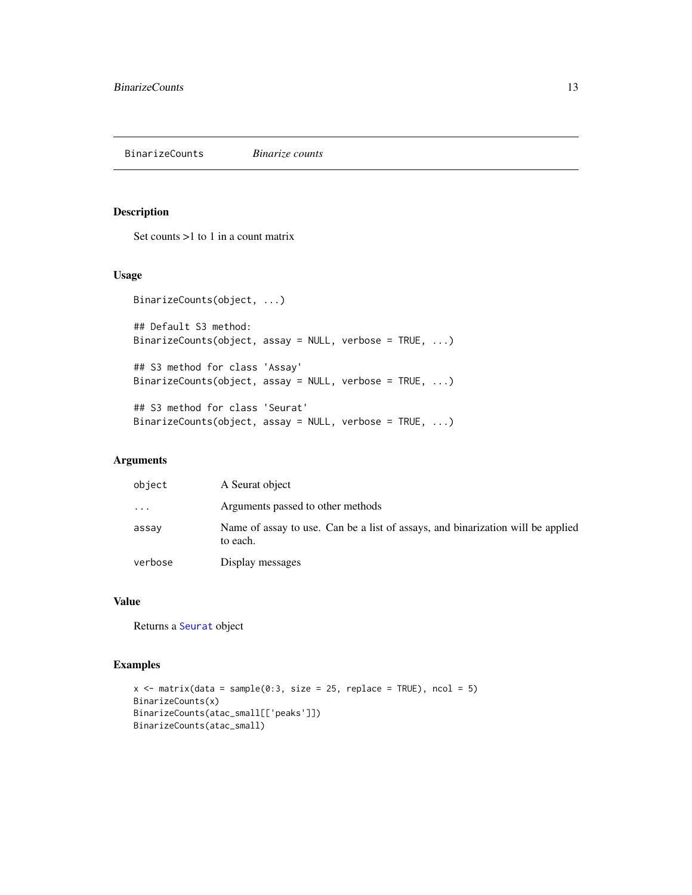<span id="page-12-0"></span>BinarizeCounts *Binarize counts*

### Description

Set counts >1 to 1 in a count matrix

### Usage

```
BinarizeCounts(object, ...)
## Default S3 method:
BinarizeCounts(object, assay = NULL, verbose = TRUE, ...)
## S3 method for class 'Assay'
BinarizeCounts(object, assay = NULL, verbose = TRUE, ...)
## S3 method for class 'Seurat'
BinarizeCounts(object, assay = NULL, verbose = TRUE, ...)
```
### Arguments

| object  | A Seurat object                                                                             |
|---------|---------------------------------------------------------------------------------------------|
| .       | Arguments passed to other methods                                                           |
| assav   | Name of assay to use. Can be a list of assays, and binarization will be applied<br>to each. |
| verbose | Display messages                                                                            |

### Value

Returns a [Seurat](#page-0-0) object

### Examples

```
x \le matrix(data = sample(0:3, size = 25, replace = TRUE), ncol = 5)
BinarizeCounts(x)
BinarizeCounts(atac_small[['peaks']])
BinarizeCounts(atac_small)
```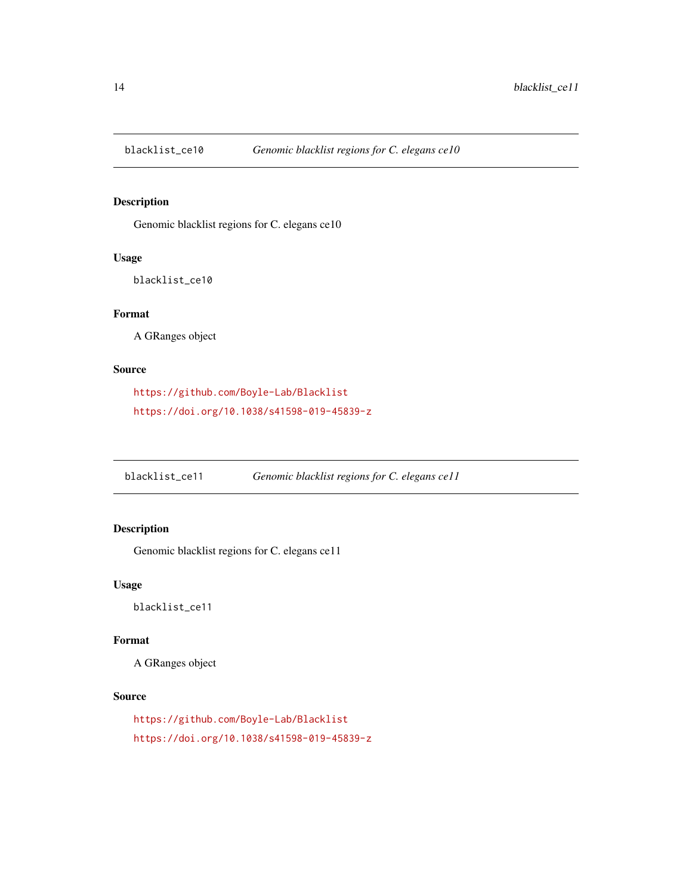<span id="page-13-0"></span>

Genomic blacklist regions for C. elegans ce10

#### Usage

blacklist\_ce10

### Format

A GRanges object

### Source

<https://github.com/Boyle-Lab/Blacklist> <https://doi.org/10.1038/s41598-019-45839-z>

blacklist\_ce11 *Genomic blacklist regions for C. elegans ce11*

### Description

Genomic blacklist regions for C. elegans ce11

### Usage

blacklist\_ce11

### Format

A GRanges object

### Source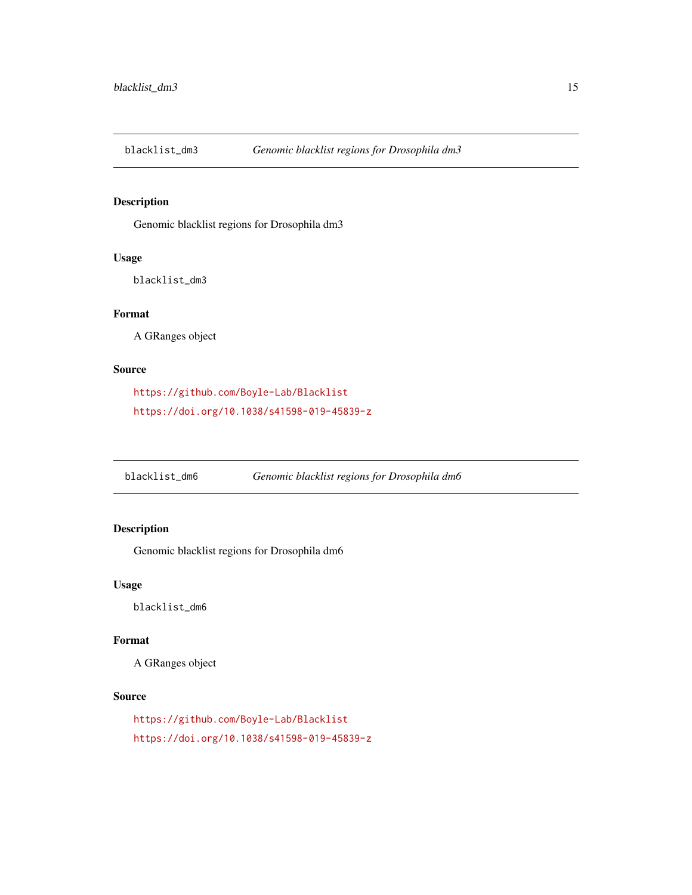<span id="page-14-0"></span>

Genomic blacklist regions for Drosophila dm3

#### Usage

blacklist\_dm3

### Format

A GRanges object

### Source

<https://github.com/Boyle-Lab/Blacklist> <https://doi.org/10.1038/s41598-019-45839-z>

blacklist\_dm6 *Genomic blacklist regions for Drosophila dm6*

### Description

Genomic blacklist regions for Drosophila dm6

### Usage

blacklist\_dm6

### Format

A GRanges object

### Source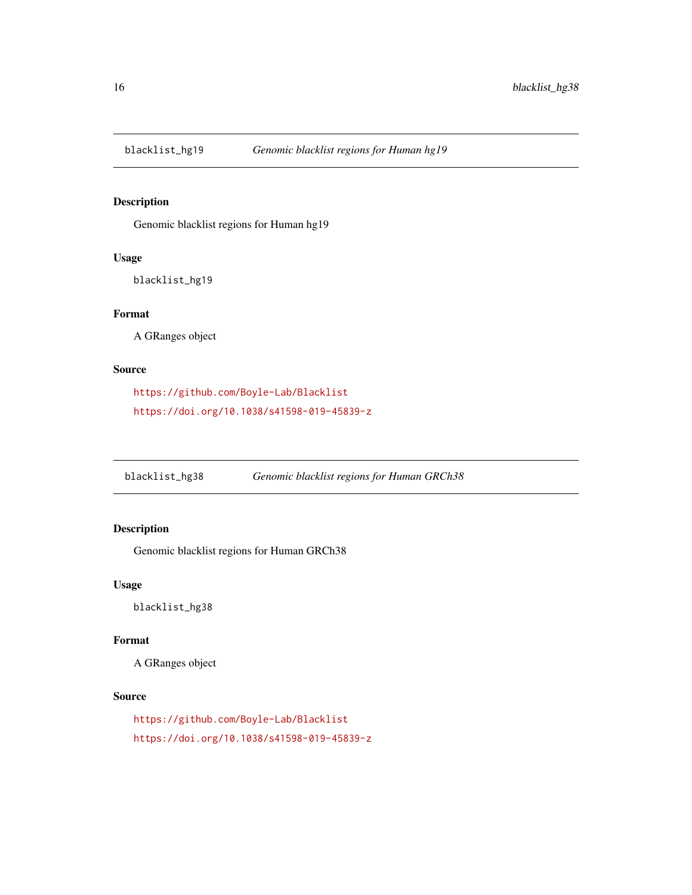<span id="page-15-0"></span>

Genomic blacklist regions for Human hg19

#### Usage

blacklist\_hg19

### Format

A GRanges object

### Source

```
https://github.com/Boyle-Lab/Blacklist
https://doi.org/10.1038/s41598-019-45839-z
```
blacklist\_hg38 *Genomic blacklist regions for Human GRCh38*

### Description

Genomic blacklist regions for Human GRCh38

### Usage

blacklist\_hg38

### Format

A GRanges object

### Source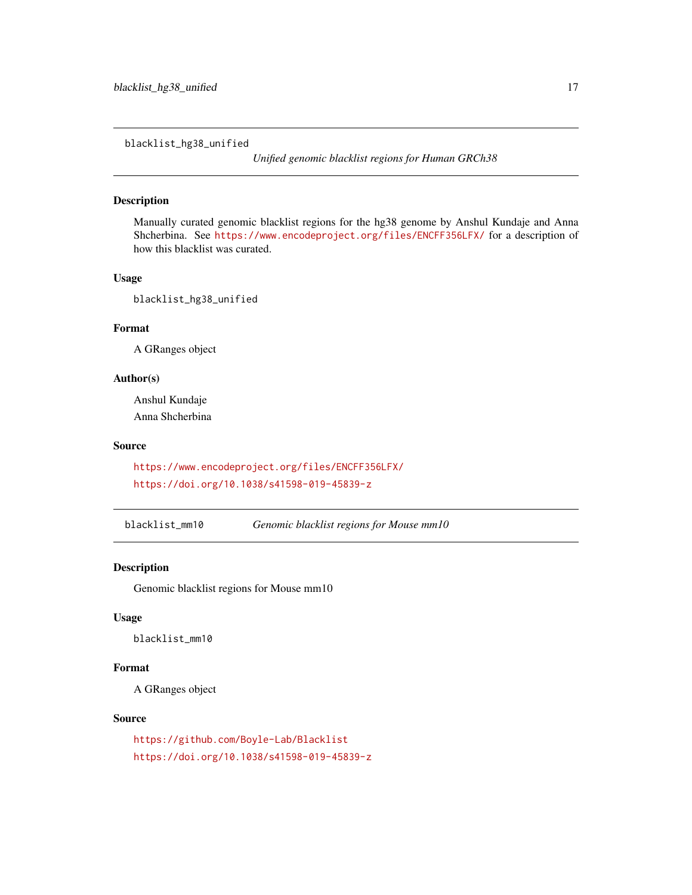<span id="page-16-0"></span>blacklist\_hg38\_unified

*Unified genomic blacklist regions for Human GRCh38*

### Description

Manually curated genomic blacklist regions for the hg38 genome by Anshul Kundaje and Anna Shcherbina. See <https://www.encodeproject.org/files/ENCFF356LFX/> for a description of how this blacklist was curated.

#### Usage

blacklist\_hg38\_unified

### Format

A GRanges object

### Author(s)

Anshul Kundaje Anna Shcherbina

### Source

<https://www.encodeproject.org/files/ENCFF356LFX/> <https://doi.org/10.1038/s41598-019-45839-z>

blacklist\_mm10 *Genomic blacklist regions for Mouse mm10*

### Description

Genomic blacklist regions for Mouse mm10

#### Usage

blacklist\_mm10

### Format

A GRanges object

#### Source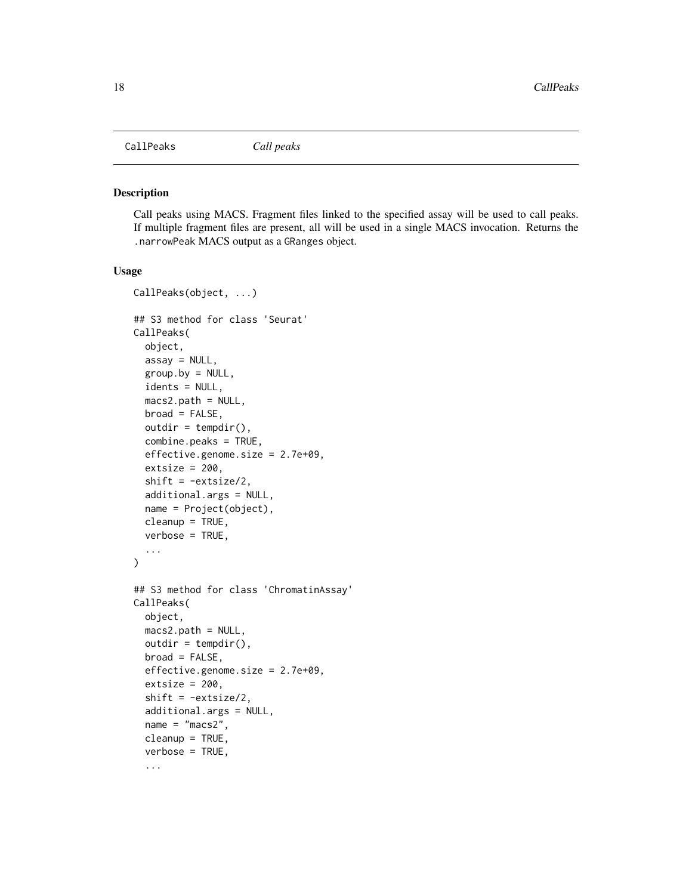<span id="page-17-0"></span>

Call peaks using MACS. Fragment files linked to the specified assay will be used to call peaks. If multiple fragment files are present, all will be used in a single MACS invocation. Returns the .narrowPeak MACS output as a GRanges object.

#### Usage

```
CallPeaks(object, ...)
## S3 method for class 'Seurat'
CallPeaks(
 object,
  assay = NULL,group.py = NULL,idents = NULL,
 macs2.path = NULL,
 broad = FALSE,outdir = tempdir(),combine.peaks = TRUE,
  effective.genome.size = 2.7e+09,
 extsize = 200,
  shift = -extsize/2,
  additional.args = NULL,
  name = Project(object),
  cleanup = TRUE,
  verbose = TRUE,
  ...
)
## S3 method for class 'ChromatinAssay'
CallPeaks(
 object,
 macs2.path = NULL,
 outdir = tempdir(),broad = FALSE,effective.genome.size = 2.7e+09,
 extsize = 200,shift = -extsize/2,
  additional.args = NULL,
  name = "macs2",cleanup = TRUE,
  verbose = TRUE,
  ...
```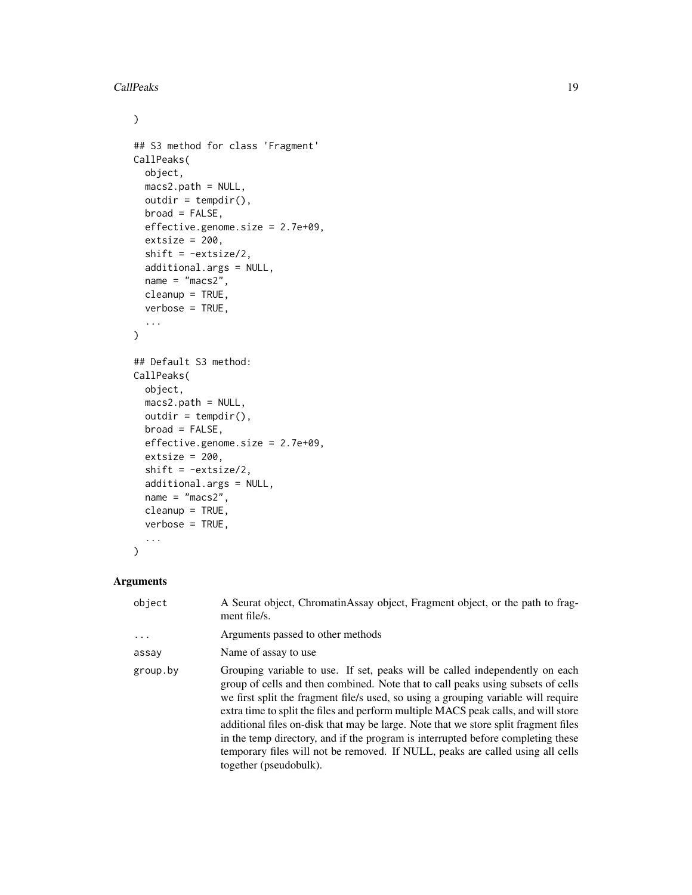### CallPeaks 19

```
\mathcal{L}## S3 method for class 'Fragment'
CallPeaks(
 object,
 macs2.path = NULL,
 outdir = tempdir(),broad = FALSE,effective.genome.size = 2.7e+09,
 extsize = 200,shift = -extsize/2,
 additional.args = NULL,
 name = "macs2",cleanup = TRUE,
 verbose = TRUE,
  ...
\mathcal{L}## Default S3 method:
CallPeaks(
 object,
 macs2.path = NULL,outdir = tempdir(),broad = FALSE,
 effective.genome.size = 2.7e+09,
 extsize = 200,shift = -extsize/2,additional.args = NULL,
 name = "macs2",cleanup = TRUE,
 verbose = TRUE,
  ...
)
```

| object     | A Seurat object, ChromatinAssay object, Fragment object, or the path to frag-<br>ment file/s.                                                                                                                                                                                                                                                                                                                                                                                                                                                                                                                                       |
|------------|-------------------------------------------------------------------------------------------------------------------------------------------------------------------------------------------------------------------------------------------------------------------------------------------------------------------------------------------------------------------------------------------------------------------------------------------------------------------------------------------------------------------------------------------------------------------------------------------------------------------------------------|
| $\ddots$ . | Arguments passed to other methods                                                                                                                                                                                                                                                                                                                                                                                                                                                                                                                                                                                                   |
| assay      | Name of assay to use                                                                                                                                                                                                                                                                                                                                                                                                                                                                                                                                                                                                                |
| group.by   | Grouping variable to use. If set, peaks will be called independently on each<br>group of cells and then combined. Note that to call peaks using subsets of cells<br>we first split the fragment file/s used, so using a grouping variable will require<br>extra time to split the files and perform multiple MACS peak calls, and will store<br>additional files on-disk that may be large. Note that we store split fragment files<br>in the temp directory, and if the program is interrupted before completing these<br>temporary files will not be removed. If NULL, peaks are called using all cells<br>together (pseudobulk). |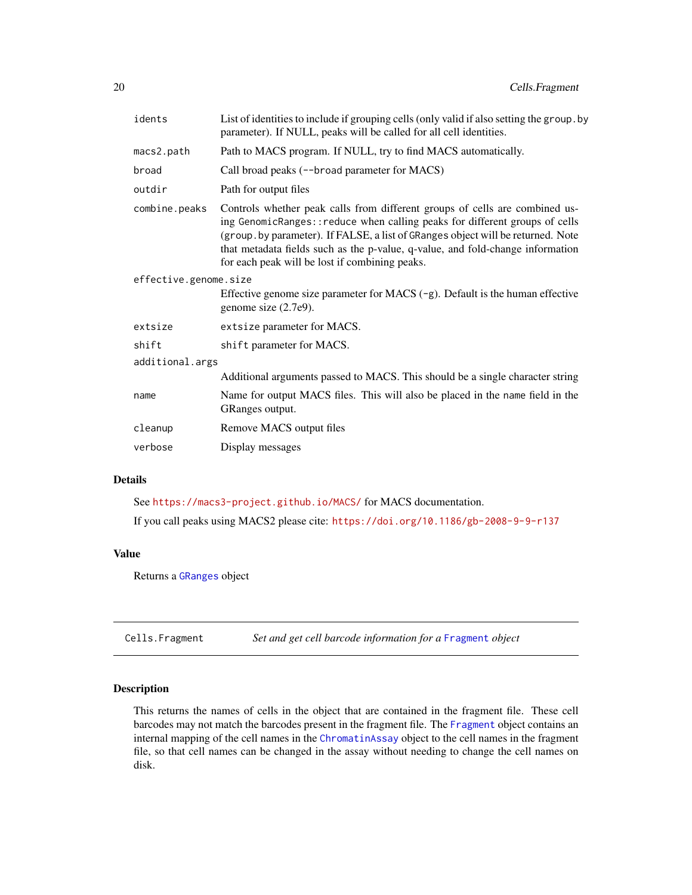<span id="page-19-0"></span>

| idents                | List of identities to include if grouping cells (only valid if also setting the group. by<br>parameter). If NULL, peaks will be called for all cell identities.                                                                                                                                                                                                                    |
|-----------------------|------------------------------------------------------------------------------------------------------------------------------------------------------------------------------------------------------------------------------------------------------------------------------------------------------------------------------------------------------------------------------------|
| macs2.path            | Path to MACS program. If NULL, try to find MACS automatically.                                                                                                                                                                                                                                                                                                                     |
| broad                 | Call broad peaks (--broad parameter for MACS)                                                                                                                                                                                                                                                                                                                                      |
| outdir                | Path for output files                                                                                                                                                                                                                                                                                                                                                              |
| combine.peaks         | Controls whether peak calls from different groups of cells are combined us-<br>ing GenomicRanges:: reduce when calling peaks for different groups of cells<br>(group. by parameter). If FALSE, a list of GRanges object will be returned. Note<br>that metadata fields such as the p-value, q-value, and fold-change information<br>for each peak will be lost if combining peaks. |
| effective.genome.size |                                                                                                                                                                                                                                                                                                                                                                                    |
|                       | Effective genome size parameter for MACS $(-g)$ . Default is the human effective<br>genome size $(2.7e9)$ .                                                                                                                                                                                                                                                                        |
| extsize               | extsize parameter for MACS.                                                                                                                                                                                                                                                                                                                                                        |
| shift                 | shift parameter for MACS.                                                                                                                                                                                                                                                                                                                                                          |
| additional.args       |                                                                                                                                                                                                                                                                                                                                                                                    |
|                       | Additional arguments passed to MACS. This should be a single character string                                                                                                                                                                                                                                                                                                      |
| name                  | Name for output MACS files. This will also be placed in the name field in the<br>GRanges output.                                                                                                                                                                                                                                                                                   |
| cleanup               | Remove MACS output files                                                                                                                                                                                                                                                                                                                                                           |
| verbose               | Display messages                                                                                                                                                                                                                                                                                                                                                                   |

### Details

See <https://macs3-project.github.io/MACS/> for MACS documentation.

If you call peaks using MACS2 please cite: <https://doi.org/10.1186/gb-2008-9-9-r137>

### Value

Returns a [GRanges](#page-0-0) object

Cells.Fragment *Set and get cell barcode information for a* [Fragment](#page-51-1) *object*

### Description

This returns the names of cells in the object that are contained in the fragment file. These cell barcodes may not match the barcodes present in the fragment file. The [Fragment](#page-51-1) object contains an internal mapping of the cell names in the [ChromatinAssay](#page-21-1) object to the cell names in the fragment file, so that cell names can be changed in the assay without needing to change the cell names on disk.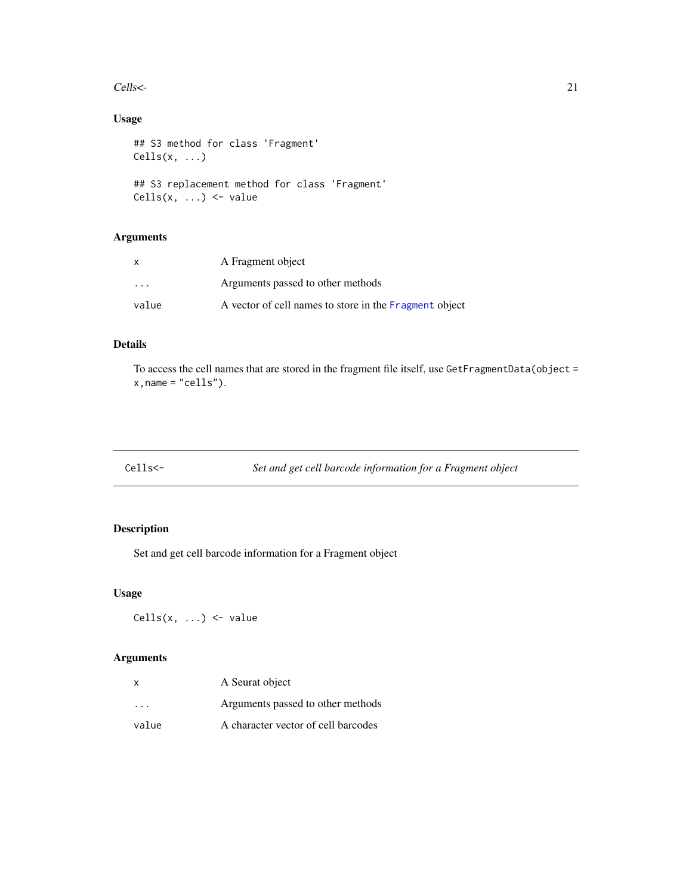### <span id="page-20-0"></span>Cells<- 21

### Usage

```
## S3 method for class 'Fragment'
Cells(x, \ldots)## S3 replacement method for class 'Fragment'
Cells(x, ...) \leftarrow value
```
### Arguments

| x                       | A Fragment object                                      |
|-------------------------|--------------------------------------------------------|
| $\cdot$ $\cdot$ $\cdot$ | Arguments passed to other methods                      |
| value                   | A vector of cell names to store in the Fragment object |

### Details

To access the cell names that are stored in the fragment file itself, use GetFragmentData(object =  $x$ , name = "cells").

Cells<- *Set and get cell barcode information for a Fragment object*

### Description

Set and get cell barcode information for a Fragment object

### Usage

 $Cells(x, ...) \leq value$ 

| x                       | A Seurat object                     |
|-------------------------|-------------------------------------|
| $\cdot$ $\cdot$ $\cdot$ | Arguments passed to other methods   |
| value                   | A character vector of cell barcodes |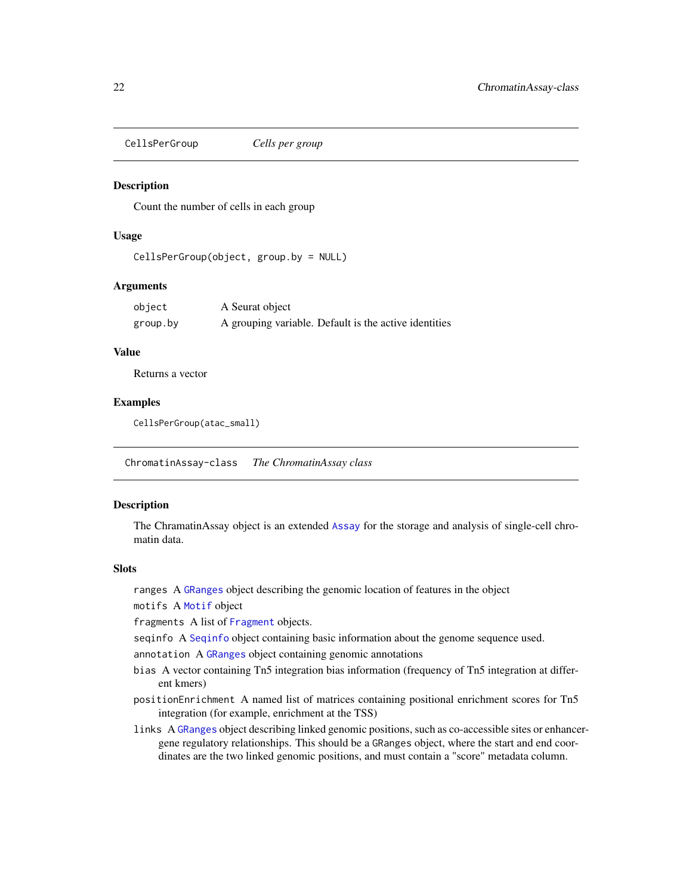<span id="page-21-0"></span>CellsPerGroup *Cells per group*

### **Description**

Count the number of cells in each group

### Usage

```
CellsPerGroup(object, group.by = NULL)
```
#### Arguments

| object   | A Seurat object                                       |
|----------|-------------------------------------------------------|
| group.by | A grouping variable. Default is the active identities |

#### Value

Returns a vector

#### Examples

CellsPerGroup(atac\_small)

<span id="page-21-2"></span>ChromatinAssay-class *The ChromatinAssay class*

#### <span id="page-21-1"></span>Description

The ChramatinAssay object is an extended [Assay](#page-0-0) for the storage and analysis of single-cell chromatin data.

#### **Slots**

ranges A [GRanges](#page-0-0) object describing the genomic location of features in the object

motifs A [Motif](#page-73-1) object

fragments A list of [Fragment](#page-51-1) objects.

seqinfo A [Seqinfo](#page-0-0) object containing basic information about the genome sequence used.

annotation A [GRanges](#page-0-0) object containing genomic annotations

- bias A vector containing Tn5 integration bias information (frequency of Tn5 integration at different kmers)
- positionEnrichment A named list of matrices containing positional enrichment scores for Tn5 integration (for example, enrichment at the TSS)
- links A [GRanges](#page-0-0) object describing linked genomic positions, such as co-accessible sites or enhancergene regulatory relationships. This should be a GRanges object, where the start and end coordinates are the two linked genomic positions, and must contain a "score" metadata column.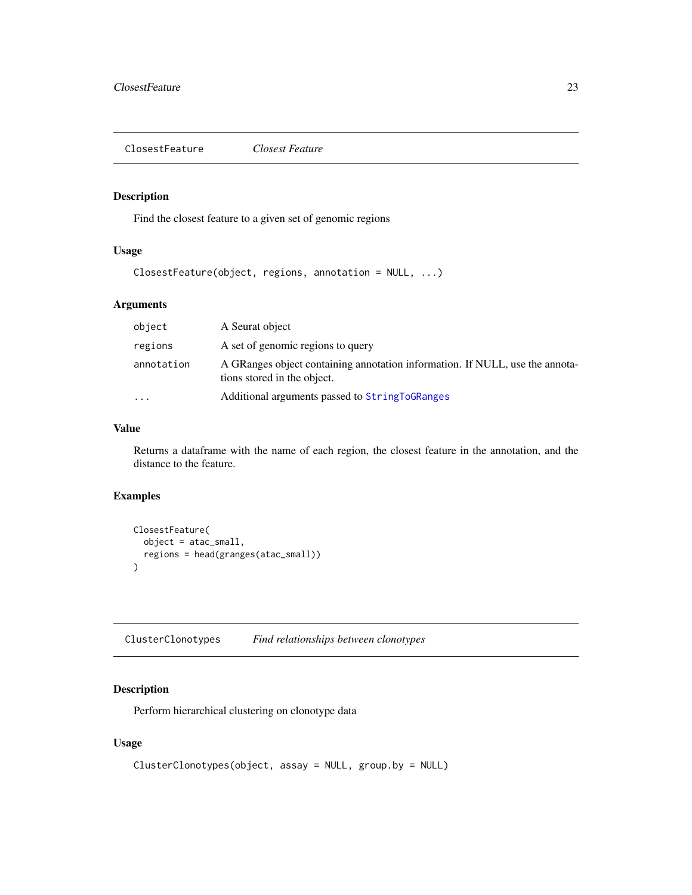<span id="page-22-0"></span>ClosestFeature *Closest Feature*

### Description

Find the closest feature to a given set of genomic regions

### Usage

ClosestFeature(object, regions, annotation = NULL, ...)

### Arguments

| object     | A Seurat object                                                                                             |
|------------|-------------------------------------------------------------------------------------------------------------|
| regions    | A set of genomic regions to query                                                                           |
| annotation | A GRanges object containing annotation information. If NULL, use the annota-<br>tions stored in the object. |
| $\ddotsc$  | Additional arguments passed to StringToGRanges                                                              |

### Value

Returns a dataframe with the name of each region, the closest feature in the annotation, and the distance to the feature.

### Examples

```
ClosestFeature(
  object = atac_small,
  regions = head(granges(atac_small))
)
```
ClusterClonotypes *Find relationships between clonotypes*

### Description

Perform hierarchical clustering on clonotype data

### Usage

```
ClusterClonotypes(object, assay = NULL, group.by = NULL)
```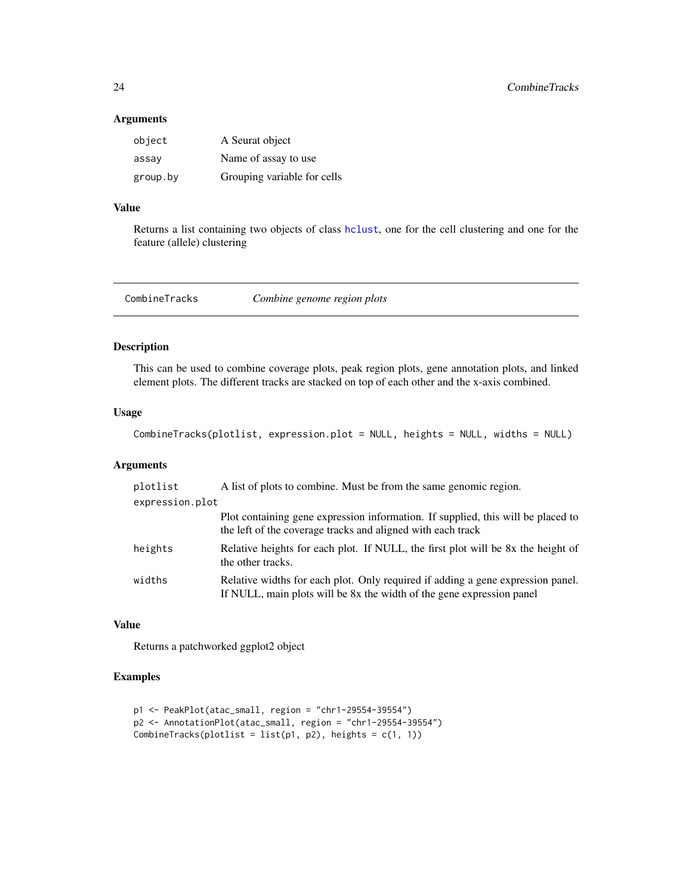### <span id="page-23-0"></span>Arguments

| object   | A Seurat object             |
|----------|-----------------------------|
| assay    | Name of assay to use        |
| group.by | Grouping variable for cells |

### Value

Returns a list containing two objects of class [hclust](#page-0-0), one for the cell clustering and one for the feature (allele) clustering

### Description

This can be used to combine coverage plots, peak region plots, gene annotation plots, and linked element plots. The different tracks are stacked on top of each other and the x-axis combined.

### Usage

CombineTracks(plotlist, expression.plot = NULL, heights = NULL, widths = NULL)

### Arguments

| plotlist        | A list of plots to combine. Must be from the same genomic region.                                                                                        |
|-----------------|----------------------------------------------------------------------------------------------------------------------------------------------------------|
| expression.plot |                                                                                                                                                          |
|                 | Plot containing gene expression information. If supplied, this will be placed to<br>the left of the coverage tracks and aligned with each track          |
| heights         | Relative heights for each plot. If NULL, the first plot will be 8x the height of<br>the other tracks.                                                    |
| widths          | Relative widths for each plot. Only required if adding a gene expression panel.<br>If NULL, main plots will be 8x the width of the gene expression panel |

### Value

Returns a patchworked ggplot2 object

### Examples

```
p1 <- PeakPlot(atac_small, region = "chr1-29554-39554")
p2 <- AnnotationPlot(atac_small, region = "chr1-29554-39554")
CombineTracks(plotlist = list(p1, p2), heights = c(1, 1))
```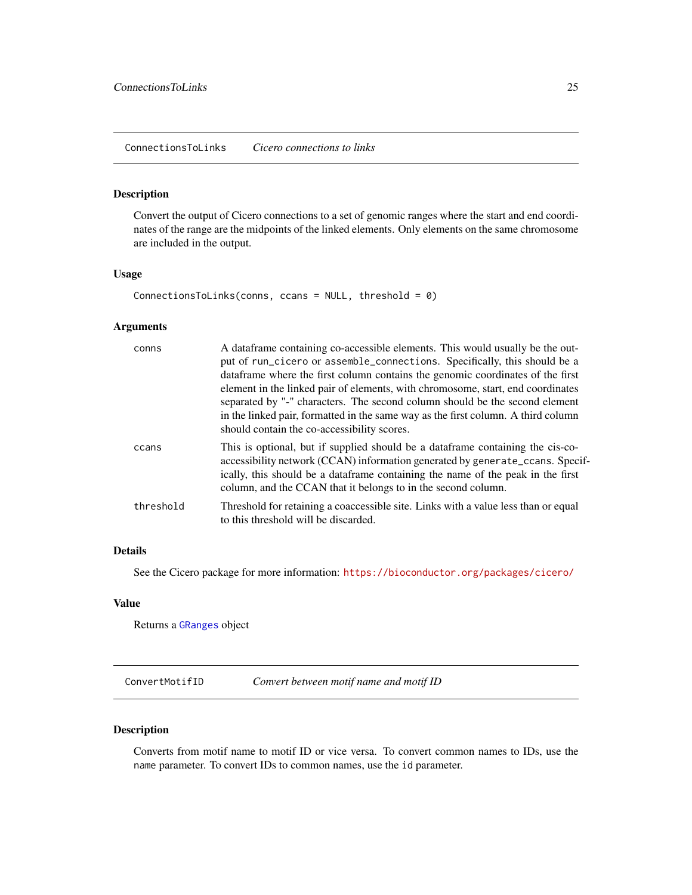Convert the output of Cicero connections to a set of genomic ranges where the start and end coordinates of the range are the midpoints of the linked elements. Only elements on the same chromosome are included in the output.

### Usage

```
ConnectionsToLinks(conns, ccans = NULL, threshold = 0)
```
<span id="page-24-0"></span>ConnectionsToLinks *Cicero connections to links*

### Arguments

| conns     | A dataframe containing co-accessible elements. This would usually be the out-<br>put of run_cicero or assemble_connections. Specifically, this should be a<br>data frame where the first column contains the genomic coordinates of the first<br>element in the linked pair of elements, with chromosome, start, end coordinates<br>separated by "-" characters. The second column should be the second element<br>in the linked pair, formatted in the same way as the first column. A third column<br>should contain the co-accessibility scores. |
|-----------|-----------------------------------------------------------------------------------------------------------------------------------------------------------------------------------------------------------------------------------------------------------------------------------------------------------------------------------------------------------------------------------------------------------------------------------------------------------------------------------------------------------------------------------------------------|
| ccans     | This is optional, but if supplied should be a data frame containing the cis-co-<br>accessibility network (CCAN) information generated by generate_ccans. Specif-<br>ically, this should be a dataframe containing the name of the peak in the first<br>column, and the CCAN that it belongs to in the second column.                                                                                                                                                                                                                                |
| threshold | Threshold for retaining a coaccessible site. Links with a value less than or equal<br>to this threshold will be discarded.                                                                                                                                                                                                                                                                                                                                                                                                                          |

### Details

See the Cicero package for more information: <https://bioconductor.org/packages/cicero/>

### Value

Returns a [GRanges](#page-0-0) object

ConvertMotifID *Convert between motif name and motif ID*

#### Description

Converts from motif name to motif ID or vice versa. To convert common names to IDs, use the name parameter. To convert IDs to common names, use the id parameter.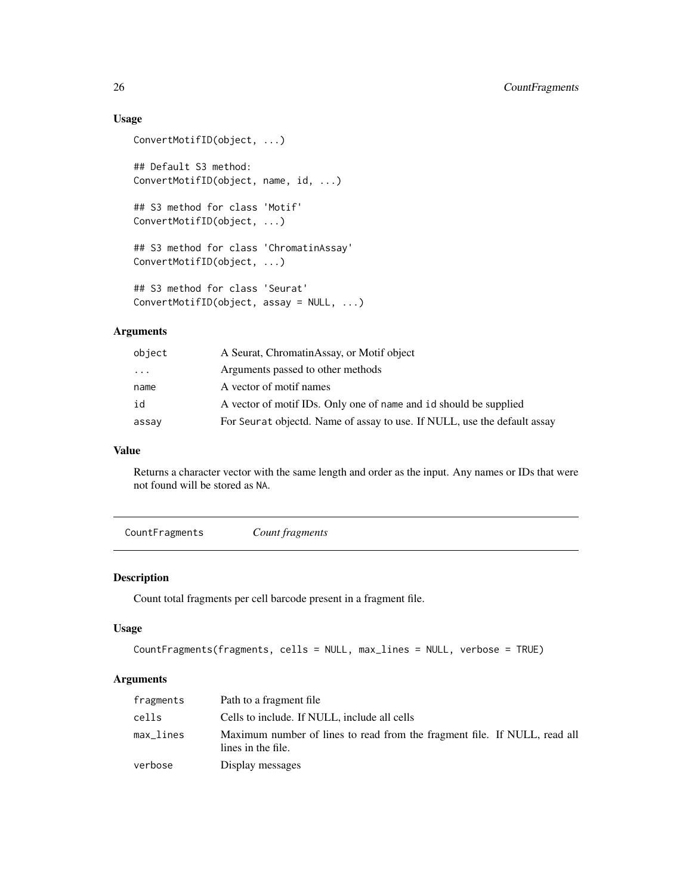### Usage

```
ConvertMotifID(object, ...)
## Default S3 method:
ConvertMotifID(object, name, id, ...)
## S3 method for class 'Motif'
ConvertMotifID(object, ...)
## S3 method for class 'ChromatinAssay'
ConvertMotifID(object, ...)
## S3 method for class 'Seurat'
ConvertMotifID(object, assay = NULL, ...)
```
### Arguments

| object                  | A Seurat, ChromatinAssay, or Motif object                                |
|-------------------------|--------------------------------------------------------------------------|
| $\cdot$ $\cdot$ $\cdot$ | Arguments passed to other methods                                        |
| name                    | A vector of motif names                                                  |
| id                      | A vector of motif IDs. Only one of name and id should be supplied        |
| assay                   | For Seurat objectd. Name of assay to use. If NULL, use the default assay |

### Value

Returns a character vector with the same length and order as the input. Any names or IDs that were not found will be stored as NA.

CountFragments *Count fragments*

### Description

Count total fragments per cell barcode present in a fragment file.

### Usage

```
CountFragments(fragments, cells = NULL, max_lines = NULL, verbose = TRUE)
```

| fragments | Path to a fragment file.                                                                        |
|-----------|-------------------------------------------------------------------------------------------------|
| cells     | Cells to include. If NULL, include all cells                                                    |
| max_lines | Maximum number of lines to read from the fragment file. If NULL, read all<br>lines in the file. |
| verbose   | Display messages                                                                                |

<span id="page-25-0"></span>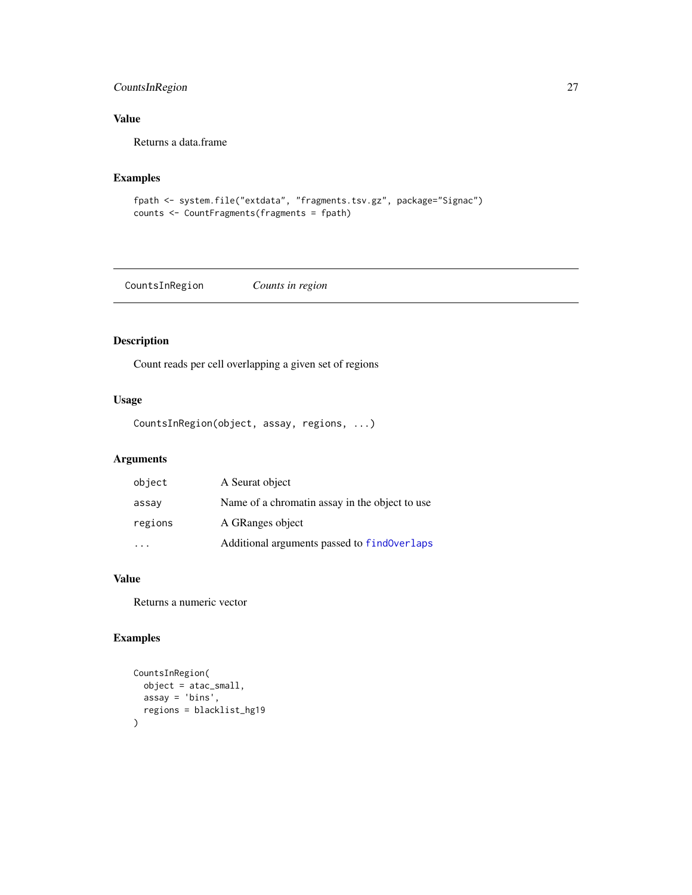### <span id="page-26-0"></span>CountsInRegion 27

### Value

Returns a data.frame

### Examples

```
fpath <- system.file("extdata", "fragments.tsv.gz", package="Signac")
counts <- CountFragments(fragments = fpath)
```
CountsInRegion *Counts in region*

### Description

Count reads per cell overlapping a given set of regions

### Usage

```
CountsInRegion(object, assay, regions, ...)
```
### Arguments

| object  | A Seurat object                                |
|---------|------------------------------------------------|
| assay   | Name of a chromatin assay in the object to use |
| regions | A GRanges object                               |
|         | Additional arguments passed to find Overlaps   |

### Value

Returns a numeric vector

### Examples

```
CountsInRegion(
  object = atac_small,
  \overline{\text{assign}} = 'bins',
  regions = blacklist_hg19
\mathcal{L}
```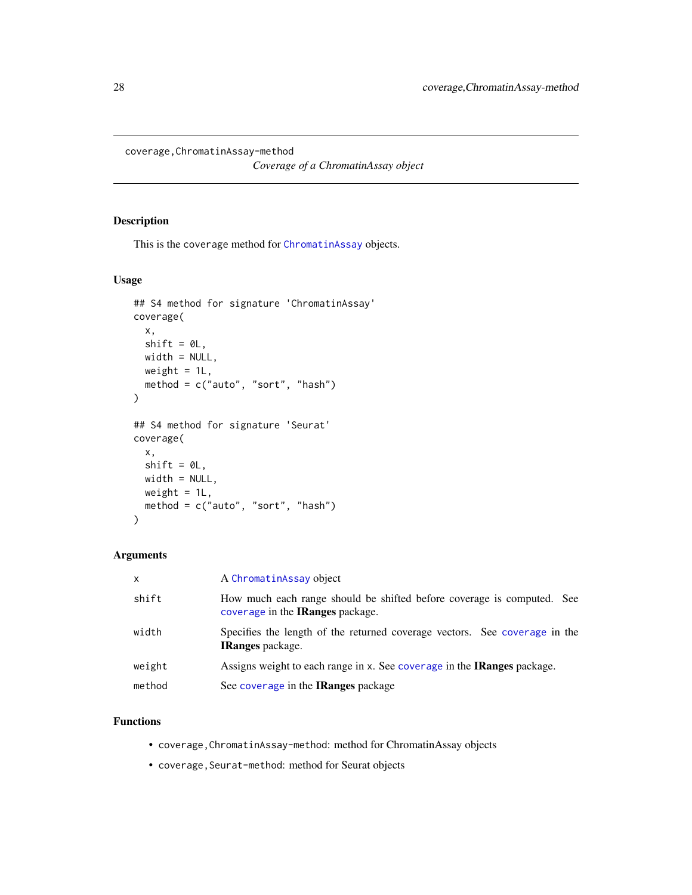<span id="page-27-0"></span>coverage,ChromatinAssay-method

*Coverage of a ChromatinAssay object*

### <span id="page-27-1"></span>Description

This is the coverage method for [ChromatinAssay](#page-21-1) objects.

### Usage

```
## S4 method for signature 'ChromatinAssay'
coverage(
 x,
 shift = 0L,width = NULL,
 weight = 1L,
 method = c("auto", "sort", "hash")
)
## S4 method for signature 'Seurat'
coverage(
 x,
 shift = 0L,width = NULL,
 weight = 1L,
 method = c("auto", "sort", "hash")
)
```
### Arguments

| x      | A ChromatinAssay object                                                                                           |
|--------|-------------------------------------------------------------------------------------------------------------------|
| shift  | How much each range should be shifted before coverage is computed. See<br>coverage in the <b>IRanges</b> package. |
| width  | Specifies the length of the returned coverage vectors. See coverage in the<br><b>IRanges</b> package.             |
| weight | Assigns weight to each range in x. See coverage in the <b>IRanges</b> package.                                    |
| method | See coverage in the <b>IRanges</b> package                                                                        |

### Functions

- coverage,ChromatinAssay-method: method for ChromatinAssay objects
- coverage, Seurat-method: method for Seurat objects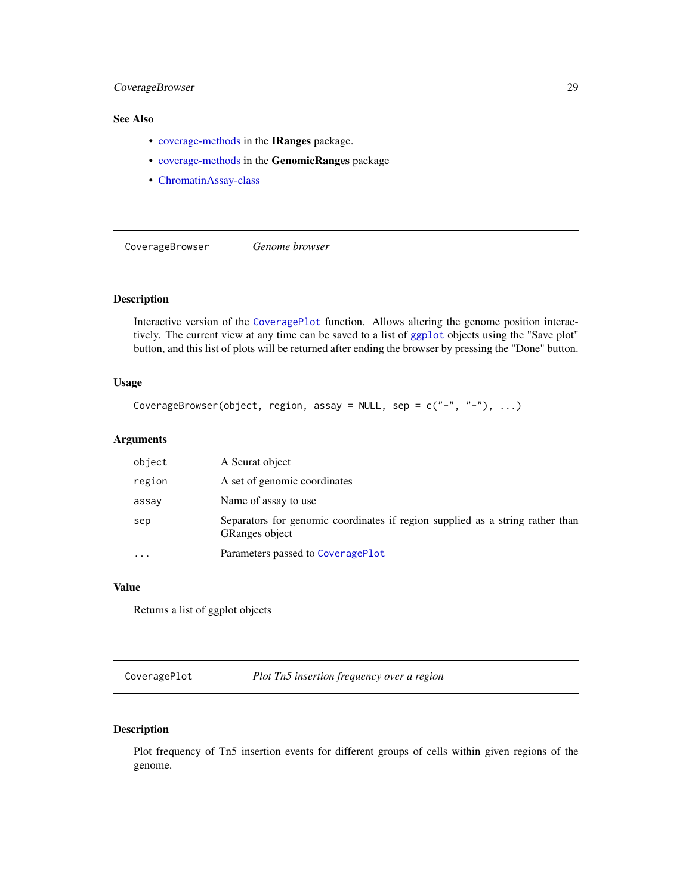### <span id="page-28-0"></span>CoverageBrowser 29

### See Also

- [coverage-methods](#page-0-0) in the IRanges package.
- [coverage-methods](#page-0-0) in the GenomicRanges package
- [ChromatinAssay-class](#page-21-2)

CoverageBrowser *Genome browser*

### Description

Interactive version of the [CoveragePlot](#page-28-1) function. Allows altering the genome position interactively. The current view at any time can be saved to a list of [ggplot](#page-0-0) objects using the "Save plot" button, and this list of plots will be returned after ending the browser by pressing the "Done" button.

#### Usage

```
CoverageBrowser(object, region, assay = NULL, sep = c("-", "-"), ...)
```
### Arguments

| object    | A Seurat object                                                                                        |
|-----------|--------------------------------------------------------------------------------------------------------|
| region    | A set of genomic coordinates                                                                           |
| assay     | Name of assay to use                                                                                   |
| sep       | Separators for genomic coordinates if region supplied as a string rather than<br><b>GRanges object</b> |
| $\ddotsc$ | Parameters passed to CoveragePlot                                                                      |

#### Value

Returns a list of ggplot objects

<span id="page-28-1"></span>CoveragePlot *Plot Tn5 insertion frequency over a region*

### Description

Plot frequency of Tn5 insertion events for different groups of cells within given regions of the genome.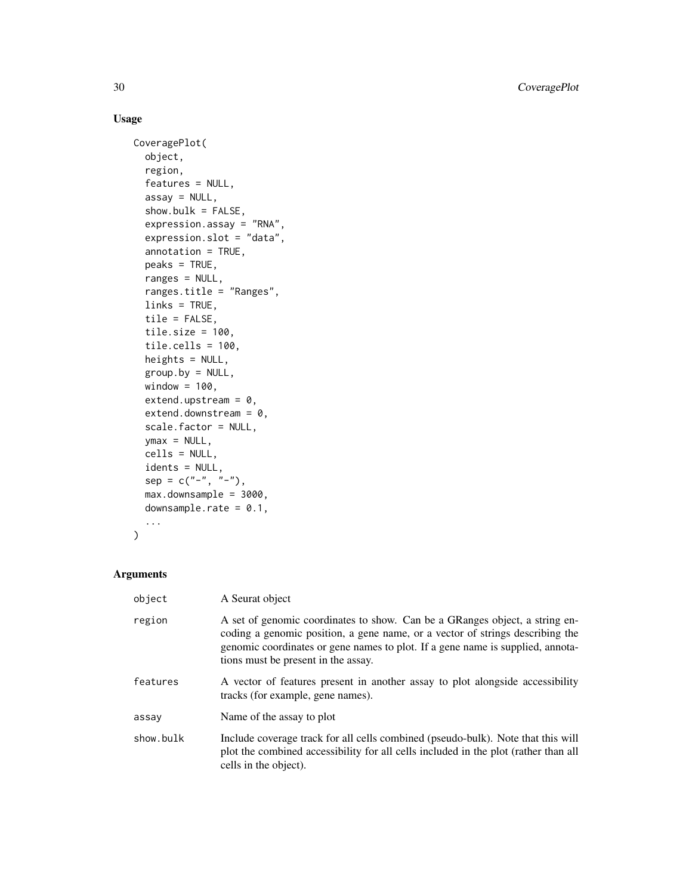### Usage

```
CoveragePlot(
  object,
  region,
  features = NULL,
  assay = NULL,
  show.bulk = FALSE,expression.assay = "RNA",
  expression.slot = "data",
  annotation = TRUE,
 peaks = TRUE,ranges = NULL,
  ranges.title = "Ranges",
  links = TRUE,
  tile = FALSE,
  tile.size = 100,
  tile.cells = 100,
 heights = NULL,
  group.py = NULL,window = 100,
  extend.upstream = 0,
  extend.downstream = 0,
  scale.factor = NULL,
  ymax = NULL,
  cells = NULL,
  idents = NULL,
  sep = c("-", "-"),
 max.downsample = 3000,
  downsample.rate = 0.1,
  ...
\mathcal{L}
```

| object    | A Seurat object                                                                                                                                                                                                                                                                       |
|-----------|---------------------------------------------------------------------------------------------------------------------------------------------------------------------------------------------------------------------------------------------------------------------------------------|
| region    | A set of genomic coordinates to show. Can be a GRanges object, a string en-<br>coding a genomic position, a gene name, or a vector of strings describing the<br>genomic coordinates or gene names to plot. If a gene name is supplied, annota-<br>tions must be present in the assay. |
| features  | A vector of features present in another assay to plot alongside accessibility<br>tracks (for example, gene names).                                                                                                                                                                    |
| assay     | Name of the assay to plot                                                                                                                                                                                                                                                             |
| show.bulk | Include coverage track for all cells combined (pseudo-bulk). Note that this will<br>plot the combined accessibility for all cells included in the plot (rather than all<br>cells in the object).                                                                                      |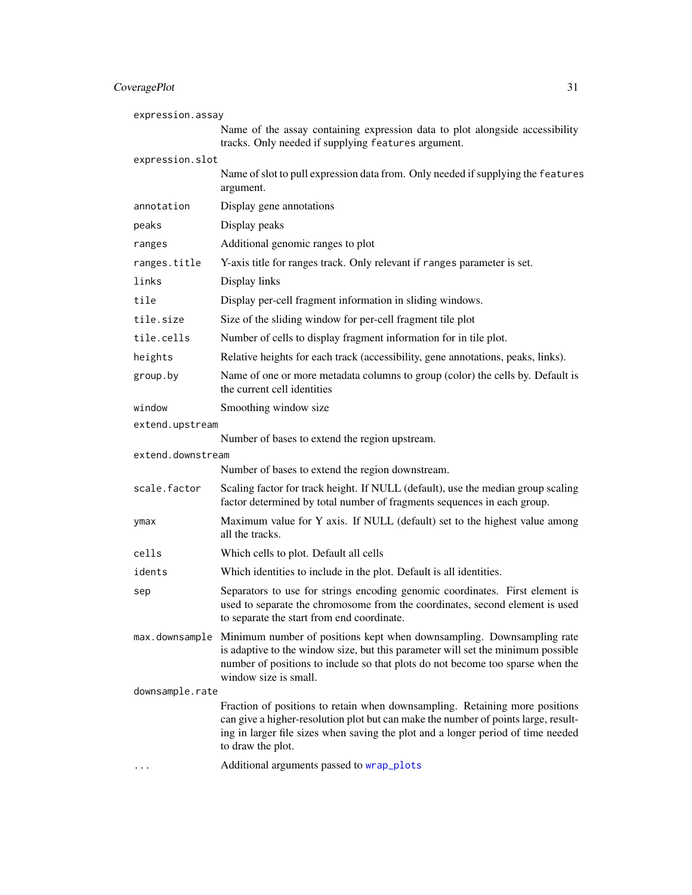| expression.assay  |                                                                                                                                                                                                                                                                                     |
|-------------------|-------------------------------------------------------------------------------------------------------------------------------------------------------------------------------------------------------------------------------------------------------------------------------------|
|                   | Name of the assay containing expression data to plot alongside accessibility<br>tracks. Only needed if supplying features argument.                                                                                                                                                 |
| expression.slot   |                                                                                                                                                                                                                                                                                     |
|                   | Name of slot to pull expression data from. Only needed if supplying the features<br>argument.                                                                                                                                                                                       |
| annotation        | Display gene annotations                                                                                                                                                                                                                                                            |
| peaks             | Display peaks                                                                                                                                                                                                                                                                       |
| ranges            | Additional genomic ranges to plot                                                                                                                                                                                                                                                   |
| ranges.title      | Y-axis title for ranges track. Only relevant if ranges parameter is set.                                                                                                                                                                                                            |
| links             | Display links                                                                                                                                                                                                                                                                       |
| tile              | Display per-cell fragment information in sliding windows.                                                                                                                                                                                                                           |
| tile.size         | Size of the sliding window for per-cell fragment tile plot                                                                                                                                                                                                                          |
| tile.cells        | Number of cells to display fragment information for in tile plot.                                                                                                                                                                                                                   |
| heights           | Relative heights for each track (accessibility, gene annotations, peaks, links).                                                                                                                                                                                                    |
| group.by          | Name of one or more metadata columns to group (color) the cells by. Default is<br>the current cell identities                                                                                                                                                                       |
| window            | Smoothing window size                                                                                                                                                                                                                                                               |
| extend.upstream   |                                                                                                                                                                                                                                                                                     |
| extend.downstream | Number of bases to extend the region upstream.                                                                                                                                                                                                                                      |
|                   | Number of bases to extend the region downstream.                                                                                                                                                                                                                                    |
| scale.factor      | Scaling factor for track height. If NULL (default), use the median group scaling<br>factor determined by total number of fragments sequences in each group.                                                                                                                         |
| ymax              | Maximum value for Y axis. If NULL (default) set to the highest value among<br>all the tracks.                                                                                                                                                                                       |
| cells             | Which cells to plot. Default all cells                                                                                                                                                                                                                                              |
| idents            | Which identities to include in the plot. Default is all identities.                                                                                                                                                                                                                 |
| sep               | Separators to use for strings encoding genomic coordinates. First element is<br>used to separate the chromosome from the coordinates, second element is used<br>to separate the start from end coordinate.                                                                          |
|                   | max.downsample Minimum number of positions kept when downsampling. Downsampling rate<br>is adaptive to the window size, but this parameter will set the minimum possible<br>number of positions to include so that plots do not become too sparse when the<br>window size is small. |
| downsample.rate   |                                                                                                                                                                                                                                                                                     |
|                   | Fraction of positions to retain when downsampling. Retaining more positions<br>can give a higher-resolution plot but can make the number of points large, result-<br>ing in larger file sizes when saving the plot and a longer period of time needed<br>to draw the plot.          |
|                   | Additional arguments passed to wrap_plots                                                                                                                                                                                                                                           |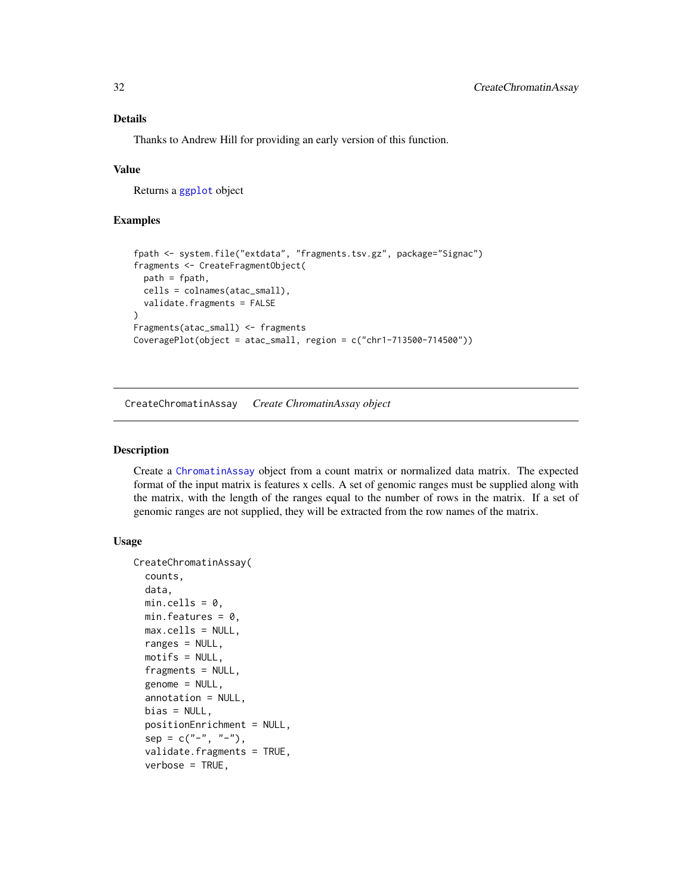### <span id="page-31-0"></span>Details

Thanks to Andrew Hill for providing an early version of this function.

#### Value

Returns a [ggplot](#page-0-0) object

### Examples

```
fpath <- system.file("extdata", "fragments.tsv.gz", package="Signac")
fragments <- CreateFragmentObject(
 path = fpath,
 cells = colnames(atac_small),
 validate.fragments = FALSE
\mathcal{L}Fragments(atac_small) <- fragments
CoveragePlot(object = atac_small, region = c("chr1-713500-714500"))
```
CreateChromatinAssay *Create ChromatinAssay object*

#### Description

Create a [ChromatinAssay](#page-21-1) object from a count matrix or normalized data matrix. The expected format of the input matrix is features x cells. A set of genomic ranges must be supplied along with the matrix, with the length of the ranges equal to the number of rows in the matrix. If a set of genomic ranges are not supplied, they will be extracted from the row names of the matrix.

### Usage

```
CreateChromatinAssay(
  counts,
  data,
 min.cells = 0,min.features = 0,
 max.cells = NULL,
  ranges = NULL,
 motifs = NULL,
  fragments = NULL,
  genome = NULL,
  annotation = NULL,
 bias = NULL,
  positionEnrichment = NULL,
  sep = c("-", "-"),
  validate.fragments = TRUE,
  verbose = TRUE,
```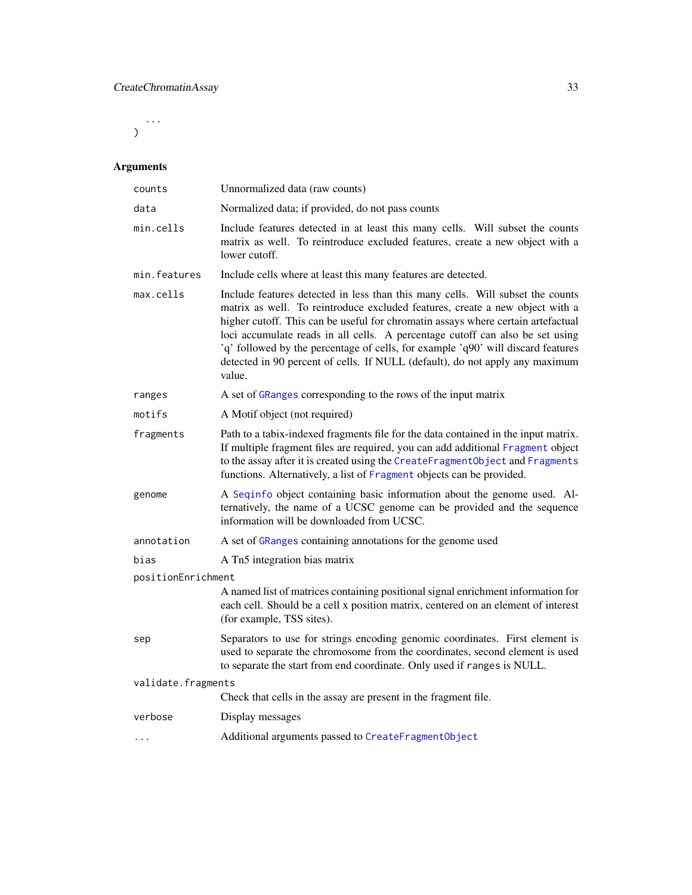...  $\mathcal{L}$ 

| counts             | Unnormalized data (raw counts)                                                                                                                                                                                                                                                                                                                                                                                                                                                                                    |  |
|--------------------|-------------------------------------------------------------------------------------------------------------------------------------------------------------------------------------------------------------------------------------------------------------------------------------------------------------------------------------------------------------------------------------------------------------------------------------------------------------------------------------------------------------------|--|
| data               | Normalized data; if provided, do not pass counts                                                                                                                                                                                                                                                                                                                                                                                                                                                                  |  |
| min.cells          | Include features detected in at least this many cells. Will subset the counts<br>matrix as well. To reintroduce excluded features, create a new object with a<br>lower cutoff.                                                                                                                                                                                                                                                                                                                                    |  |
| min.features       | Include cells where at least this many features are detected.                                                                                                                                                                                                                                                                                                                                                                                                                                                     |  |
| max.cells          | Include features detected in less than this many cells. Will subset the counts<br>matrix as well. To reintroduce excluded features, create a new object with a<br>higher cutoff. This can be useful for chromatin assays where certain artefactual<br>loci accumulate reads in all cells. A percentage cutoff can also be set using<br>'q' followed by the percentage of cells, for example 'q90' will discard features<br>detected in 90 percent of cells. If NULL (default), do not apply any maximum<br>value. |  |
| ranges             | A set of GRanges corresponding to the rows of the input matrix                                                                                                                                                                                                                                                                                                                                                                                                                                                    |  |
| motifs             | A Motif object (not required)                                                                                                                                                                                                                                                                                                                                                                                                                                                                                     |  |
| fragments          | Path to a tabix-indexed fragments file for the data contained in the input matrix.<br>If multiple fragment files are required, you can add additional Fragment object<br>to the assay after it is created using the CreateFragmentObject and Fragments<br>functions. Alternatively, a list of Fragment objects can be provided.                                                                                                                                                                                   |  |
| genome             | A Seqinfo object containing basic information about the genome used. Al-<br>ternatively, the name of a UCSC genome can be provided and the sequence<br>information will be downloaded from UCSC.                                                                                                                                                                                                                                                                                                                  |  |
| annotation         | A set of GRanges containing annotations for the genome used                                                                                                                                                                                                                                                                                                                                                                                                                                                       |  |
| bias               | A Tn5 integration bias matrix                                                                                                                                                                                                                                                                                                                                                                                                                                                                                     |  |
| positionEnrichment |                                                                                                                                                                                                                                                                                                                                                                                                                                                                                                                   |  |
|                    | A named list of matrices containing positional signal enrichment information for<br>each cell. Should be a cell x position matrix, centered on an element of interest<br>(for example, TSS sites).                                                                                                                                                                                                                                                                                                                |  |
| sep                | Separators to use for strings encoding genomic coordinates. First element is<br>used to separate the chromosome from the coordinates, second element is used<br>to separate the start from end coordinate. Only used if ranges is NULL.                                                                                                                                                                                                                                                                           |  |
| validate.fragments |                                                                                                                                                                                                                                                                                                                                                                                                                                                                                                                   |  |
|                    | Check that cells in the assay are present in the fragment file.                                                                                                                                                                                                                                                                                                                                                                                                                                                   |  |
| verbose            | Display messages                                                                                                                                                                                                                                                                                                                                                                                                                                                                                                  |  |
|                    | Additional arguments passed to CreateFragmentObject                                                                                                                                                                                                                                                                                                                                                                                                                                                               |  |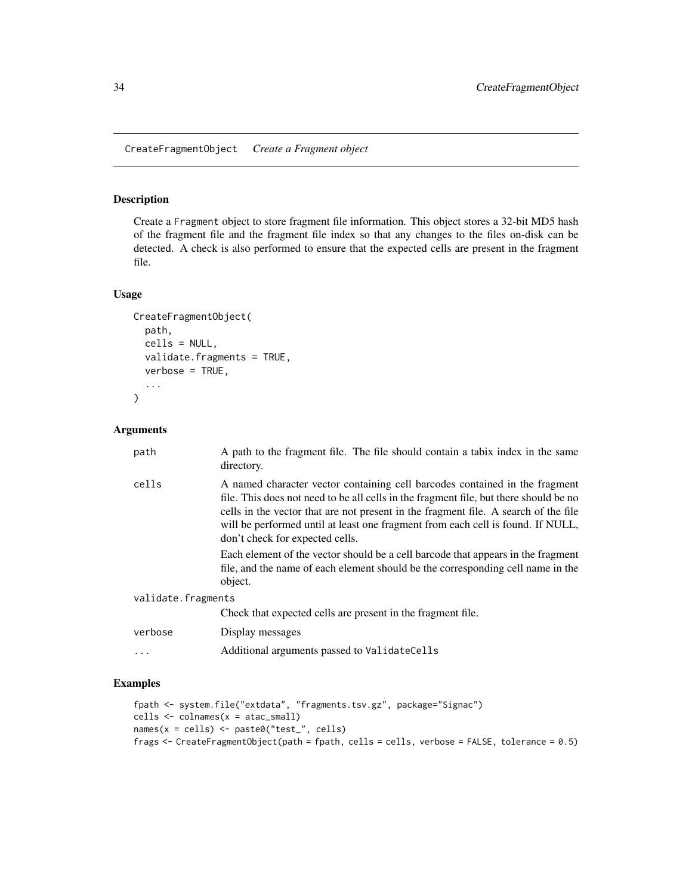<span id="page-33-1"></span><span id="page-33-0"></span>CreateFragmentObject *Create a Fragment object*

### Description

Create a Fragment object to store fragment file information. This object stores a 32-bit MD5 hash of the fragment file and the fragment file index so that any changes to the files on-disk can be detected. A check is also performed to ensure that the expected cells are present in the fragment file.

#### Usage

```
CreateFragmentObject(
  path,
  cells = NULL,
  validate.fragments = TRUE,
  verbose = TRUE,
  ...
\mathcal{L}
```
### Arguments

| path               | A path to the fragment file. The file should contain a tabix index in the same<br>directory.                                                                                                                                                                                                                                                                                      |
|--------------------|-----------------------------------------------------------------------------------------------------------------------------------------------------------------------------------------------------------------------------------------------------------------------------------------------------------------------------------------------------------------------------------|
| cells              | A named character vector containing cell barcodes contained in the fragment<br>file. This does not need to be all cells in the fragment file, but there should be no<br>cells in the vector that are not present in the fragment file. A search of the file<br>will be performed until at least one fragment from each cell is found. If NULL,<br>don't check for expected cells. |
|                    | Each element of the vector should be a cell barcode that appears in the fragment<br>file, and the name of each element should be the corresponding cell name in the<br>object.                                                                                                                                                                                                    |
| validate.fragments |                                                                                                                                                                                                                                                                                                                                                                                   |
|                    | Check that expected cells are present in the fragment file.                                                                                                                                                                                                                                                                                                                       |
| verbose            | Display messages                                                                                                                                                                                                                                                                                                                                                                  |
|                    | Additional arguments passed to ValidateCells                                                                                                                                                                                                                                                                                                                                      |

### Examples

```
fpath <- system.file("extdata", "fragments.tsv.gz", package="Signac")
cells <- colnames(x = atac_small)
names(x = cells) <- paste0("test_", cells)
frags <- CreateFragmentObject(path = fpath, cells = cells, verbose = FALSE, tolerance = 0.5)
```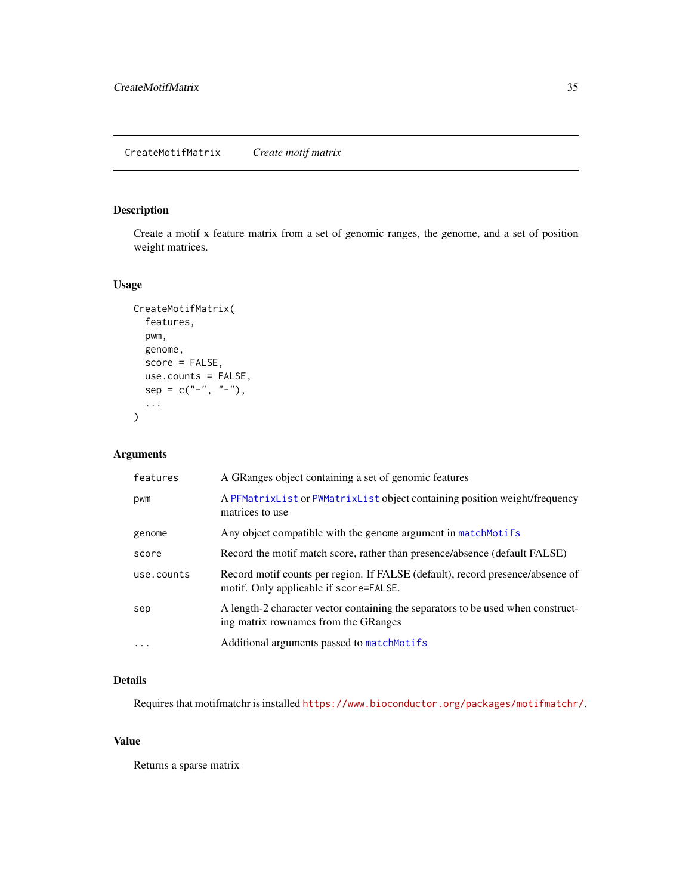<span id="page-34-0"></span>Create a motif x feature matrix from a set of genomic ranges, the genome, and a set of position weight matrices.

### Usage

```
CreateMotifMatrix(
  features,
  pwm,
  genome,
  score = FALSE,
  use.counts = FALSE,
  sep = c("-", "-"),
  ...
)
```
### Arguments

| features   | A GRanges object containing a set of genomic features                                                                    |
|------------|--------------------------------------------------------------------------------------------------------------------------|
| pwm        | A PFMatrixList or PWMatrixList object containing position weight/frequency<br>matrices to use                            |
| genome     | Any object compatible with the genome argument in match Motifs                                                           |
| score      | Record the motif match score, rather than presence/absence (default FALSE)                                               |
| use.counts | Record motif counts per region. If FALSE (default), record presence/absence of<br>motif. Only applicable if score=FALSE. |
| sep        | A length-2 character vector containing the separators to be used when construct-<br>ing matrix rownames from the GRanges |
| $\ddotsc$  | Additional arguments passed to match Motifs                                                                              |

### Details

Requires that motifmatchr is installed <https://www.bioconductor.org/packages/motifmatchr/>.

### Value

Returns a sparse matrix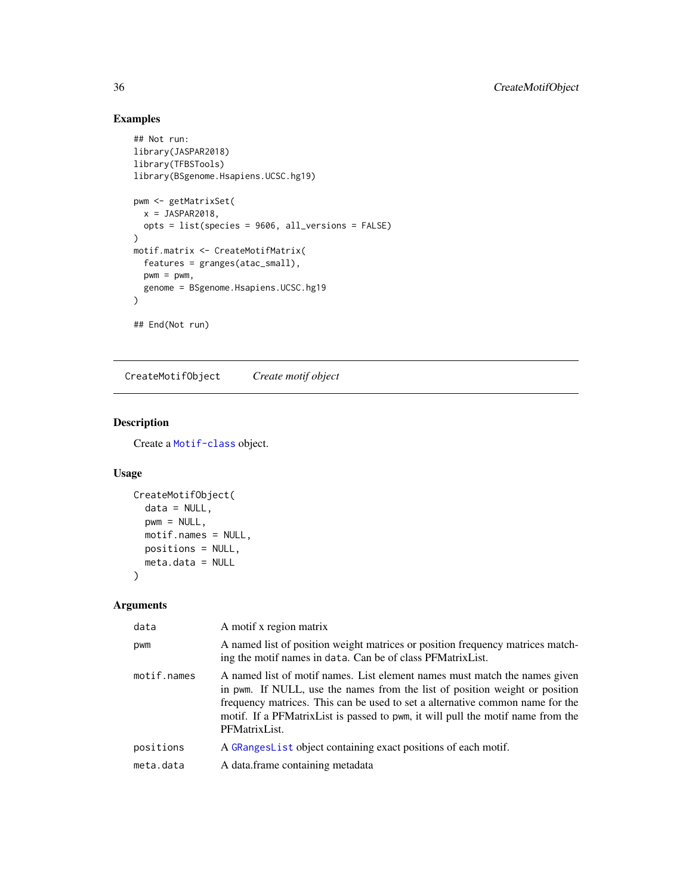### Examples

```
## Not run:
library(JASPAR2018)
library(TFBSTools)
library(BSgenome.Hsapiens.UCSC.hg19)
pwm <- getMatrixSet(
  x = JASPAR2018,
  opts = list(species = 9606, all_versions = FALSE)
\lambdamotif.matrix <- CreateMotifMatrix(
  features = granges(atac_small),
  pwm = pwm,genome = BSgenome.Hsapiens.UCSC.hg19
\lambda## End(Not run)
```
CreateMotifObject *Create motif object*

### Description

Create a [Motif-class](#page-73-2) object.

### Usage

```
CreateMotifObject(
  data = NULL,
 pwm = NULL,motif.names = NULL,
 positions = NULL,
 meta.data = NULL
\lambda
```

| data        | A motif x region matrix                                                                                                                                                                                                                                                                                                                        |
|-------------|------------------------------------------------------------------------------------------------------------------------------------------------------------------------------------------------------------------------------------------------------------------------------------------------------------------------------------------------|
| pwm         | A named list of position weight matrices or position frequency matrices match-<br>ing the motif names in data. Can be of class PFMatrix List.                                                                                                                                                                                                  |
| motif.names | A named list of motif names. List element names must match the names given<br>in pwm. If NULL, use the names from the list of position weight or position<br>frequency matrices. This can be used to set a alternative common name for the<br>motif. If a PFMatrixList is passed to pwm, it will pull the motif name from the<br>PFMatrixList. |
| positions   | A GRange slist object containing exact positions of each motif.                                                                                                                                                                                                                                                                                |
| meta.data   | A data.frame containing metadata                                                                                                                                                                                                                                                                                                               |

<span id="page-35-0"></span>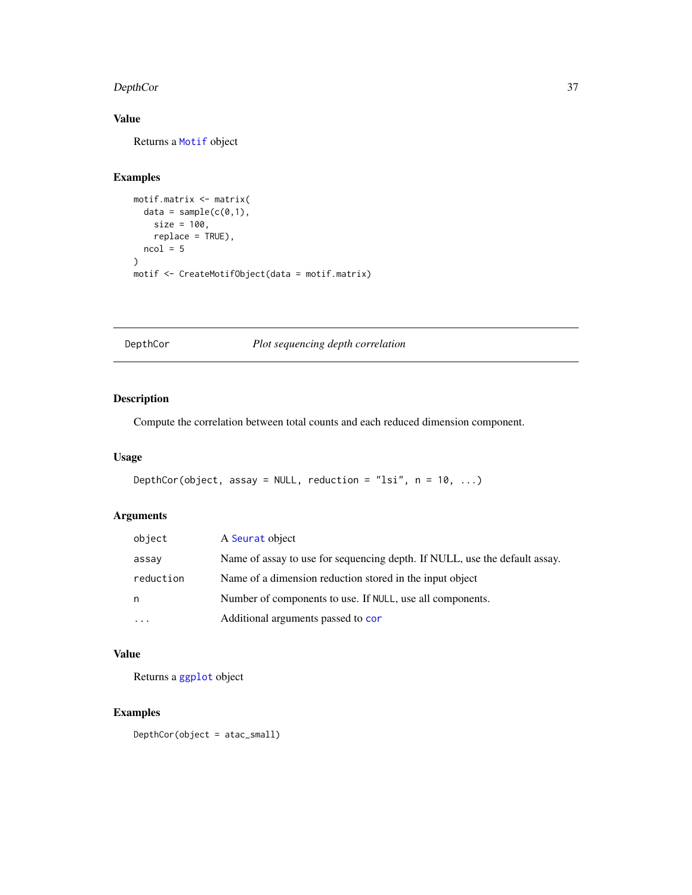#### DepthCor 37

# Value

Returns a [Motif](#page-73-0) object

# Examples

```
motif.matrix <- matrix(
 data = sample(c(0,1),size = 100,replace = TRUE),
 ncol = 5\mathcal{L}motif <- CreateMotifObject(data = motif.matrix)
```
# DepthCor *Plot sequencing depth correlation*

# Description

Compute the correlation between total counts and each reduced dimension component.

# Usage

```
DepthCor(object, assay = NULL, reduction = "lsi", n = 10, ...)
```
# Arguments

| object    | A Seurat object                                                            |
|-----------|----------------------------------------------------------------------------|
| assay     | Name of assay to use for sequencing depth. If NULL, use the default assay. |
| reduction | Name of a dimension reduction stored in the input object                   |
| n         | Number of components to use. If NULL, use all components.                  |
| $\cdots$  | Additional arguments passed to cor                                         |

# Value

Returns a [ggplot](#page-0-0) object

# Examples

DepthCor(object = atac\_small)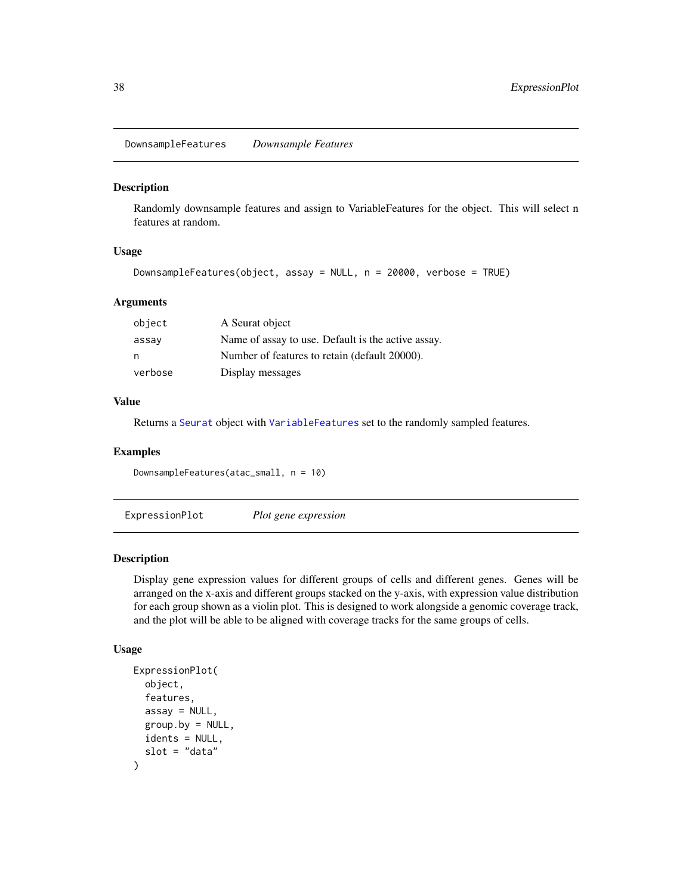DownsampleFeatures *Downsample Features*

#### Description

Randomly downsample features and assign to VariableFeatures for the object. This will select n features at random.

#### Usage

```
DownsampleFeatures(object, assay = NULL, n = 20000, verbose = TRUE)
```
### Arguments

| object  | A Seurat object                                    |
|---------|----------------------------------------------------|
| assay   | Name of assay to use. Default is the active assay. |
| n       | Number of features to retain (default 20000).      |
| verbose | Display messages                                   |

#### Value

Returns a [Seurat](#page-0-0) object with [VariableFeatures](#page-0-0) set to the randomly sampled features.

#### Examples

DownsampleFeatures(atac\_small, n = 10)

ExpressionPlot *Plot gene expression*

## Description

Display gene expression values for different groups of cells and different genes. Genes will be arranged on the x-axis and different groups stacked on the y-axis, with expression value distribution for each group shown as a violin plot. This is designed to work alongside a genomic coverage track, and the plot will be able to be aligned with coverage tracks for the same groups of cells.

```
ExpressionPlot(
 object,
  features,
  assay = NULL,group.py = NULL,idents = NULL,
  slot = "data"
)
```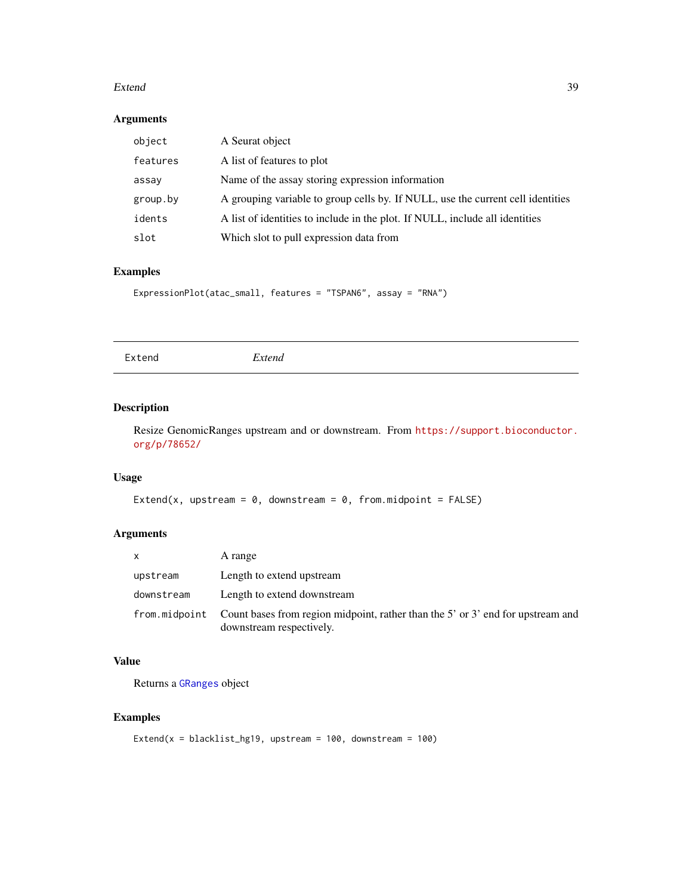#### Extend 39

# Arguments

| object   | A Seurat object                                                                 |
|----------|---------------------------------------------------------------------------------|
| features | A list of features to plot                                                      |
| assay    | Name of the assay storing expression information                                |
| group.by | A grouping variable to group cells by. If NULL, use the current cell identities |
| idents   | A list of identities to include in the plot. If NULL, include all identities    |
| slot     | Which slot to pull expression data from                                         |

# Examples

ExpressionPlot(atac\_small, features = "TSPAN6", assay = "RNA")

# Description

Resize GenomicRanges upstream and or downstream. From [https://support.bioconductor.](https://support.bioconductor.org/p/78652/) [org/p/78652/](https://support.bioconductor.org/p/78652/)

# Usage

```
Extend(x, upstream = 0, downstream = 0, from.midpoint = FALSE)
```
# Arguments

| $\mathsf{x}$  | A range                                                                                                     |
|---------------|-------------------------------------------------------------------------------------------------------------|
| upstream      | Length to extend upstream                                                                                   |
| downstream    | Length to extend downstream                                                                                 |
| from.midpoint | Count bases from region midpoint, rather than the 5' or 3' end for upstream and<br>downstream respectively. |

# Value

Returns a [GRanges](#page-0-0) object

# Examples

Extend( $x = blacklist_hq19$ , upstream = 100, downstream = 100)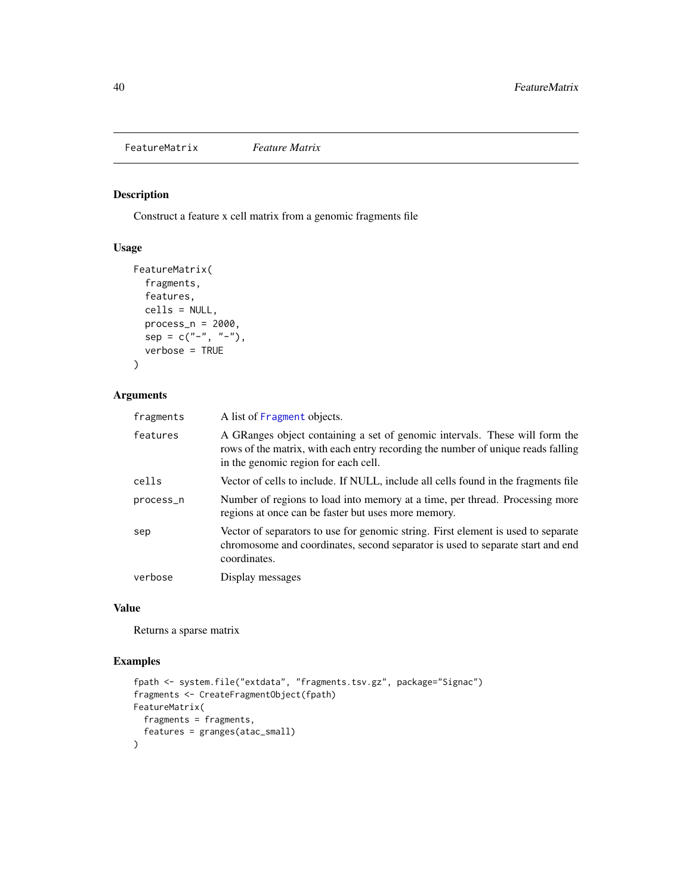<span id="page-39-0"></span>FeatureMatrix *Feature Matrix*

# Description

Construct a feature x cell matrix from a genomic fragments file

# Usage

```
FeatureMatrix(
  fragments,
  features,
  cells = NULL,
 process_n = 2000,sep = c("-"," "-"),verbose = TRUE
)
```
# Arguments

| fragments | A list of Fragment objects.                                                                                                                                                                             |
|-----------|---------------------------------------------------------------------------------------------------------------------------------------------------------------------------------------------------------|
| features  | A GRanges object containing a set of genomic intervals. These will form the<br>rows of the matrix, with each entry recording the number of unique reads falling<br>in the genomic region for each cell. |
| cells     | Vector of cells to include. If NULL, include all cells found in the fragments file                                                                                                                      |
| process_n | Number of regions to load into memory at a time, per thread. Processing more<br>regions at once can be faster but uses more memory.                                                                     |
| sep       | Vector of separators to use for genomic string. First element is used to separate<br>chromosome and coordinates, second separator is used to separate start and end<br>coordinates.                     |
| verbose   | Display messages                                                                                                                                                                                        |

## Value

Returns a sparse matrix

```
fpath <- system.file("extdata", "fragments.tsv.gz", package="Signac")
fragments <- CreateFragmentObject(fpath)
FeatureMatrix(
 fragments = fragments,
  features = granges(atac_small)
\mathcal{L}
```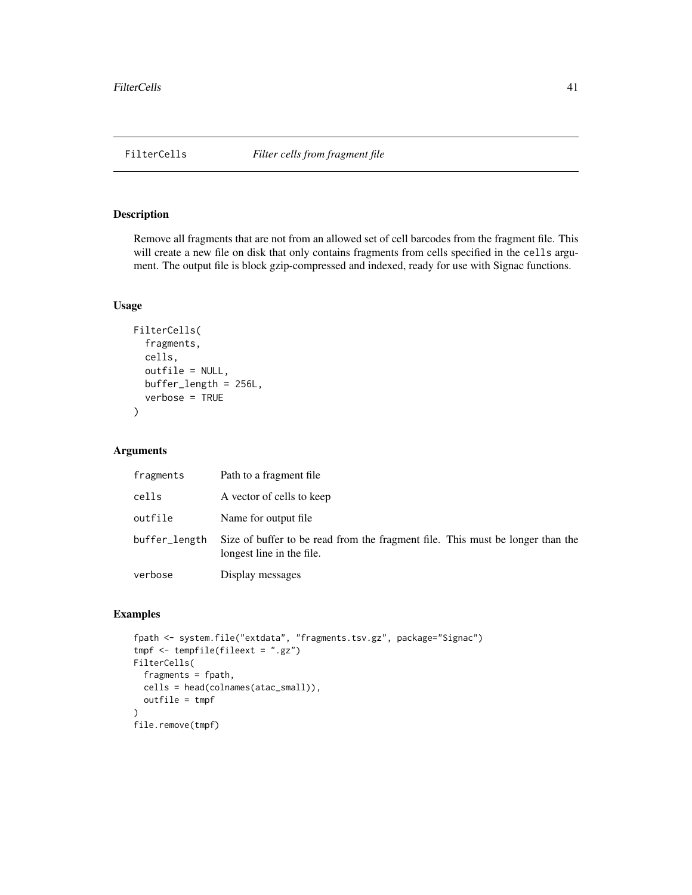#### Description

Remove all fragments that are not from an allowed set of cell barcodes from the fragment file. This will create a new file on disk that only contains fragments from cells specified in the cells argument. The output file is block gzip-compressed and indexed, ready for use with Signac functions.

## Usage

```
FilterCells(
  fragments,
  cells,
  outfile = NULL,
  buffer_length = 256L,
  verbose = TRUE
\mathcal{L}
```
#### Arguments

| fragments     | Path to a fragment file.                                                                                    |
|---------------|-------------------------------------------------------------------------------------------------------------|
| cells         | A vector of cells to keep                                                                                   |
| outfile       | Name for output file.                                                                                       |
| buffer_length | Size of buffer to be read from the fragment file. This must be longer than the<br>longest line in the file. |
| verbose       | Display messages                                                                                            |

```
fpath <- system.file("extdata", "fragments.tsv.gz", package="Signac")
tmpf <- tempfile(fileext = ".gz")
FilterCells(
  fragments = fpath,
  cells = head(colnames(atac_small)),
  outfile = tmpf
)
file.remove(tmpf)
```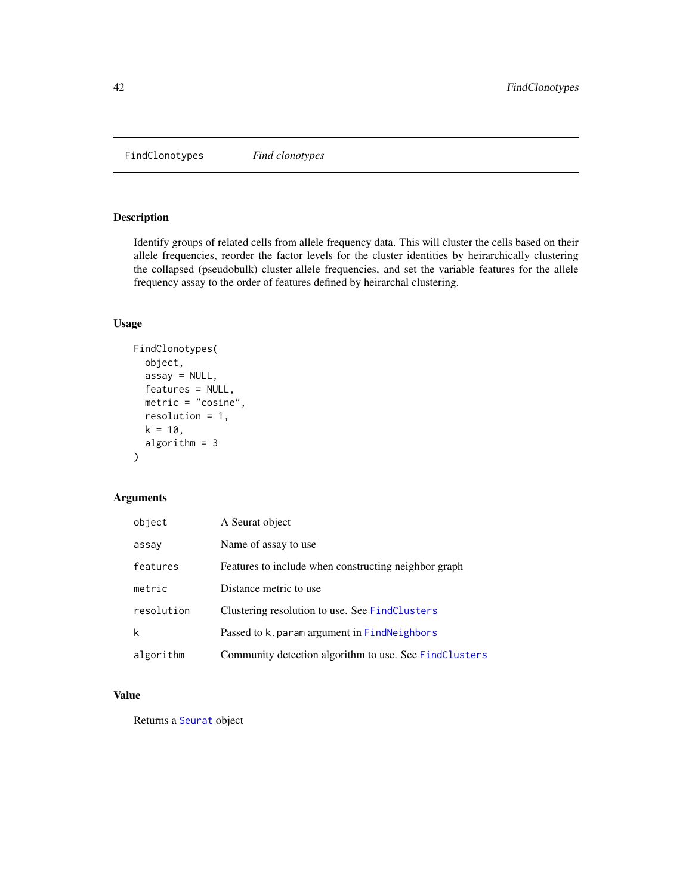FindClonotypes *Find clonotypes*

## Description

Identify groups of related cells from allele frequency data. This will cluster the cells based on their allele frequencies, reorder the factor levels for the cluster identities by heirarchically clustering the collapsed (pseudobulk) cluster allele frequencies, and set the variable features for the allele frequency assay to the order of features defined by heirarchal clustering.

# Usage

```
FindClonotypes(
  object,
  assay = NULL,
  features = NULL,
  metric = "cosine",
  resolution = 1,
  k = 10,
  algorithm = 3
)
```
# Arguments

| object     | A Seurat object                                        |
|------------|--------------------------------------------------------|
| assay      | Name of assay to use                                   |
| features   | Features to include when constructing neighbor graph   |
| metric     | Distance metric to use                                 |
| resolution | Clustering resolution to use. See FindClusters         |
| k          | Passed to k. param argument in FindNeighbors           |
| algorithm  | Community detection algorithm to use. See FindClusters |

# Value

Returns a [Seurat](#page-0-0) object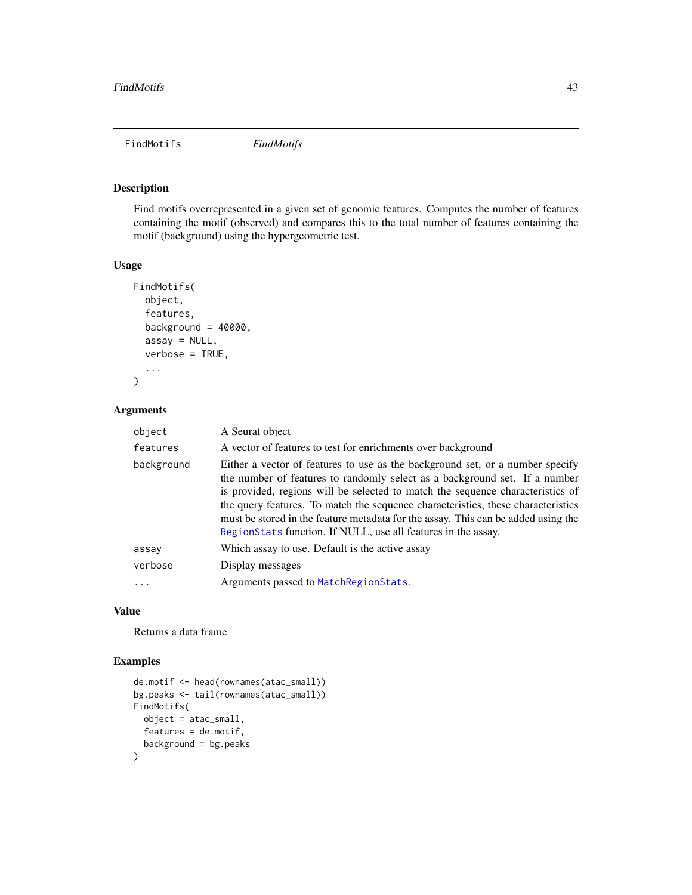### Description

Find motifs overrepresented in a given set of genomic features. Computes the number of features containing the motif (observed) and compares this to the total number of features containing the motif (background) using the hypergeometric test.

### Usage

```
FindMotifs(
  object,
  features,
  background = 40000,
  assay = NULL,
  verbose = TRUE,
  ...
\mathcal{L}
```
# Arguments

| object     | A Seurat object                                                                                                                                                                                                                                                                                                                                                                                                                                                                         |
|------------|-----------------------------------------------------------------------------------------------------------------------------------------------------------------------------------------------------------------------------------------------------------------------------------------------------------------------------------------------------------------------------------------------------------------------------------------------------------------------------------------|
| features   | A vector of features to test for enrichments over background                                                                                                                                                                                                                                                                                                                                                                                                                            |
| background | Either a vector of features to use as the background set, or a number specify<br>the number of features to randomly select as a background set. If a number<br>is provided, regions will be selected to match the sequence characteristics of<br>the query features. To match the sequence characteristics, these characteristics<br>must be stored in the feature metadata for the assay. This can be added using the<br>RegionStats function. If NULL, use all features in the assay. |
|            | Which assay to use. Default is the active assay                                                                                                                                                                                                                                                                                                                                                                                                                                         |
| verbose    | Display messages                                                                                                                                                                                                                                                                                                                                                                                                                                                                        |
| $\ddots$ . | Arguments passed to MatchRegionStats.                                                                                                                                                                                                                                                                                                                                                                                                                                                   |
| assay      |                                                                                                                                                                                                                                                                                                                                                                                                                                                                                         |

## Value

Returns a data frame

```
de.motif <- head(rownames(atac_small))
bg.peaks <- tail(rownames(atac_small))
FindMotifs(
  object = atac_small,
  features = de.motif,
  background = bg.peaks)
```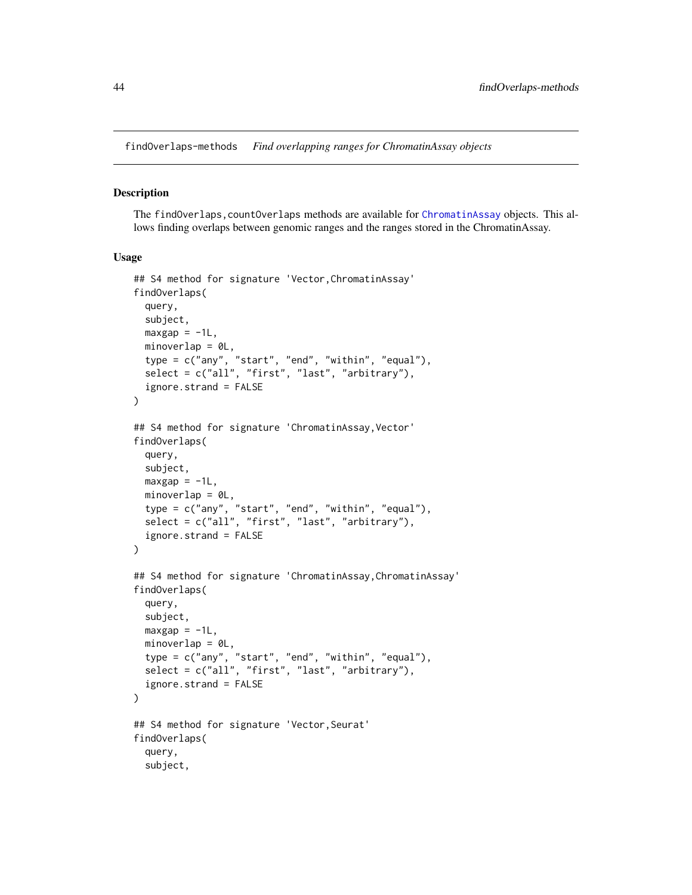<span id="page-43-1"></span>findOverlaps-methods *Find overlapping ranges for ChromatinAssay objects*

#### <span id="page-43-0"></span>Description

The findOverlaps,countOverlaps methods are available for [ChromatinAssay](#page-21-0) objects. This allows finding overlaps between genomic ranges and the ranges stored in the ChromatinAssay.

```
## S4 method for signature 'Vector,ChromatinAssay'
findOverlaps(
 query,
 subject,
 maxgap = -1L,
 minoverlap = 0L,
  type = c("any", "start", "end", "within", "equal"),
  select = c("all", "first", "last", "arbitrary"),ignore.strand = FALSE
)
## S4 method for signature 'ChromatinAssay, Vector'
findOverlaps(
 query,
  subject,
 maxgap = -1L,
 minoverlap = 0L,
  type = c("any", "start", "end", "within", "equal"),
  select = c("all", "first", "last", "arbitrary"),
  ignore.strand = FALSE
\lambda## S4 method for signature 'ChromatinAssay,ChromatinAssay'
findOverlaps(
 query,
  subject,
 maxgap = -1L,
 minoverlap = 0L,
  type = c("any", "start", "end", "within", "equal"),
  select = c("all", "first", "last", "arbitrary"),
  ignore.strand = FALSE
)
## S4 method for signature 'Vector, Seurat'
findOverlaps(
  query,
  subject,
```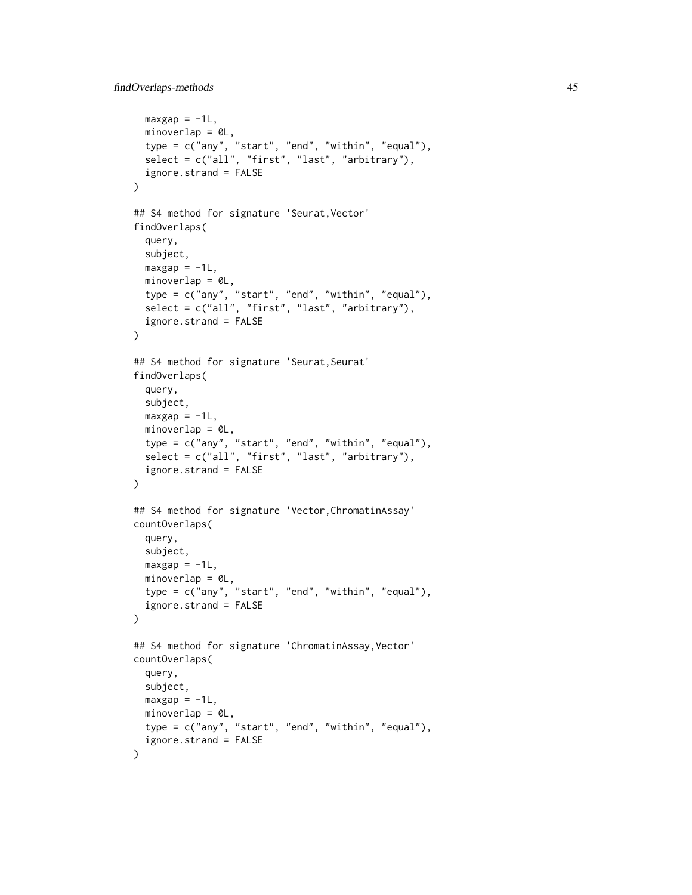```
maxgap = -1L,
 minoverlap = 0L,type = c("any", "start", "end", "within", "equal"),
  select = c("all", "first", "last", "arbitrary"),
  ignore.strand = FALSE
\lambda## S4 method for signature 'Seurat, Vector'
findOverlaps(
 query,
 subject,
 maxgap = -1L,
 minoverlap = 0L,
  type = c("any", "start", "end", "within", "equal"),select = c("all", "first", "last", "arbitrary"),
  ignore.strand = FALSE
\mathcal{L}## S4 method for signature 'Seurat, Seurat'
findOverlaps(
 query,
 subject,
 maxgap = -1L,
 minoverlap = 0L,
  type = c("any", "start", "end", "within", "equal"),
  select = c("all", "first", "last", "arbitrary"),
  ignore.strand = FALSE
)
## S4 method for signature 'Vector,ChromatinAssay'
countOverlaps(
 query,
  subject,
 maxgap = -1L,
 minoverlap = 0L,
  type = c("any", "start", "end", "within", "equal"),
  ignore.strand = FALSE
\mathcal{L}## S4 method for signature 'ChromatinAssay,Vector'
countOverlaps(
 query,
  subject,
 maxgap = -1L,
 minoverlap = 0L,
  type = c("any", "start", "end", "within", "equal"),
  ignore.strand = FALSE
\mathcal{L}
```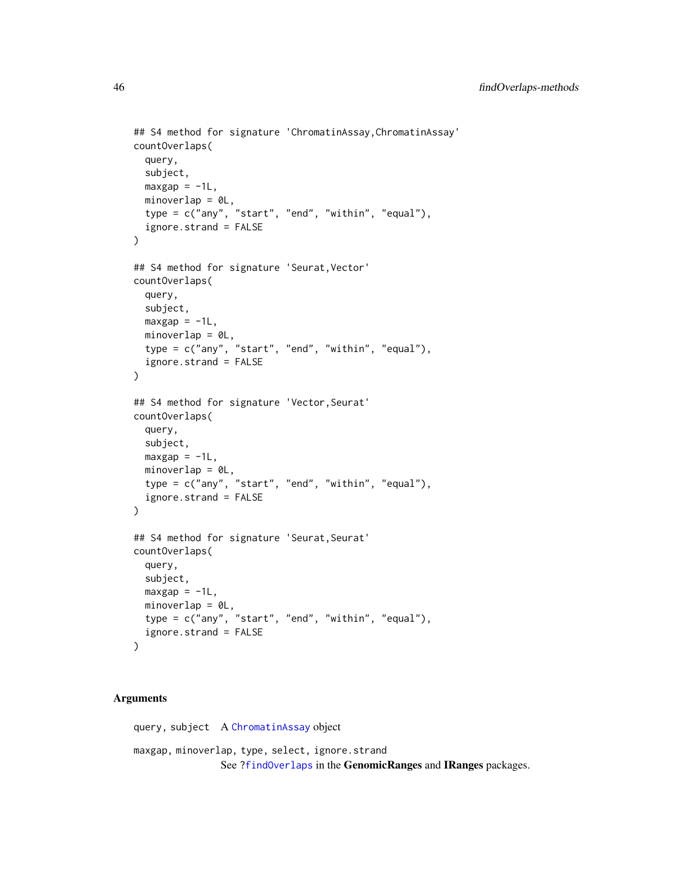```
## S4 method for signature 'ChromatinAssay,ChromatinAssay'
countOverlaps(
  query,
  subject,
 maxgap = -1L,
 minoverlap = 0L,
  type = c("any", "start", "end", "within", "equal"),
  ignore.strand = FALSE
\mathcal{L}## S4 method for signature 'Seurat, Vector'
countOverlaps(
 query,
  subject,
  maxgap = -1L,
 minoverlap = 0L,
  type = c("any", "start", "end", "within", "equal"),
  ignore.strand = FALSE
\lambda## S4 method for signature 'Vector,Seurat'
countOverlaps(
  query,
  subject,
 maxgap = -1L,
 minoverlap = 0L,type = c("any", "start", "end", "within", "equal"),
  ignore.strand = FALSE
\mathcal{L}## S4 method for signature 'Seurat, Seurat'
countOverlaps(
  query,
  subject,
 maxgap = -1L,
 minoverlap = 0L,
  type = c("any", "start", "end", "within", "equal"),
  ignore.strand = FALSE
\mathcal{L}
```
query, subject A [ChromatinAssay](#page-21-0) object maxgap, minoverlap, type, select, ignore.strand See [?findOverlaps](#page-43-0) in the GenomicRanges and IRanges packages.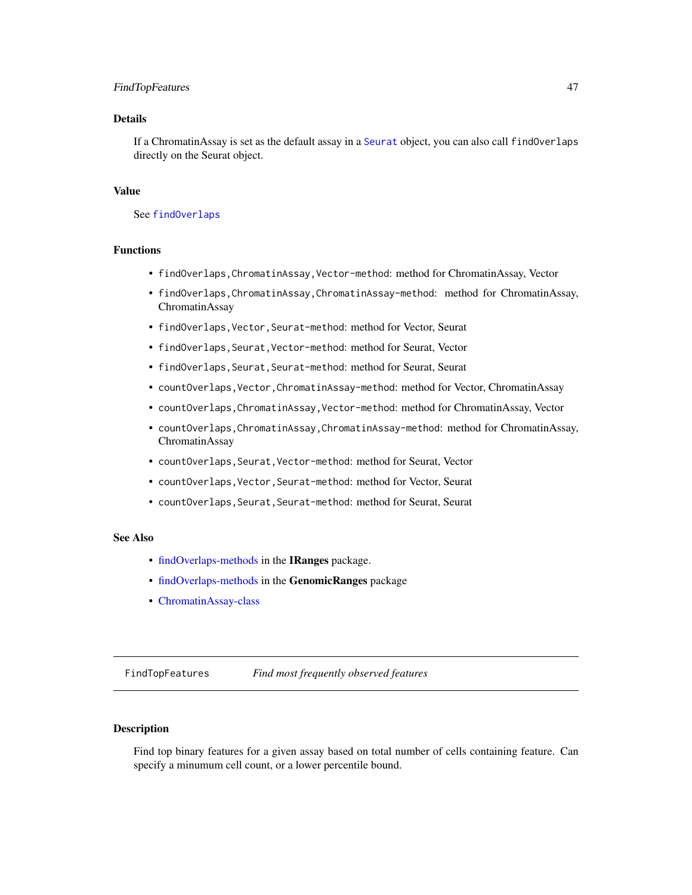## FindTopFeatures 47

## **Details**

If a ChromatinAssay is set as the default assay in a [Seurat](#page-0-0) object, you can also call findOverlaps directly on the Seurat object.

#### Value

See [findOverlaps](#page-43-0)

# Functions

- findOverlaps,ChromatinAssay,Vector-method: method for ChromatinAssay, Vector
- findOverlaps,ChromatinAssay,ChromatinAssay-method: method for ChromatinAssay, ChromatinAssay
- findOverlaps, Vector, Seurat-method: method for Vector, Seurat
- findOverlaps,Seurat,Vector-method: method for Seurat, Vector
- findOverlaps, Seurat, Seurat-method: method for Seurat, Seurat
- countOverlaps, Vector, ChromatinAssay-method: method for Vector, ChromatinAssay
- countOverlaps,ChromatinAssay,Vector-method: method for ChromatinAssay, Vector
- countOverlaps,ChromatinAssay,ChromatinAssay-method: method for ChromatinAssay, ChromatinAssay
- countOverlaps,Seurat,Vector-method: method for Seurat, Vector
- countOverlaps,Vector,Seurat-method: method for Vector, Seurat
- countOverlaps,Seurat,Seurat-method: method for Seurat, Seurat

### See Also

- [findOverlaps-methods](#page-43-1) in the IRanges package.
- [findOverlaps-methods](#page-43-1) in the GenomicRanges package
- [ChromatinAssay-class](#page-21-1)

FindTopFeatures *Find most frequently observed features*

# **Description**

Find top binary features for a given assay based on total number of cells containing feature. Can specify a minumum cell count, or a lower percentile bound.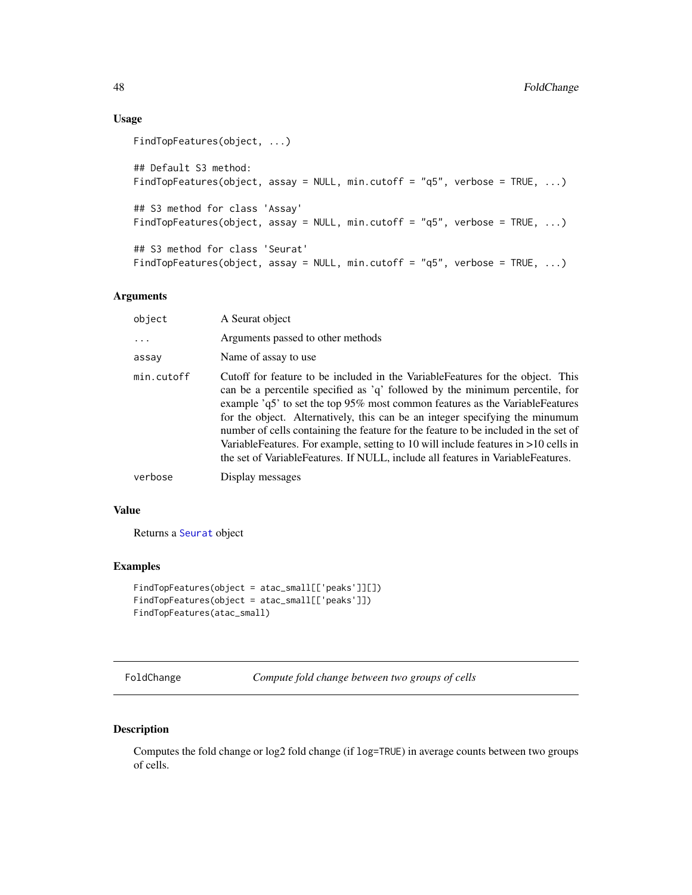# Usage

```
FindTopFeatures(object, ...)
## Default S3 method:
FindTopFeatures(object, assay = NULL, min.cutoff = "q5", verbose = TRUE, ...)
## S3 method for class 'Assay'
FindTopFeatures(object, assay = NULL, min.cutoff = "q5", verbose = TRUE, ...)
## S3 method for class 'Seurat'
FindTopFeatures(object, assay = NULL, min.cutoff = "q5", verbose = TRUE, ...)
```
### Arguments

| object     | A Seurat object                                                                                                                                                                                                                                                                                                                                                                                                                                                                                                                                                                                     |
|------------|-----------------------------------------------------------------------------------------------------------------------------------------------------------------------------------------------------------------------------------------------------------------------------------------------------------------------------------------------------------------------------------------------------------------------------------------------------------------------------------------------------------------------------------------------------------------------------------------------------|
| .          | Arguments passed to other methods                                                                                                                                                                                                                                                                                                                                                                                                                                                                                                                                                                   |
| assay      | Name of assay to use                                                                                                                                                                                                                                                                                                                                                                                                                                                                                                                                                                                |
| min.cutoff | Cutoff for feature to be included in the VariableFeatures for the object. This<br>can be a percentile specified as 'q' followed by the minimum percentile, for<br>example 'q5' to set the top 95% most common features as the VariableFeatures<br>for the object. Alternatively, this can be an integer specifying the minumum<br>number of cells containing the feature for the feature to be included in the set of<br>Variable Features. For example, setting to 10 will include features in $>10$ cells in<br>the set of Variable Features. If NULL, include all features in Variable Features. |
| verbose    | Display messages                                                                                                                                                                                                                                                                                                                                                                                                                                                                                                                                                                                    |

## Value

Returns a [Seurat](#page-0-0) object

## Examples

```
FindTopFeatures(object = atac_small[['peaks']][])
FindTopFeatures(object = atac_small[['peaks']])
FindTopFeatures(atac_small)
```
FoldChange *Compute fold change between two groups of cells*

# Description

Computes the fold change or log2 fold change (if log=TRUE) in average counts between two groups of cells.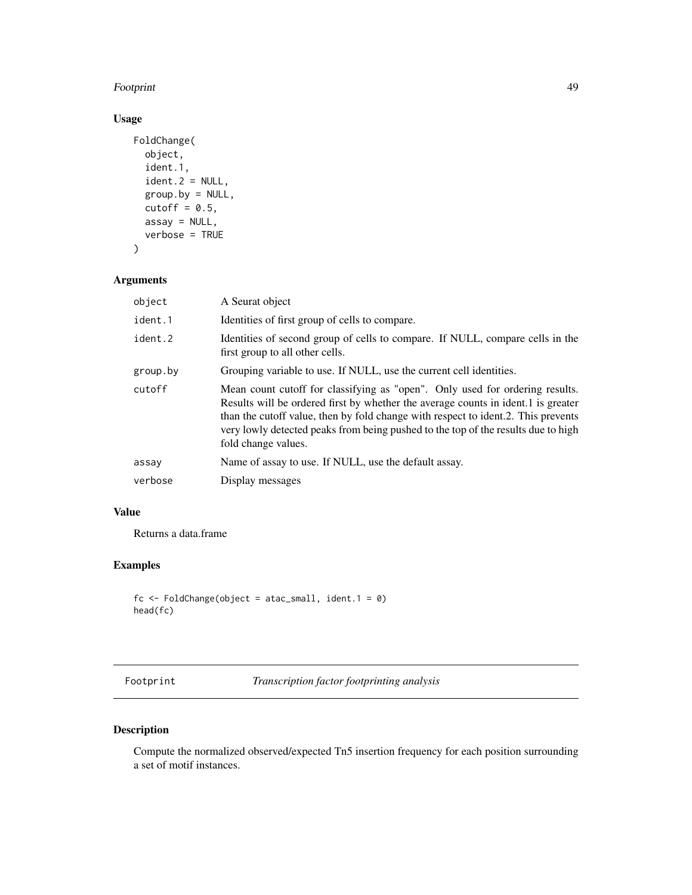#### Footprint 49

# Usage

```
FoldChange(
  object,
  ident.1,
  ident.2 = NULL,group.py = NULL,cutoff = 0.5,
 assay = NULL,
  verbose = TRUE
\mathcal{L}
```
# Arguments

| object   | A Seurat object                                                                                                                                                                                                                                                                                                                                                    |
|----------|--------------------------------------------------------------------------------------------------------------------------------------------------------------------------------------------------------------------------------------------------------------------------------------------------------------------------------------------------------------------|
| ident.1  | Identities of first group of cells to compare.                                                                                                                                                                                                                                                                                                                     |
| ident.2  | Identities of second group of cells to compare. If NULL, compare cells in the<br>first group to all other cells.                                                                                                                                                                                                                                                   |
| group.by | Grouping variable to use. If NULL, use the current cell identities.                                                                                                                                                                                                                                                                                                |
| cutoff   | Mean count cutoff for classifying as "open". Only used for ordering results.<br>Results will be ordered first by whether the average counts in ident.1 is greater<br>than the cutoff value, then by fold change with respect to ident.2. This prevents<br>very lowly detected peaks from being pushed to the top of the results due to high<br>fold change values. |
| assay    | Name of assay to use. If NULL, use the default assay.                                                                                                                                                                                                                                                                                                              |
| verbose  | Display messages                                                                                                                                                                                                                                                                                                                                                   |
|          |                                                                                                                                                                                                                                                                                                                                                                    |

# Value

Returns a data.frame

# Examples

```
fc \le FoldChange(object = atac_small, ident.1 = 0)
head(fc)
```
Footprint *Transcription factor footprinting analysis*

# Description

Compute the normalized observed/expected Tn5 insertion frequency for each position surrounding a set of motif instances.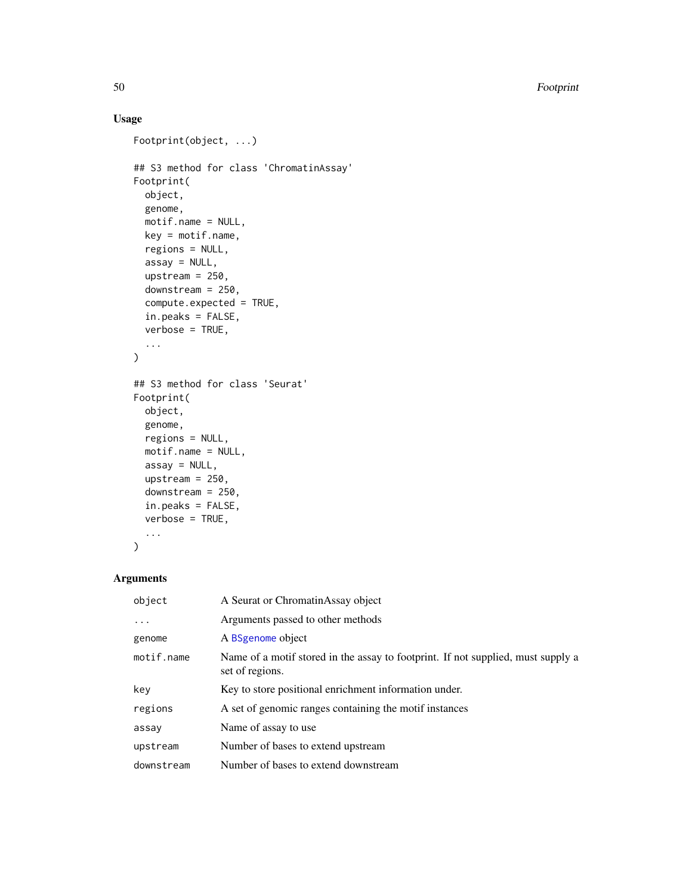50 Footprint

# Usage

```
Footprint(object, ...)
## S3 method for class 'ChromatinAssay'
Footprint(
 object,
  genome,
 motif.name = NULL,
 key = motif.name,
  regions = NULL,
  assay = NULL,
 upstream = 250,
  downstream = 250,
  compute.expected = TRUE,
  in.peaks = FALSE,
  verbose = TRUE,
  ...
\mathcal{L}## S3 method for class 'Seurat'
Footprint(
 object,
 genome,
 regions = NULL,
 motif.name = NULL,
  assay = NULL,
 upstream = 250,
  downstream = 250,
  in.peaks = FALSE,
 verbose = TRUE,
  ...
)
```
# Arguments

| object     | A Seurat or ChromatinAssay object                                                                   |
|------------|-----------------------------------------------------------------------------------------------------|
|            | Arguments passed to other methods                                                                   |
| genome     | A BSgenome object                                                                                   |
| motif.name | Name of a motif stored in the assay to footprint. If not supplied, must supply a<br>set of regions. |
| key        | Key to store positional enrichment information under.                                               |
| regions    | A set of genomic ranges containing the motif instances                                              |
| assay      | Name of assay to use                                                                                |
| upstream   | Number of bases to extend upstream                                                                  |
| downstream | Number of bases to extend downstream                                                                |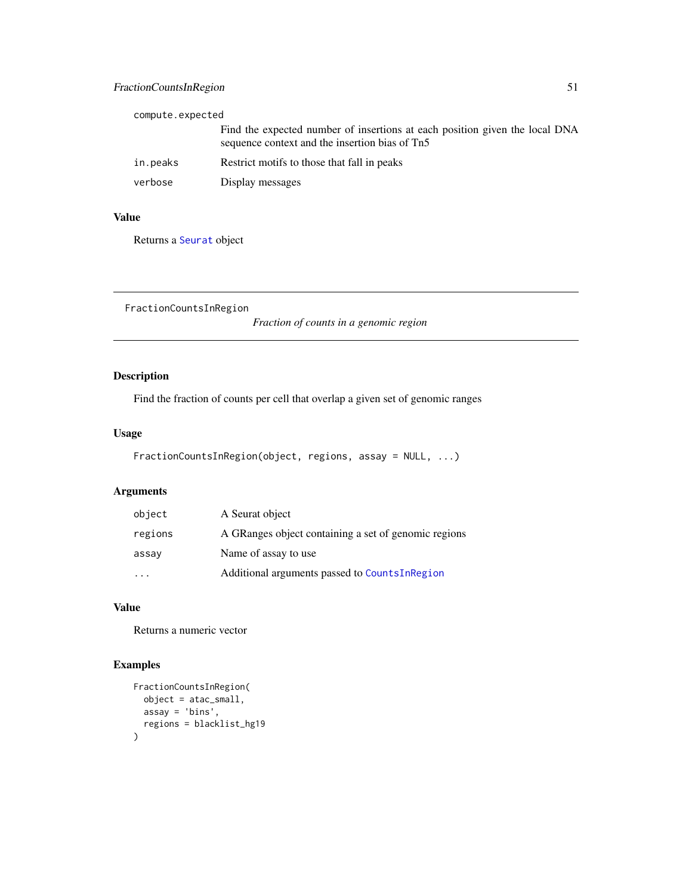# FractionCountsInRegion 51

| compute.expected |                                                                                                                               |
|------------------|-------------------------------------------------------------------------------------------------------------------------------|
|                  | Find the expected number of insertions at each position given the local DNA<br>sequence context and the insertion bias of Tn5 |
| in.peaks         | Restrict motifs to those that fall in peaks                                                                                   |
| verbose          | Display messages                                                                                                              |

# Value

Returns a [Seurat](#page-0-0) object

FractionCountsInRegion

*Fraction of counts in a genomic region*

# Description

Find the fraction of counts per cell that overlap a given set of genomic ranges

# Usage

```
FractionCountsInRegion(object, regions, assay = NULL, ...)
```
# Arguments

| object  | A Seurat object                                      |
|---------|------------------------------------------------------|
| regions | A GRanges object containing a set of genomic regions |
| assay   | Name of assay to use                                 |
| $\cdot$ | Additional arguments passed to CountsInRegion        |

# Value

Returns a numeric vector

```
FractionCountsInRegion(
  object = atac_small,
  assay = 'bins',
  regions = blacklist_hg19
)
```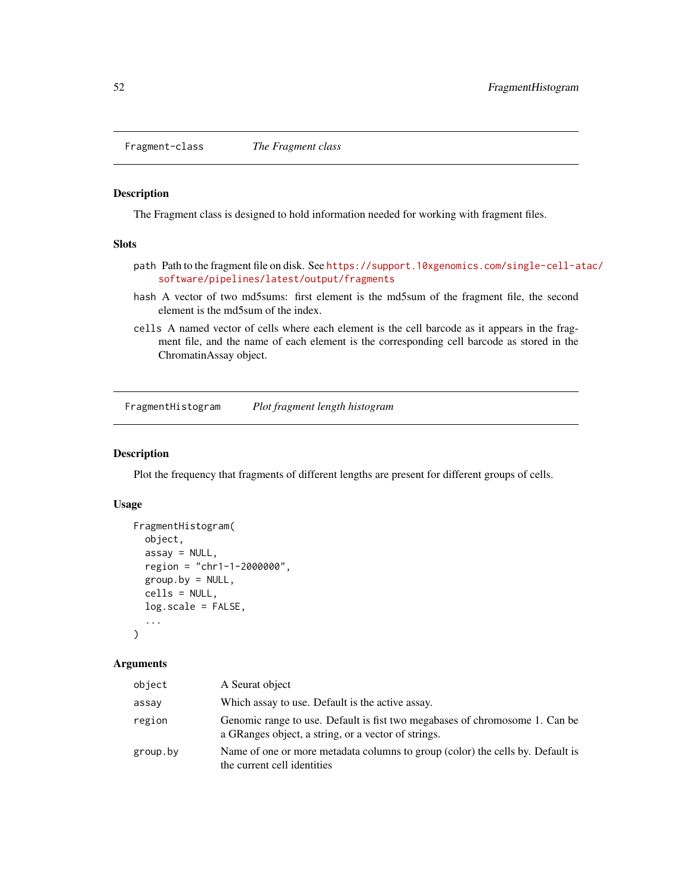<span id="page-51-1"></span>Fragment-class *The Fragment class*

#### <span id="page-51-0"></span>Description

The Fragment class is designed to hold information needed for working with fragment files.

#### Slots

- path Path to the fragment file on disk. See [https://support.10xgenomics.com/single-cell-a](https://support.10xgenomics.com/single-cell-atac/software/pipelines/latest/output/fragments)tac/ [software/pipelines/latest/output/fragments](https://support.10xgenomics.com/single-cell-atac/software/pipelines/latest/output/fragments)
- hash A vector of two md5sums: first element is the md5sum of the fragment file, the second element is the md5sum of the index.
- cells A named vector of cells where each element is the cell barcode as it appears in the fragment file, and the name of each element is the corresponding cell barcode as stored in the ChromatinAssay object.

FragmentHistogram *Plot fragment length histogram*

# Description

Plot the frequency that fragments of different lengths are present for different groups of cells.

# Usage

```
FragmentHistogram(
  object,
  assay = NULL,
  region = "chr1-1-2000000",
  group.py = NULL,cells = NULL,
  log.scale = FALSE,
  ...
\mathcal{L}
```
#### Arguments

| object   | A Seurat object                                                                                                                    |
|----------|------------------------------------------------------------------------------------------------------------------------------------|
| assay    | Which assay to use. Default is the active assay.                                                                                   |
| region   | Genomic range to use. Default is fist two megabases of chromosome 1. Can be<br>a GRanges object, a string, or a vector of strings. |
| group.by | Name of one or more metadata columns to group (color) the cells by. Default is<br>the current cell identities                      |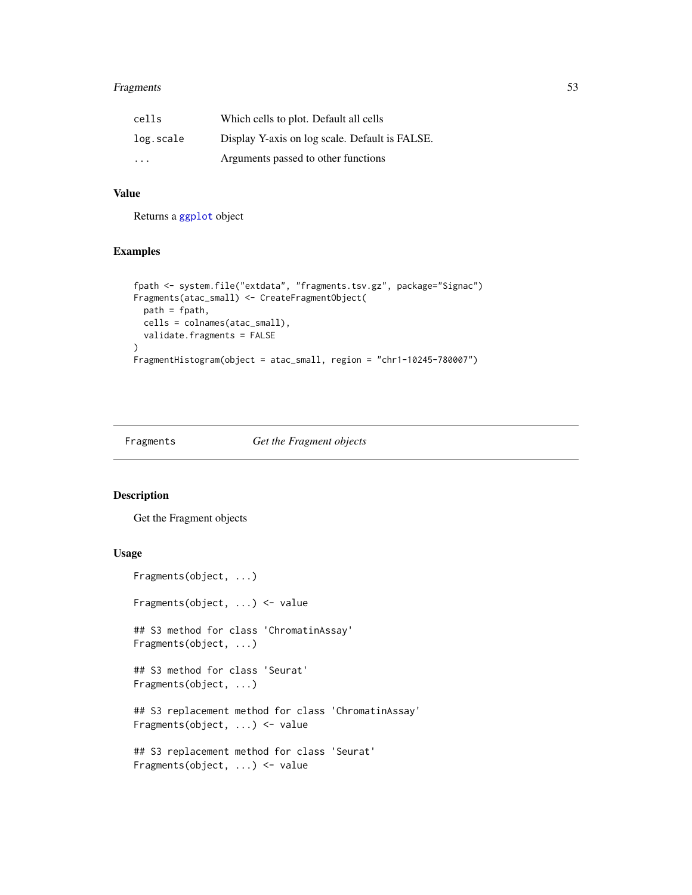# Fragments 53

| cells                   | Which cells to plot. Default all cells         |
|-------------------------|------------------------------------------------|
| log.scale               | Display Y-axis on log scale. Default is FALSE. |
| $\cdot$ $\cdot$ $\cdot$ | Arguments passed to other functions            |

# Value

Returns a [ggplot](#page-0-0) object

## Examples

```
fpath <- system.file("extdata", "fragments.tsv.gz", package="Signac")
Fragments(atac_small) <- CreateFragmentObject(
  path = fpath,
  cells = colnames(atac_small),
  validate.fragments = FALSE
\lambdaFragmentHistogram(object = atac_small, region = "chr1-10245-780007")
```
# Fragments *Get the Fragment objects*

#### Description

Get the Fragment objects

```
Fragments(object, ...)
Fragments(object, ...) <- value
## S3 method for class 'ChromatinAssay'
Fragments(object, ...)
## S3 method for class 'Seurat'
Fragments(object, ...)
## S3 replacement method for class 'ChromatinAssay'
Fragments(object, ...) <- value
## S3 replacement method for class 'Seurat'
Fragments(object, ...) <- value
```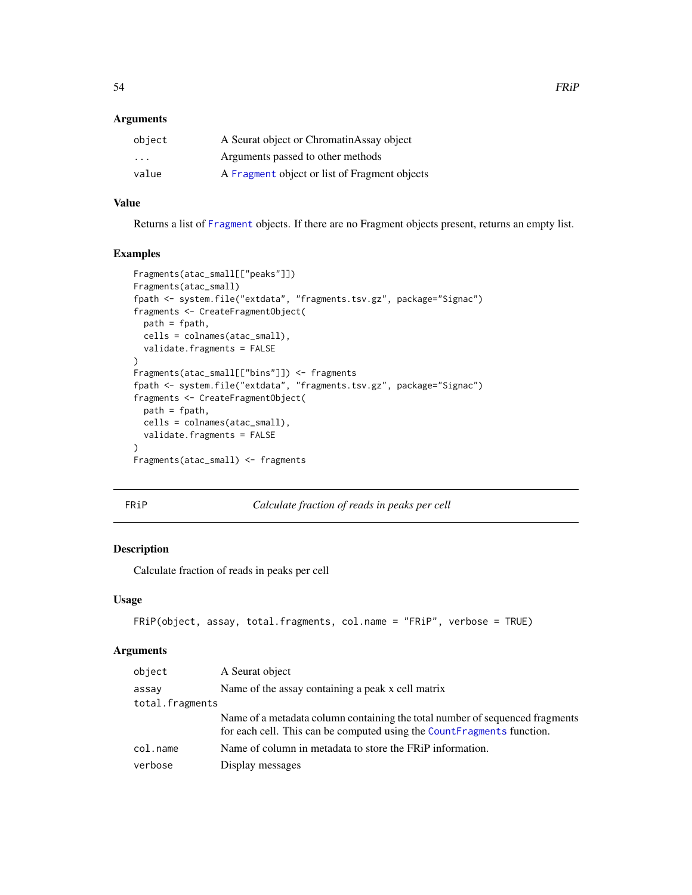| object                  | A Seurat object or Chromatin Assay object     |
|-------------------------|-----------------------------------------------|
| $\cdot$ $\cdot$ $\cdot$ | Arguments passed to other methods             |
| value                   | A Fragment object or list of Fragment objects |

### Value

Returns a list of [Fragment](#page-51-0) objects. If there are no Fragment objects present, returns an empty list.

# Examples

```
Fragments(atac_small[["peaks"]])
Fragments(atac_small)
fpath <- system.file("extdata", "fragments.tsv.gz", package="Signac")
fragments <- CreateFragmentObject(
 path = fpath,
 cells = colnames(atac_small),
  validate.fragments = FALSE
\lambdaFragments(atac_small[["bins"]]) <- fragments
fpath <- system.file("extdata", "fragments.tsv.gz", package="Signac")
fragments <- CreateFragmentObject(
  path = fpath,
  cells = colnames(atac_small),
  validate.fragments = FALSE
)
Fragments(atac_small) <- fragments
```
FRiP *Calculate fraction of reads in peaks per cell*

# Description

Calculate fraction of reads in peaks per cell

#### Usage

```
FRiP(object, assay, total.fragments, col.name = "FRiP", verbose = TRUE)
```
#### Arguments

| object          | A Seurat object                                                                                                                                         |
|-----------------|---------------------------------------------------------------------------------------------------------------------------------------------------------|
| assay           | Name of the assay containing a peak x cell matrix                                                                                                       |
| total.fragments |                                                                                                                                                         |
|                 | Name of a metadata column containing the total number of sequenced fragments<br>for each cell. This can be computed using the Count Fragments function. |
| col.name        | Name of column in metadata to store the FRIP information.                                                                                               |
| verbose         | Display messages                                                                                                                                        |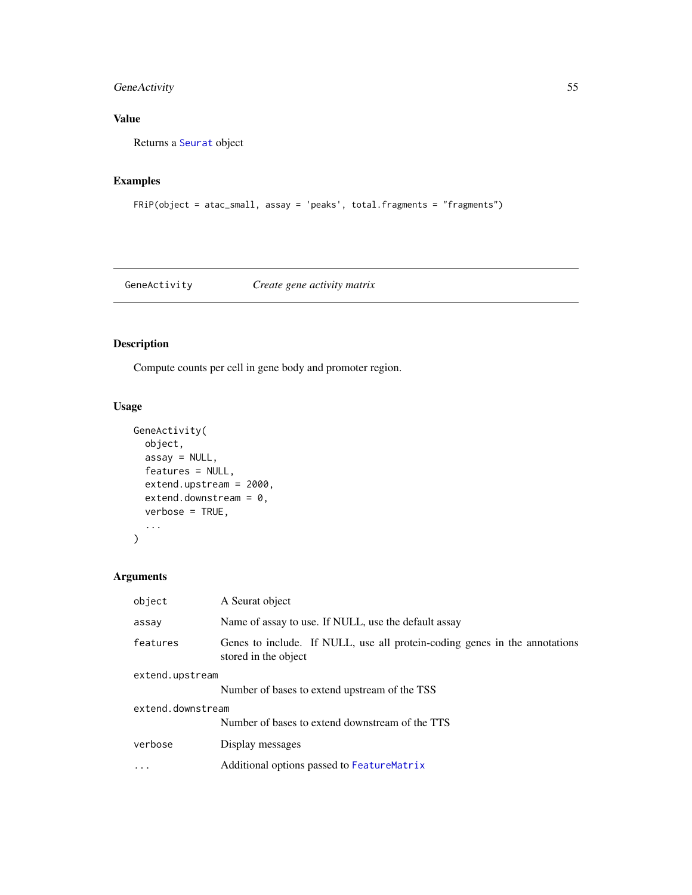# GeneActivity 55

# Value

Returns a [Seurat](#page-0-0) object

# Examples

```
FRiP(object = atac_small, assay = 'peaks', total.fragments = "fragments")
```
GeneActivity *Create gene activity matrix*

# Description

Compute counts per cell in gene body and promoter region.

# Usage

```
GeneActivity(
  object,
  assay = NULL,
  features = NULL,
  extend.upstream = 2000,
  extend.downstream = 0,verbose = TRUE,
  ...
\mathcal{L}
```
# Arguments

| object            | A Seurat object                                                                                    |  |
|-------------------|----------------------------------------------------------------------------------------------------|--|
| assay             | Name of assay to use. If NULL, use the default assay                                               |  |
| features          | Genes to include. If NULL, use all protein-coding genes in the annotations<br>stored in the object |  |
| extend.upstream   |                                                                                                    |  |
|                   | Number of bases to extend upstream of the TSS                                                      |  |
| extend.downstream |                                                                                                    |  |
|                   | Number of bases to extend downstream of the TTS                                                    |  |
| verbose           | Display messages                                                                                   |  |
| $\cdot$           | Additional options passed to FeatureMatrix                                                         |  |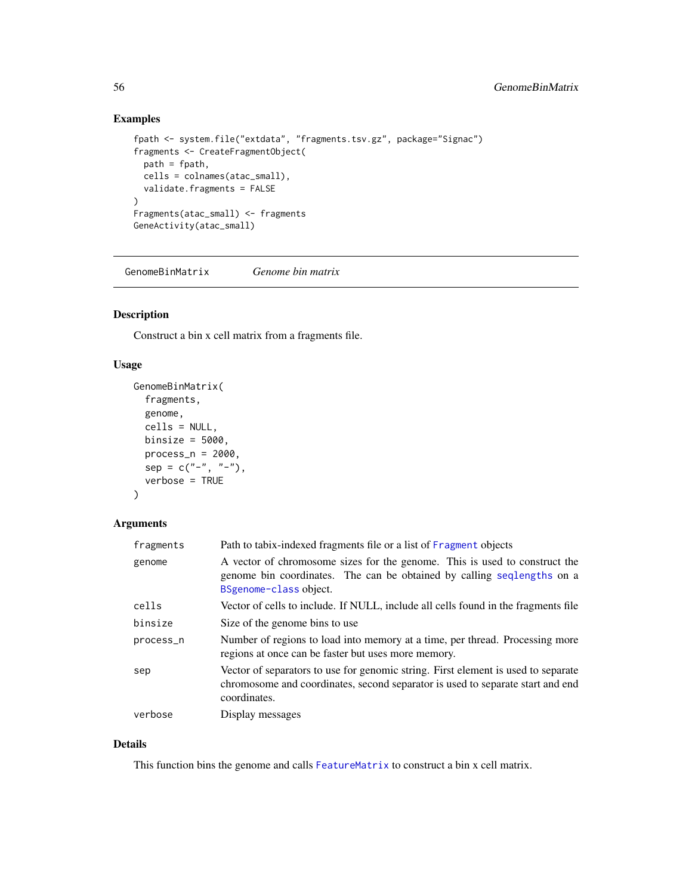# Examples

```
fpath <- system.file("extdata", "fragments.tsv.gz", package="Signac")
fragments <- CreateFragmentObject(
  path = fpath,
 cells = colnames(atac_small),
  validate.fragments = FALSE
\mathcal{L}Fragments(atac_small) <- fragments
GeneActivity(atac_small)
```
GenomeBinMatrix *Genome bin matrix*

# Description

Construct a bin x cell matrix from a fragments file.

### Usage

```
GenomeBinMatrix(
  fragments,
  genome,
  cells = NULL,
  binsize = 5000,
  process_n = 2000,sep = c("-"," "-"),verbose = TRUE
\mathcal{L}
```
# Arguments

| fragments | Path to tabix-indexed fragments file or a list of Fragment objects                                                                                                                  |  |
|-----------|-------------------------------------------------------------------------------------------------------------------------------------------------------------------------------------|--|
| genome    | A vector of chromosome sizes for the genome. This is used to construct the<br>genome bin coordinates. The can be obtained by calling seqlengths on a<br>BSgenome-class object.      |  |
| cells     | Vector of cells to include. If NULL, include all cells found in the fragments file                                                                                                  |  |
| binsize   | Size of the genome bins to use                                                                                                                                                      |  |
| process_n | Number of regions to load into memory at a time, per thread. Processing more<br>regions at once can be faster but uses more memory.                                                 |  |
| sep       | Vector of separators to use for genomic string. First element is used to separate<br>chromosome and coordinates, second separator is used to separate start and end<br>coordinates. |  |
| verbose   | Display messages                                                                                                                                                                    |  |

# Details

This function bins the genome and calls [FeatureMatrix](#page-39-0) to construct a bin x cell matrix.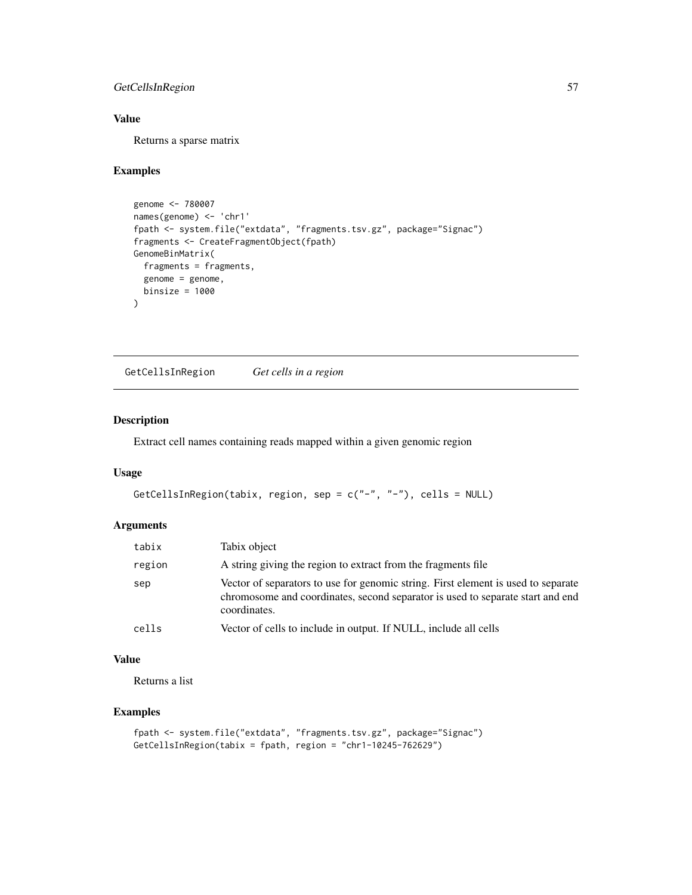# GetCellsInRegion 57

# Value

Returns a sparse matrix

# Examples

```
genome <- 780007
names(genome) <- 'chr1'
fpath <- system.file("extdata", "fragments.tsv.gz", package="Signac")
fragments <- CreateFragmentObject(fpath)
GenomeBinMatrix(
  fragments = fragments,
  genome = genome,
  binsize = 1000
)
```
GetCellsInRegion *Get cells in a region*

#### Description

Extract cell names containing reads mapped within a given genomic region

## Usage

```
GetCellsInRegion(tabix, region, sep = c("-", "-"), cells = NULL)
```
## Arguments

| tabix  | Tabix object                                                                                                                                                                        |
|--------|-------------------------------------------------------------------------------------------------------------------------------------------------------------------------------------|
| region | A string giving the region to extract from the fragments file                                                                                                                       |
| sep    | Vector of separators to use for genomic string. First element is used to separate<br>chromosome and coordinates, second separator is used to separate start and end<br>coordinates. |
| cells  | Vector of cells to include in output. If NULL, include all cells                                                                                                                    |

# Value

Returns a list

```
fpath <- system.file("extdata", "fragments.tsv.gz", package="Signac")
GetCellsInRegion(tabix = fpath, region = "chr1-10245-762629")
```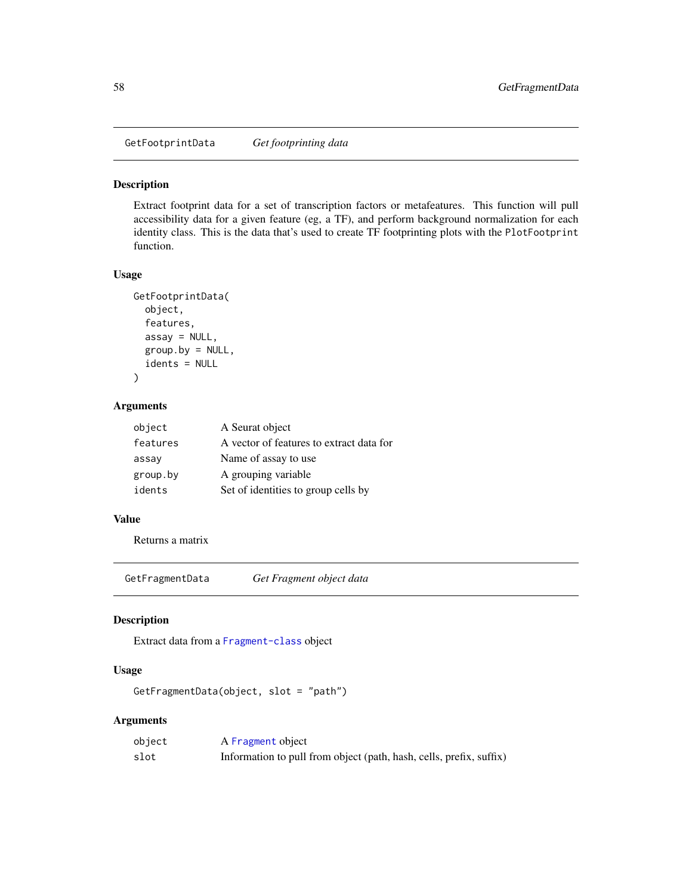GetFootprintData *Get footprinting data*

## Description

Extract footprint data for a set of transcription factors or metafeatures. This function will pull accessibility data for a given feature (eg, a TF), and perform background normalization for each identity class. This is the data that's used to create TF footprinting plots with the PlotFootprint function.

### Usage

```
GetFootprintData(
  object,
  features,
  assay = NULL,
  group.py = NULL,idents = NULL
)
```
# Arguments

| object   | A Seurat object                          |
|----------|------------------------------------------|
| features | A vector of features to extract data for |
| assay    | Name of assay to use                     |
| group.by | A grouping variable                      |
| idents   | Set of identities to group cells by      |

# Value

Returns a matrix

GetFragmentData *Get Fragment object data*

## Description

Extract data from a [Fragment-class](#page-51-1) object

## Usage

GetFragmentData(object, slot = "path")

# Arguments

| object | A Fragment object                                                   |
|--------|---------------------------------------------------------------------|
| slot   | Information to pull from object (path, hash, cells, prefix, suffix) |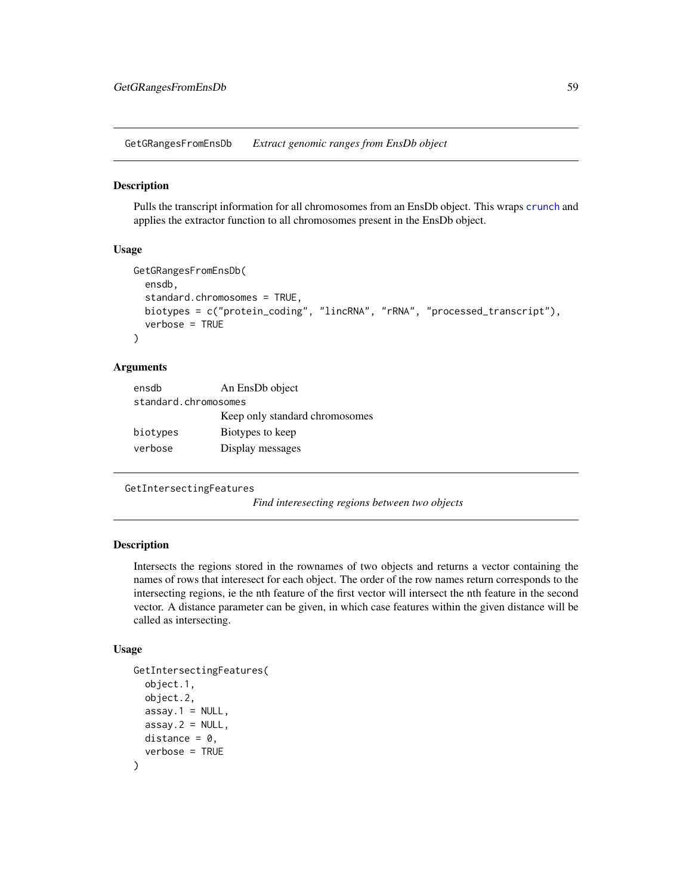GetGRangesFromEnsDb *Extract genomic ranges from EnsDb object*

### Description

Pulls the transcript information for all chromosomes from an EnsDb object. This wraps [crunch](#page-0-0) and applies the extractor function to all chromosomes present in the EnsDb object.

#### Usage

```
GetGRangesFromEnsDb(
  ensdb,
  standard.chromosomes = TRUE,
  biotypes = c("protein_coding", "lincRNA", "rRNA", "processed_transcript"),
  verbose = TRUE
\mathcal{L}
```
## Arguments

| ensdb                | An EnsDb object                |  |
|----------------------|--------------------------------|--|
| standard.chromosomes |                                |  |
|                      | Keep only standard chromosomes |  |
| biotypes             | Biotypes to keep               |  |
| verbose              | Display messages               |  |

GetIntersectingFeatures

*Find interesecting regions between two objects*

### Description

Intersects the regions stored in the rownames of two objects and returns a vector containing the names of rows that interesect for each object. The order of the row names return corresponds to the intersecting regions, ie the nth feature of the first vector will intersect the nth feature in the second vector. A distance parameter can be given, in which case features within the given distance will be called as intersecting.

```
GetIntersectingFeatures(
  object.1,
  object.2,
  assay.1 = NULL,assay.2 = NULL,distance = 0,
  verbose = TRUE
)
```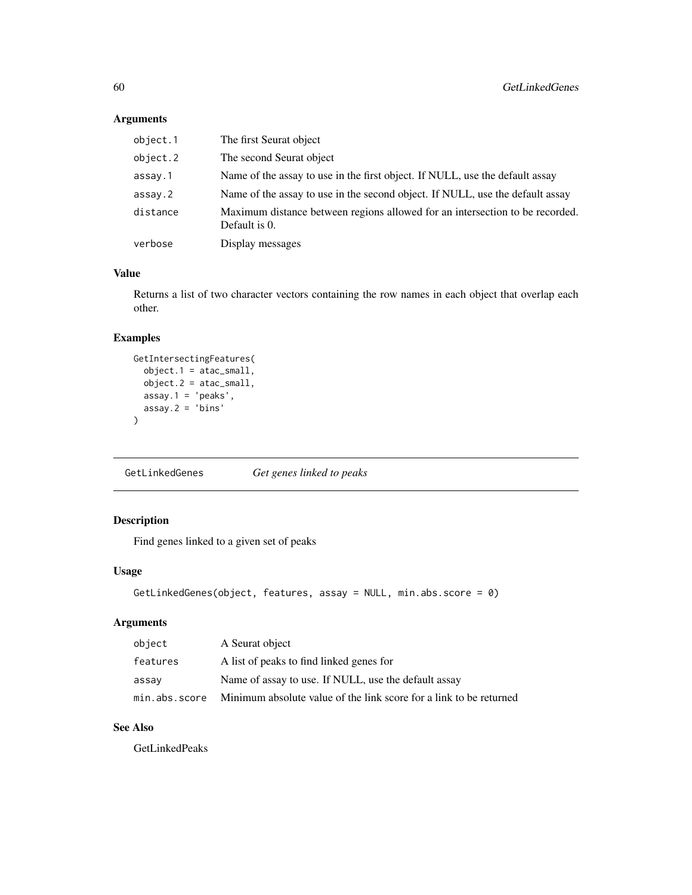| object.1 | The first Seurat object                                                                       |
|----------|-----------------------------------------------------------------------------------------------|
| object.2 | The second Seurat object                                                                      |
| assay.1  | Name of the assay to use in the first object. If NULL, use the default assay                  |
| assay.2  | Name of the assay to use in the second object. If NULL, use the default assay                 |
| distance | Maximum distance between regions allowed for an intersection to be recorded.<br>Default is 0. |
| verbose  | Display messages                                                                              |

# Value

Returns a list of two character vectors containing the row names in each object that overlap each other.

# Examples

```
GetIntersectingFeatures(
  object.1 = atac_small,
  object.2 = atac_small,
  assay.1 = 'peaks',
  assay.2 = 'bins'
\mathcal{L}
```
GetLinkedGenes *Get genes linked to peaks*

# Description

Find genes linked to a given set of peaks

# Usage

```
GetLinkedGenes(object, features, assay = NULL, min.abs.score = 0)
```
# Arguments

| object        | A Seurat object                                                    |
|---------------|--------------------------------------------------------------------|
| features      | A list of peaks to find linked genes for                           |
| assav         | Name of assay to use. If NULL, use the default assay               |
| min.abs.score | Minimum absolute value of the link score for a link to be returned |

# See Also

GetLinkedPeaks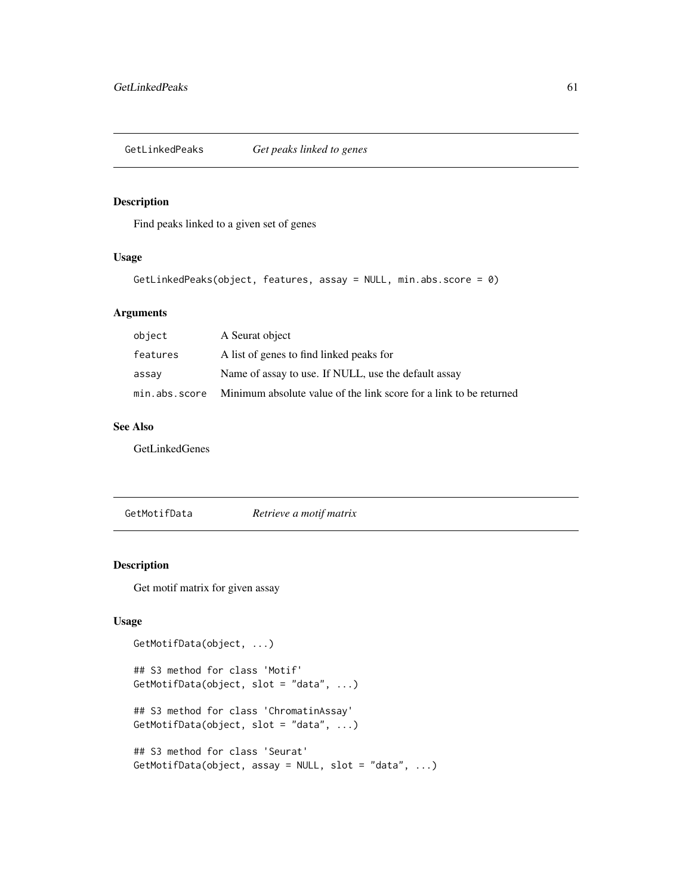GetLinkedPeaks *Get peaks linked to genes*

### Description

Find peaks linked to a given set of genes

### Usage

```
GetLinkedPeaks(object, features, assay = NULL, min.abs.score = 0)
```
# Arguments

| object        | A Seurat object                                                    |
|---------------|--------------------------------------------------------------------|
| features      | A list of genes to find linked peaks for                           |
| assay         | Name of assay to use. If NULL, use the default assay               |
| min.abs.score | Minimum absolute value of the link score for a link to be returned |

# See Also

GetLinkedGenes

GetMotifData *Retrieve a motif matrix*

# Description

Get motif matrix for given assay

```
GetMotifData(object, ...)
## S3 method for class 'Motif'
GetMotifData(object, slot = "data", ...)
## S3 method for class 'ChromatinAssay'
GetMotifData(object, slot = "data", ...)
## S3 method for class 'Seurat'
GetMotifData(object, assay = NULL, slot = "data", ...)
```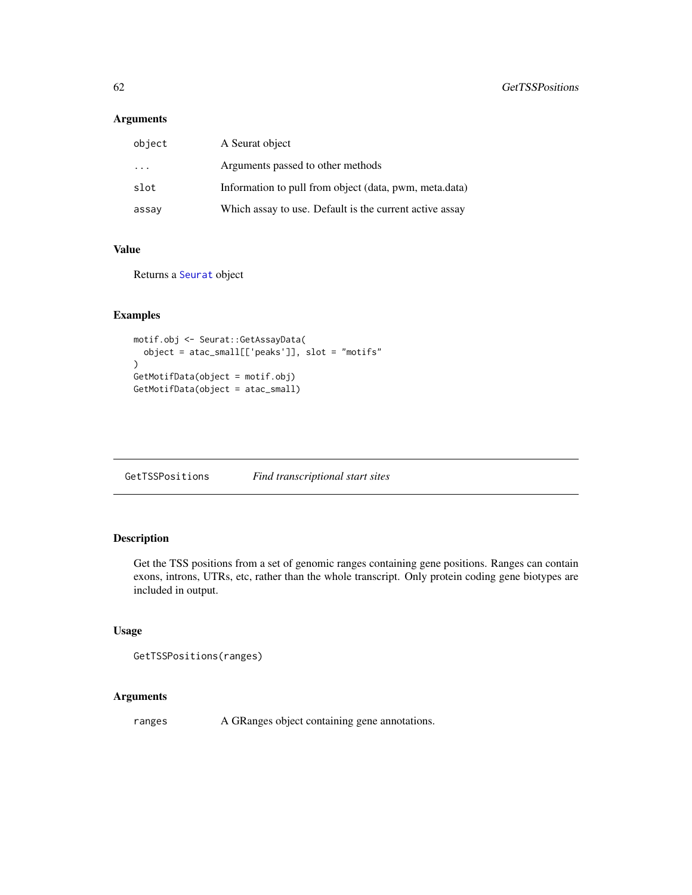| object                  | A Seurat object                                         |
|-------------------------|---------------------------------------------------------|
| $\cdot$ $\cdot$ $\cdot$ | Arguments passed to other methods                       |
| slot                    | Information to pull from object (data, pwm, meta.data)  |
| assay                   | Which assay to use. Default is the current active assay |

# Value

Returns a [Seurat](#page-0-0) object

# Examples

```
motif.obj <- Seurat::GetAssayData(
  object = atac_small[['peaks']], slot = "motifs"
)
GetMotifData(object = motif.obj)
GetMotifData(object = atac_small)
```
GetTSSPositions *Find transcriptional start sites*

# Description

Get the TSS positions from a set of genomic ranges containing gene positions. Ranges can contain exons, introns, UTRs, etc, rather than the whole transcript. Only protein coding gene biotypes are included in output.

# Usage

```
GetTSSPositions(ranges)
```
# Arguments

ranges A GRanges object containing gene annotations.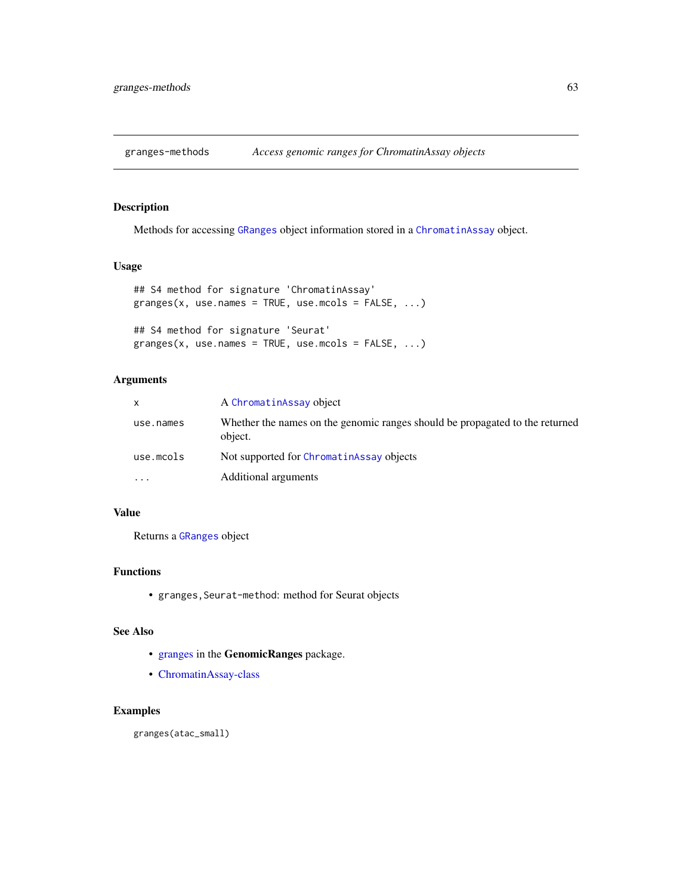granges-methods *Access genomic ranges for ChromatinAssay objects*

## <span id="page-62-0"></span>Description

Methods for accessing [GRanges](#page-0-0) object information stored in a [ChromatinAssay](#page-21-0) object.

### Usage

```
## S4 method for signature 'ChromatinAssay'
granges(x, use.name = TRUE, use.mcols = FALSE, ...)
```

```
## S4 method for signature 'Seurat'
granges(x, use.names = TRUE, use.mcols = FALSE, ...)
```
# Arguments

| X.        | A ChromatinAssay object                                                                 |
|-----------|-----------------------------------------------------------------------------------------|
| use.names | Whether the names on the genomic ranges should be propagated to the returned<br>object. |
| use.mcols | Not supported for ChromatinAssay objects                                                |
| $\ddotsc$ | Additional arguments                                                                    |

# Value

Returns a [GRanges](#page-0-0) object

# Functions

• granges,Seurat-method: method for Seurat objects

# See Also

- [granges](#page-62-0) in the GenomicRanges package.
- [ChromatinAssay-class](#page-21-1)

### Examples

granges(atac\_small)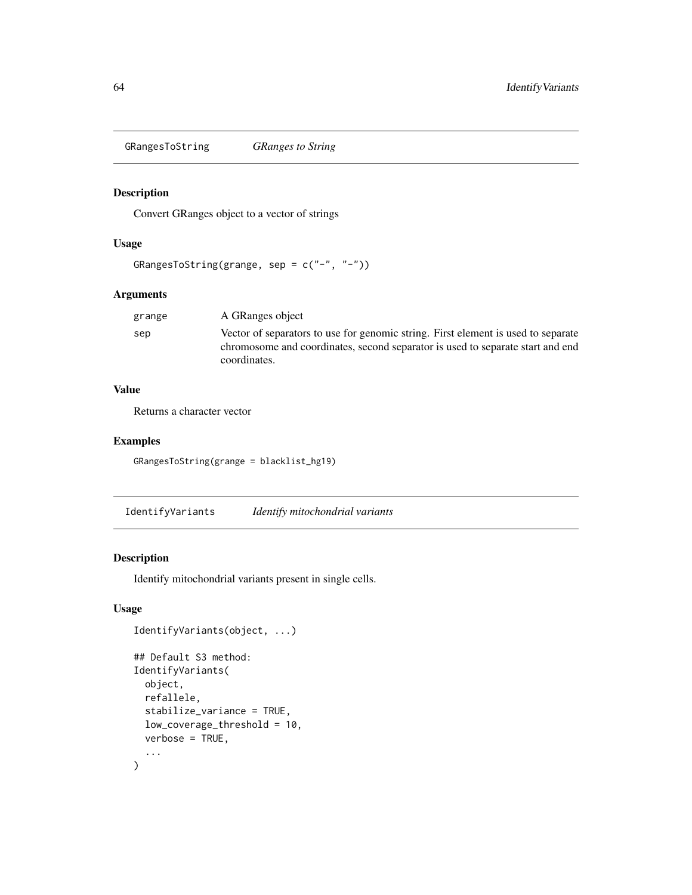GRangesToString *GRanges to String*

# Description

Convert GRanges object to a vector of strings

## Usage

GRangesToString(grange, sep = c("-", "-"))

# Arguments

| grange | A GRanges object                                                                                                                                                                    |
|--------|-------------------------------------------------------------------------------------------------------------------------------------------------------------------------------------|
| sep    | Vector of separators to use for genomic string. First element is used to separate<br>chromosome and coordinates, second separator is used to separate start and end<br>coordinates. |
|        |                                                                                                                                                                                     |

## Value

Returns a character vector

# Examples

```
GRangesToString(grange = blacklist_hg19)
```
IdentifyVariants *Identify mitochondrial variants*

# Description

Identify mitochondrial variants present in single cells.

```
IdentifyVariants(object, ...)
## Default S3 method:
```

```
IdentifyVariants(
 object,
  refallele,
  stabilize_variance = TRUE,
  low_coverage_threshold = 10,
  verbose = TRUE,
  ...
\mathcal{L}
```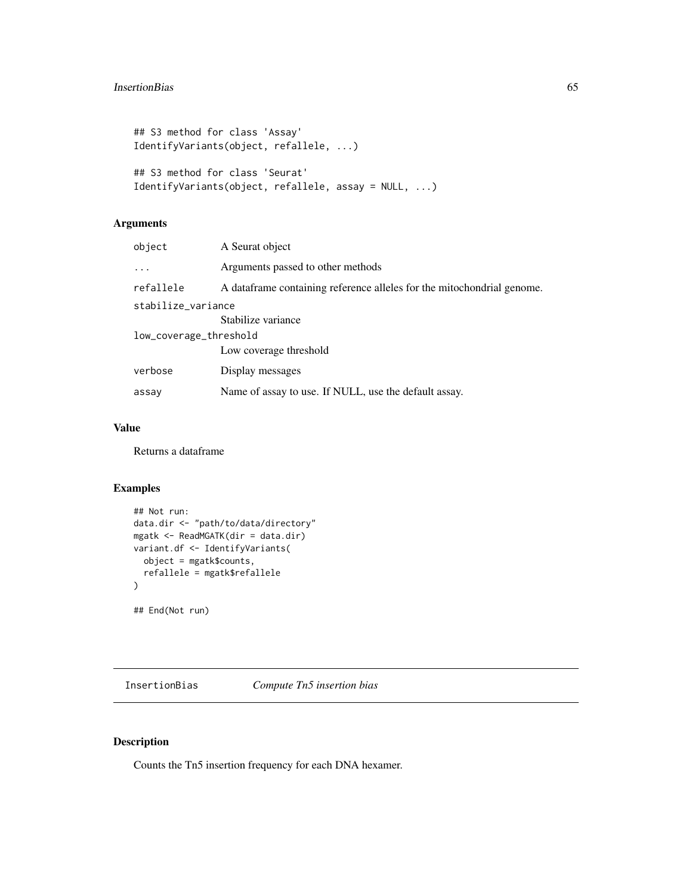```
## S3 method for class 'Assay'
IdentifyVariants(object, refallele, ...)
## S3 method for class 'Seurat'
IdentifyVariants(object, refallele, assay = NULL, ...)
```

| object                 | A Seurat object                                                         |  |
|------------------------|-------------------------------------------------------------------------|--|
| $\cdots$               | Arguments passed to other methods                                       |  |
| refallele              | A data frame containing reference alleles for the mitochondrial genome. |  |
| stabilize_variance     |                                                                         |  |
|                        | Stabilize variance                                                      |  |
| low_coverage_threshold |                                                                         |  |
|                        | Low coverage threshold                                                  |  |
| verbose                | Display messages                                                        |  |
| assay                  | Name of assay to use. If NULL, use the default assay.                   |  |

# Value

Returns a dataframe

## Examples

```
## Not run:
data.dir <- "path/to/data/directory"
mgatk <- ReadMGATK(dir = data.dir)
variant.df <- IdentifyVariants(
 object = mgatk$counts,
  refallele = mgatk$refallele
\mathcal{L}## End(Not run)
```
InsertionBias *Compute Tn5 insertion bias*

# Description

Counts the Tn5 insertion frequency for each DNA hexamer.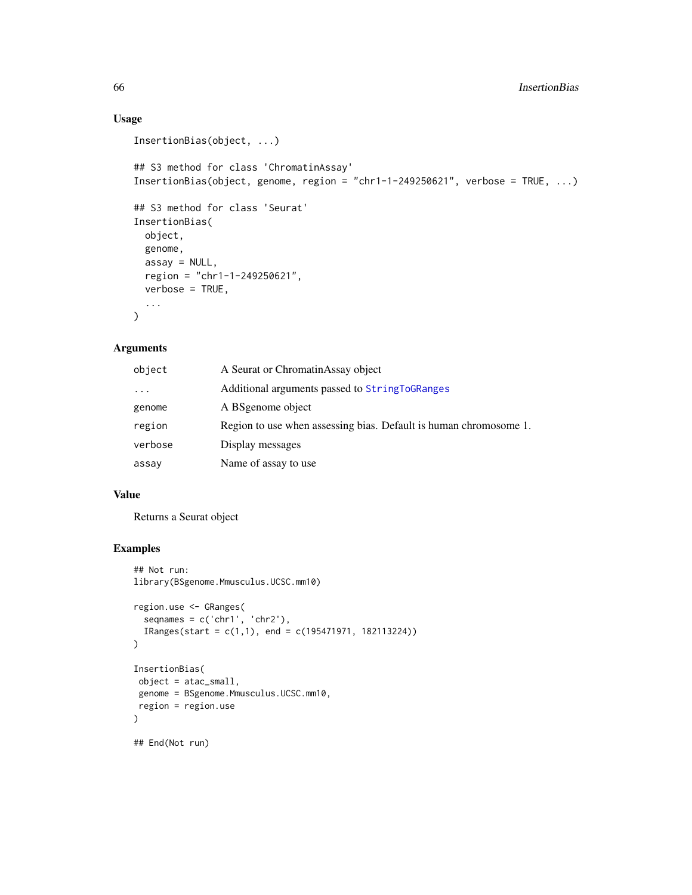# Usage

```
InsertionBias(object, ...)
## S3 method for class 'ChromatinAssay'
InsertionBias(object, genome, region = "chr1-1-249250621", verbose = TRUE, ...)
## S3 method for class 'Seurat'
InsertionBias(
 object,
 genome,
 assay = NULL,
 region = "chr1-1-249250621",
 verbose = TRUE,
  ...
\mathcal{L}
```
# Arguments

| object  | A Seurat or ChromatinAssay object                                 |
|---------|-------------------------------------------------------------------|
| .       | Additional arguments passed to StringToGRanges                    |
| genome  | A BSgenome object                                                 |
| region  | Region to use when assessing bias. Default is human chromosome 1. |
| verbose | Display messages                                                  |
| assay   | Name of assay to use                                              |

### Value

Returns a Seurat object

```
## Not run:
library(BSgenome.Mmusculus.UCSC.mm10)
region.use <- GRanges(
  seqnames = c('chr1', 'chr2'),IRanges(start = c(1,1), end = c(195471971, 182113224))
)
InsertionBias(
object = atac_small,
genome = BSgenome.Mmusculus.UCSC.mm10,
region = region.use
\lambda## End(Not run)
```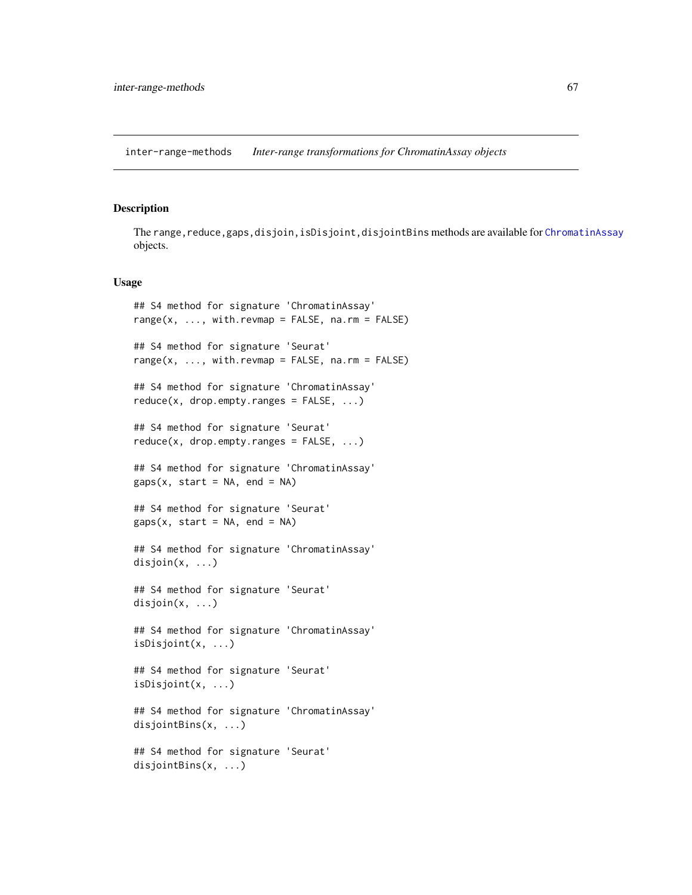<span id="page-66-0"></span>inter-range-methods *Inter-range transformations for ChromatinAssay objects*

### Description

The range, reduce, gaps, disjoin, isDisjoint, disjointBins methods are available for [ChromatinAssay](#page-21-0) objects.

```
## S4 method for signature 'ChromatinAssay'
range(x, ..., with.revmap = FALSE, na.rm = FALSE)
## S4 method for signature 'Seurat'
range(x, ..., with.range(x, ..., with.revmap = FALSE, na.rm = FALSE)
## S4 method for signature 'ChromatinAssay'
reduce(x, drop.empty. ranges = FALSE, ...)## S4 method for signature 'Seurat'
reduce(x, drop.empty. ranges = FALSE, ...)## S4 method for signature 'ChromatinAssay'
gaps(x, start = NA, end = NA)## S4 method for signature 'Seurat'
gaps(x, start = NA, end = NA)## S4 method for signature 'ChromatinAssay'
disjoin(x, ...)
## S4 method for signature 'Seurat'
disjoin(x, ...)
## S4 method for signature 'ChromatinAssay'
isDisjoint(x, ...)
## S4 method for signature 'Seurat'
isDisjoint(x, ...)
## S4 method for signature 'ChromatinAssay'
disjointBins(x, ...)
## S4 method for signature 'Seurat'
disjointBins(x, ...)
```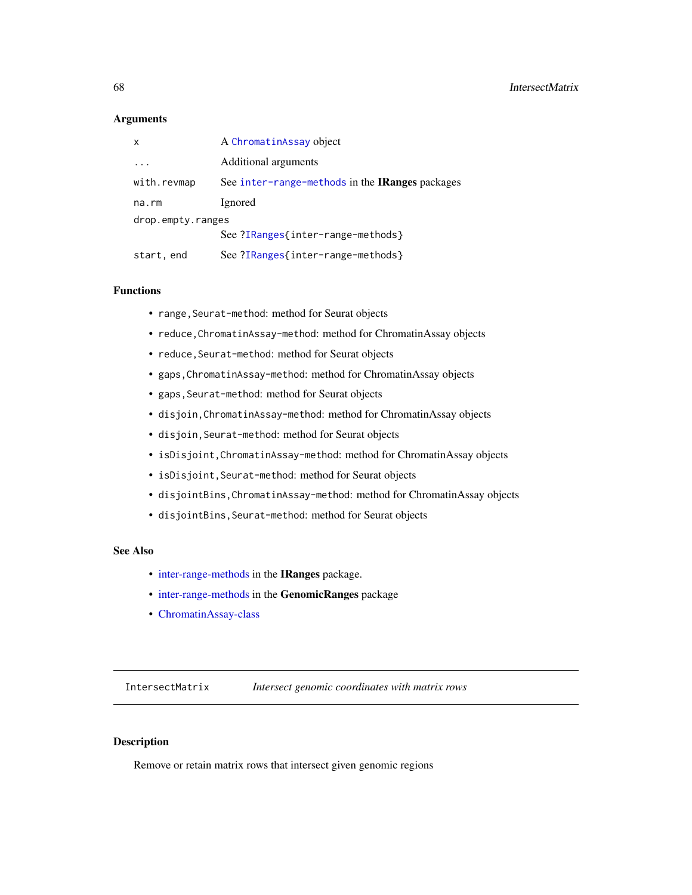| $\mathsf{x}$      | A ChromatinAssay object                         |  |
|-------------------|-------------------------------------------------|--|
|                   | Additional arguments                            |  |
| with.revmap       | See inter-range-methods in the IRanges packages |  |
| na.rm             | Ignored                                         |  |
| drop.empty.ranges |                                                 |  |
|                   | See ?IRanges{inter-range-methods}               |  |
| start, end        | See ?IRanges{inter-range-methods}               |  |

### Functions

- range, Seurat-method: method for Seurat objects
- reduce,ChromatinAssay-method: method for ChromatinAssay objects
- reduce, Seurat-method: method for Seurat objects
- gaps,ChromatinAssay-method: method for ChromatinAssay objects
- gaps,Seurat-method: method for Seurat objects
- disjoin,ChromatinAssay-method: method for ChromatinAssay objects
- disjoin,Seurat-method: method for Seurat objects
- isDisjoint,ChromatinAssay-method: method for ChromatinAssay objects
- isDisjoint,Seurat-method: method for Seurat objects
- disjointBins,ChromatinAssay-method: method for ChromatinAssay objects
- disjointBins,Seurat-method: method for Seurat objects

## See Also

- [inter-range-methods](#page-66-0) in the IRanges package.
- [inter-range-methods](#page-66-0) in the GenomicRanges package
- [ChromatinAssay-class](#page-21-1)

IntersectMatrix *Intersect genomic coordinates with matrix rows*

#### Description

Remove or retain matrix rows that intersect given genomic regions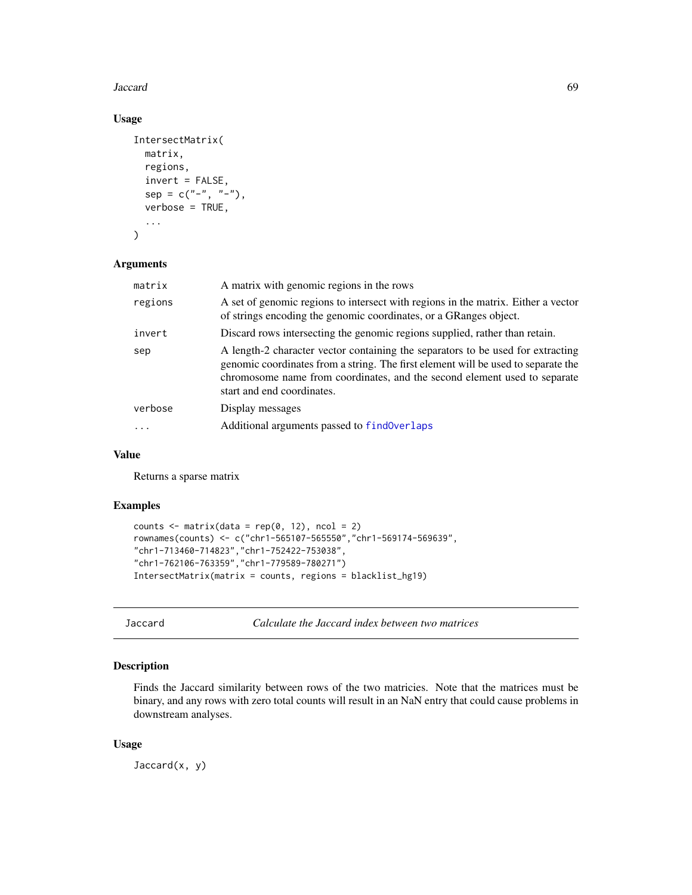#### **Jaccard** 69 **Contract 69 Contract 69 Contract 69 Contract 69 Contract 69 Contract 69**

# Usage

```
IntersectMatrix(
 matrix,
  regions,
  invert = FALSE,
  sep = c("-"," "-"),verbose = TRUE,
  ...
\mathcal{L}
```
### Arguments

| matrix  | A matrix with genomic regions in the rows                                                                                                                                                                                                                                       |
|---------|---------------------------------------------------------------------------------------------------------------------------------------------------------------------------------------------------------------------------------------------------------------------------------|
| regions | A set of genomic regions to intersect with regions in the matrix. Either a vector<br>of strings encoding the genomic coordinates, or a GRanges object.                                                                                                                          |
| invert  | Discard rows intersecting the genomic regions supplied, rather than retain.                                                                                                                                                                                                     |
| sep     | A length-2 character vector containing the separators to be used for extracting<br>genomic coordinates from a string. The first element will be used to separate the<br>chromosome name from coordinates, and the second element used to separate<br>start and end coordinates. |
| verbose | Display messages                                                                                                                                                                                                                                                                |
|         | Additional arguments passed to find Overlaps                                                                                                                                                                                                                                    |

# Value

Returns a sparse matrix

# Examples

```
counts \leq matrix(data = rep(0, 12), ncol = 2)
rownames(counts) <- c("chr1-565107-565550","chr1-569174-569639",
"chr1-713460-714823","chr1-752422-753038",
"chr1-762106-763359","chr1-779589-780271")
IntersectMatrix(matrix = counts, regions = blacklist_hg19)
```
Jaccard *Calculate the Jaccard index between two matrices*

## Description

Finds the Jaccard similarity between rows of the two matricies. Note that the matrices must be binary, and any rows with zero total counts will result in an NaN entry that could cause problems in downstream analyses.

#### Usage

Jaccard(x, y)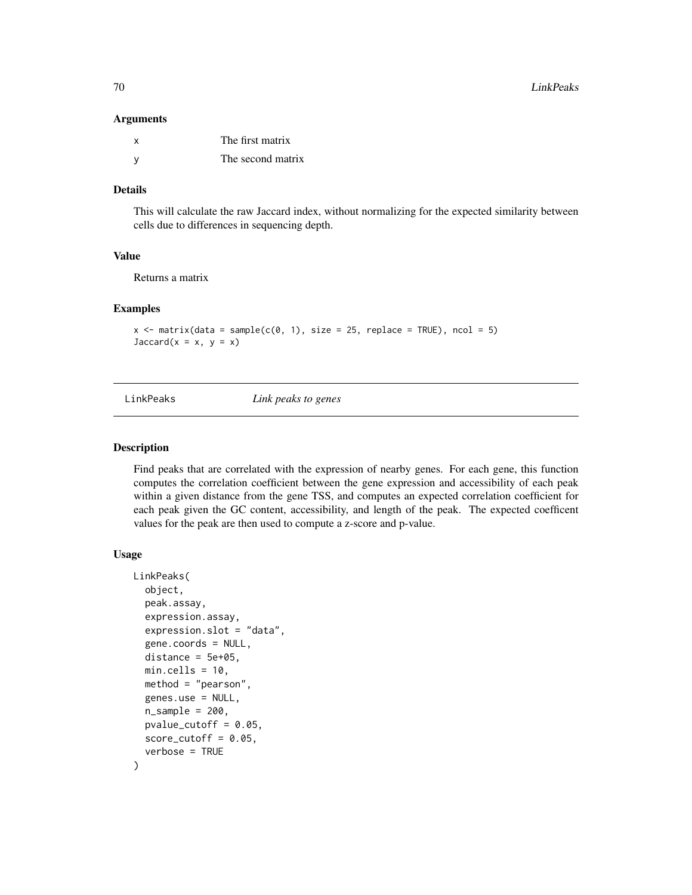| <b>x</b> | The first matrix  |
|----------|-------------------|
|          | The second matrix |

# Details

This will calculate the raw Jaccard index, without normalizing for the expected similarity between cells due to differences in sequencing depth.

#### Value

Returns a matrix

#### Examples

```
x \le matrix(data = sample(c(0, 1), size = 25, replace = TRUE), ncol = 5)
Jaccard(x = x, y = x)
```
LinkPeaks *Link peaks to genes*

### Description

Find peaks that are correlated with the expression of nearby genes. For each gene, this function computes the correlation coefficient between the gene expression and accessibility of each peak within a given distance from the gene TSS, and computes an expected correlation coefficient for each peak given the GC content, accessibility, and length of the peak. The expected coefficent values for the peak are then used to compute a z-score and p-value.

```
LinkPeaks(
  object,
  peak.assay,
  expression.assay,
  expression.slot = "data",
  gene.coords = NULL,
  distance = 5e+05,
  min.cells = 10,
  method = "pearson",
  genes.use = NULL,
  n_sample = 200,
  pvalue_cutoff = 0.05,
  score_cutoff = 0.05,
  verbose = TRUE
)
```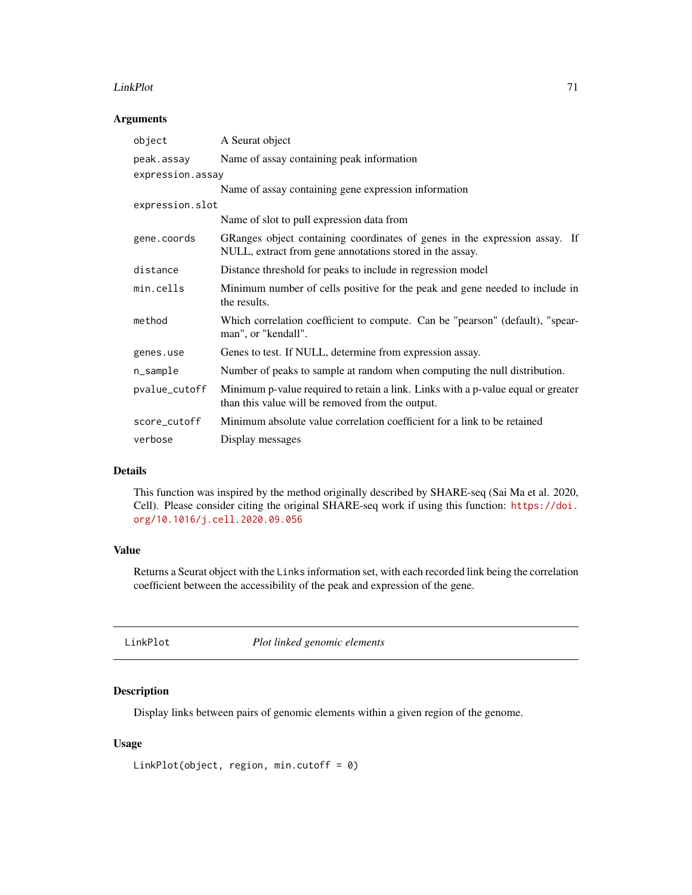#### LinkPlot 71

# Arguments

| object           | A Seurat object                                                                                                                        |
|------------------|----------------------------------------------------------------------------------------------------------------------------------------|
| peak.assay       | Name of assay containing peak information                                                                                              |
| expression.assay |                                                                                                                                        |
|                  | Name of assay containing gene expression information                                                                                   |
| expression.slot  |                                                                                                                                        |
|                  | Name of slot to pull expression data from                                                                                              |
| gene.coords      | GRanges object containing coordinates of genes in the expression assay. If<br>NULL, extract from gene annotations stored in the assay. |
| distance         | Distance threshold for peaks to include in regression model                                                                            |
| min.cells        | Minimum number of cells positive for the peak and gene needed to include in<br>the results.                                            |
| method           | Which correlation coefficient to compute. Can be "pearson" (default), "spear-<br>man", or "kendall".                                   |
| genes.use        | Genes to test. If NULL, determine from expression assay.                                                                               |
| n_sample         | Number of peaks to sample at random when computing the null distribution.                                                              |
| pvalue_cutoff    | Minimum p-value required to retain a link. Links with a p-value equal or greater<br>than this value will be removed from the output.   |
| score_cutoff     | Minimum absolute value correlation coefficient for a link to be retained                                                               |
| verbose          | Display messages                                                                                                                       |

#### Details

This function was inspired by the method originally described by SHARE-seq (Sai Ma et al. 2020, Cell). Please consider citing the original SHARE-seq work if using this function: [https://doi.](https://doi.org/10.1016/j.cell.2020.09.056) [org/10.1016/j.cell.2020.09.056](https://doi.org/10.1016/j.cell.2020.09.056)

## Value

Returns a Seurat object with the Links information set, with each recorded link being the correlation coefficient between the accessibility of the peak and expression of the gene.

LinkPlot *Plot linked genomic elements*

# Description

Display links between pairs of genomic elements within a given region of the genome.

# Usage

LinkPlot(object, region, min.cutoff = 0)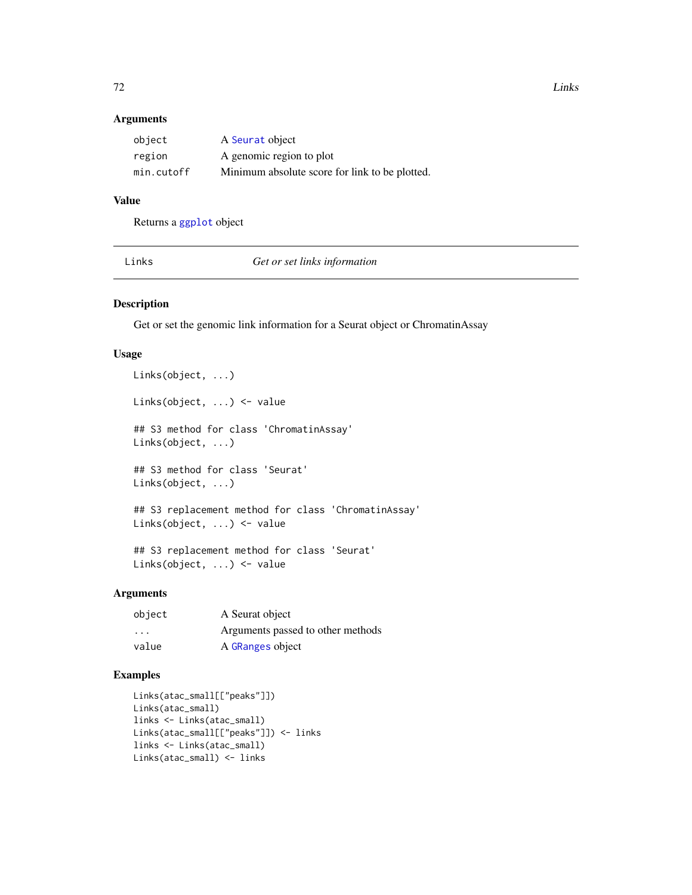72 Links

### Arguments

| object     | A Seurat object                                |
|------------|------------------------------------------------|
| region     | A genomic region to plot                       |
| min.cutoff | Minimum absolute score for link to be plotted. |

# Value

Returns a [ggplot](#page-0-0) object

Links *Get or set links information*

# Description

Get or set the genomic link information for a Seurat object or ChromatinAssay

# Usage

```
Links(object, ...)
Links(object, ...) <- value
## S3 method for class 'ChromatinAssay'
Links(object, ...)
## S3 method for class 'Seurat'
Links(object, ...)
## S3 replacement method for class 'ChromatinAssay'
Links(object, ...) <- value
## S3 replacement method for class 'Seurat'
Links(object, ...) <- value
```
#### Arguments

| object                  | A Seurat object                   |
|-------------------------|-----------------------------------|
| $\cdot$ $\cdot$ $\cdot$ | Arguments passed to other methods |
| value                   | A GRanges object                  |

```
Links(atac_small[["peaks"]])
Links(atac_small)
links <- Links(atac_small)
Links(atac_small[["peaks"]]) <- links
links <- Links(atac_small)
Links(atac_small) <- links
```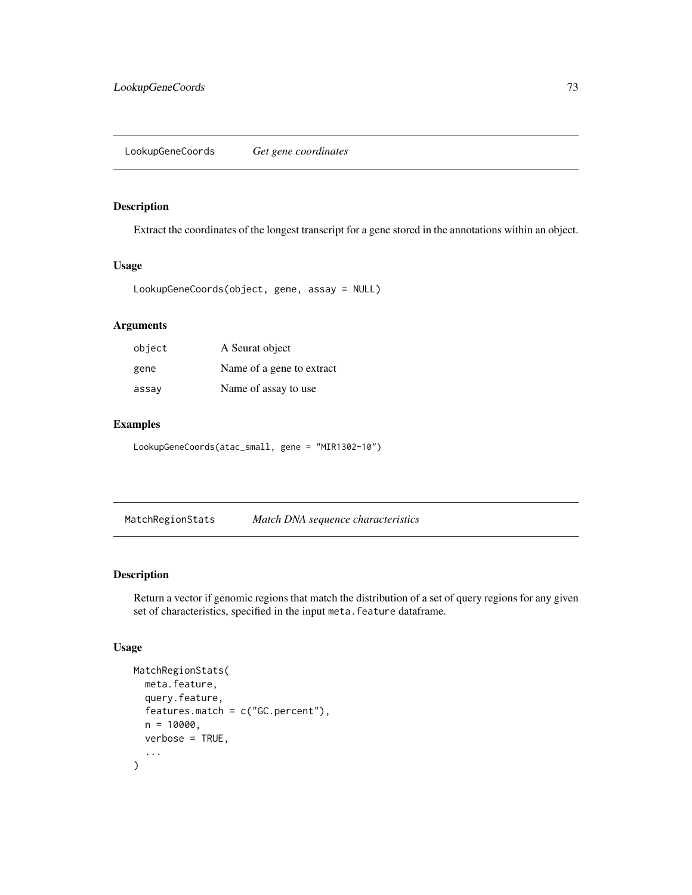<span id="page-72-0"></span>Extract the coordinates of the longest transcript for a gene stored in the annotations within an object.

#### Usage

```
LookupGeneCoords(object, gene, assay = NULL)
```
# Arguments

| object | A Seurat object           |
|--------|---------------------------|
| gene   | Name of a gene to extract |
| assay  | Name of assay to use      |

# Examples

LookupGeneCoords(atac\_small, gene = "MIR1302-10")

MatchRegionStats *Match DNA sequence characteristics*

# Description

Return a vector if genomic regions that match the distribution of a set of query regions for any given set of characteristics, specified in the input meta. feature dataframe.

# Usage

```
MatchRegionStats(
  meta.feature,
  query.feature,
  features.match = c("GC.percent"),
  n = 10000,verbose = TRUE,
  ...
\mathcal{E}
```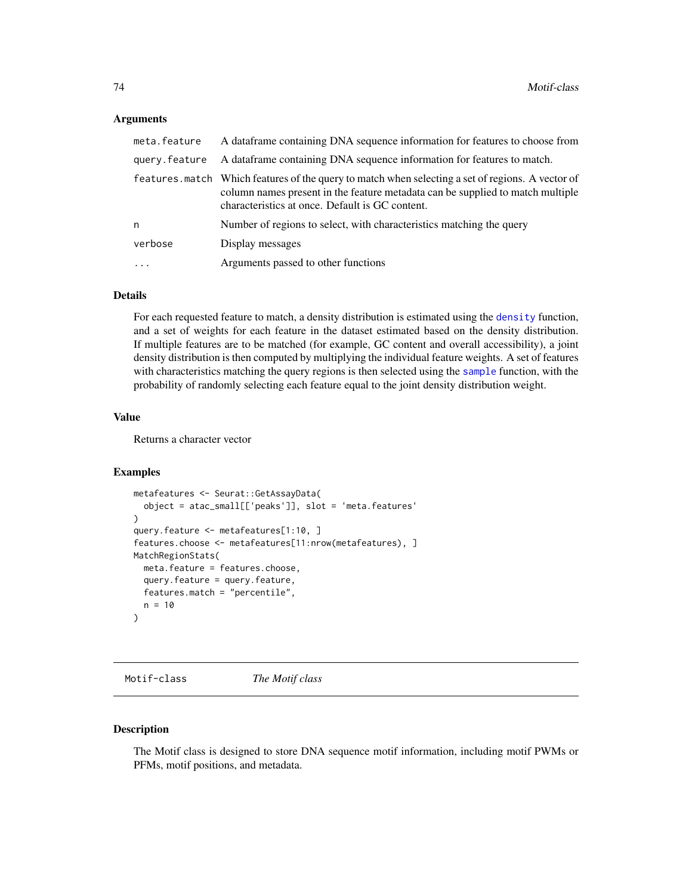#### <span id="page-73-2"></span>**Arguments**

| meta.feature  | A data frame containing DNA sequence information for features to choose from                                                                                                                                                          |
|---------------|---------------------------------------------------------------------------------------------------------------------------------------------------------------------------------------------------------------------------------------|
| query.feature | A data frame containing DNA sequence information for features to match.                                                                                                                                                               |
|               | features match Which features of the query to match when selecting a set of regions. A vector of<br>column names present in the feature metadata can be supplied to match multiple<br>characteristics at once. Default is GC content. |
| n             | Number of regions to select, with characteristics matching the query                                                                                                                                                                  |
| verbose       | Display messages                                                                                                                                                                                                                      |
| $\cdot$       | Arguments passed to other functions                                                                                                                                                                                                   |

#### Details

For each requested feature to match, a density distribution is estimated using the [density](#page-0-0) function, and a set of weights for each feature in the dataset estimated based on the density distribution. If multiple features are to be matched (for example, GC content and overall accessibility), a joint density distribution is then computed by multiplying the individual feature weights. A set of features with characteristics matching the query regions is then selected using the [sample](#page-0-0) function, with the probability of randomly selecting each feature equal to the joint density distribution weight.

#### Value

Returns a character vector

#### Examples

```
metafeatures <- Seurat::GetAssayData(
  object = atac_small[['peaks']], slot = 'meta.features'
\mathcal{L}query.feature <- metafeatures[1:10, ]
features.choose <- metafeatures[11:nrow(metafeatures), ]
MatchRegionStats(
  meta.feature = features.choose,
  query.feature = query.feature,
  features.match = "percentile",
  n = 10)
```
<span id="page-73-1"></span>Motif-class *The Motif class*

#### <span id="page-73-0"></span>Description

The Motif class is designed to store DNA sequence motif information, including motif PWMs or PFMs, motif positions, and metadata.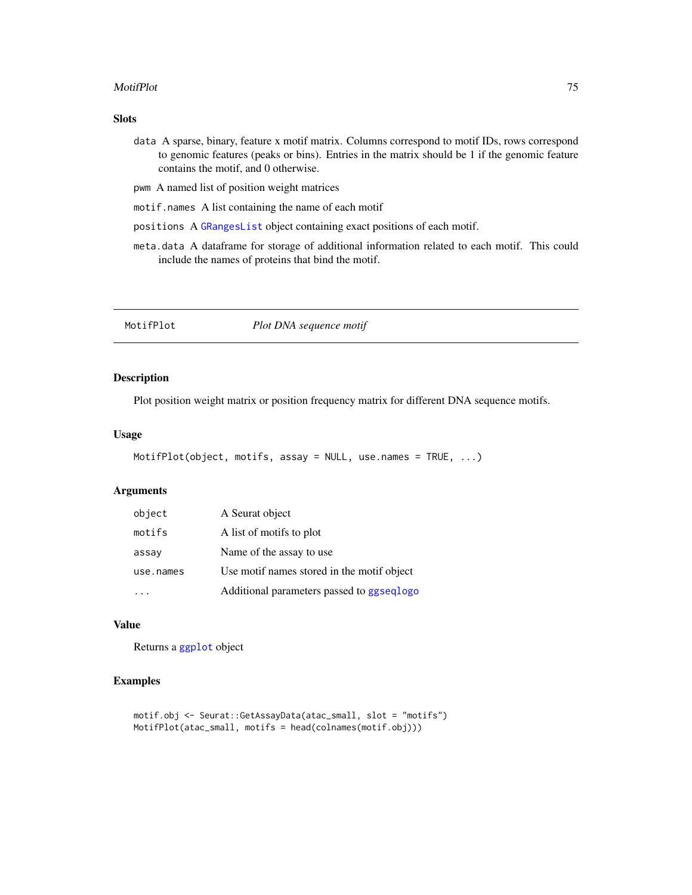#### <span id="page-74-0"></span>MotifPlot 75

# Slots

- data A sparse, binary, feature x motif matrix. Columns correspond to motif IDs, rows correspond to genomic features (peaks or bins). Entries in the matrix should be 1 if the genomic feature contains the motif, and 0 otherwise.
- pwm A named list of position weight matrices
- motif.names A list containing the name of each motif
- positions A [GRangesList](#page-0-0) object containing exact positions of each motif.
- meta.data A dataframe for storage of additional information related to each motif. This could include the names of proteins that bind the motif.

MotifPlot *Plot DNA sequence motif*

#### Description

Plot position weight matrix or position frequency matrix for different DNA sequence motifs.

#### Usage

```
MotifPlot(object, motifs, assay = NULL, use.names = TRUE, ...)
```
# Arguments

| object    | A Seurat object                            |
|-----------|--------------------------------------------|
| motifs    | A list of motifs to plot                   |
| assay     | Name of the assay to use                   |
| use.names | Use motif names stored in the motif object |
|           | Additional parameters passed to ggseqlogo  |

#### Value

Returns a [ggplot](#page-0-0) object

```
motif.obj <- Seurat::GetAssayData(atac_small, slot = "motifs")
MotifPlot(atac_small, motifs = head(colnames(motif.obj)))
```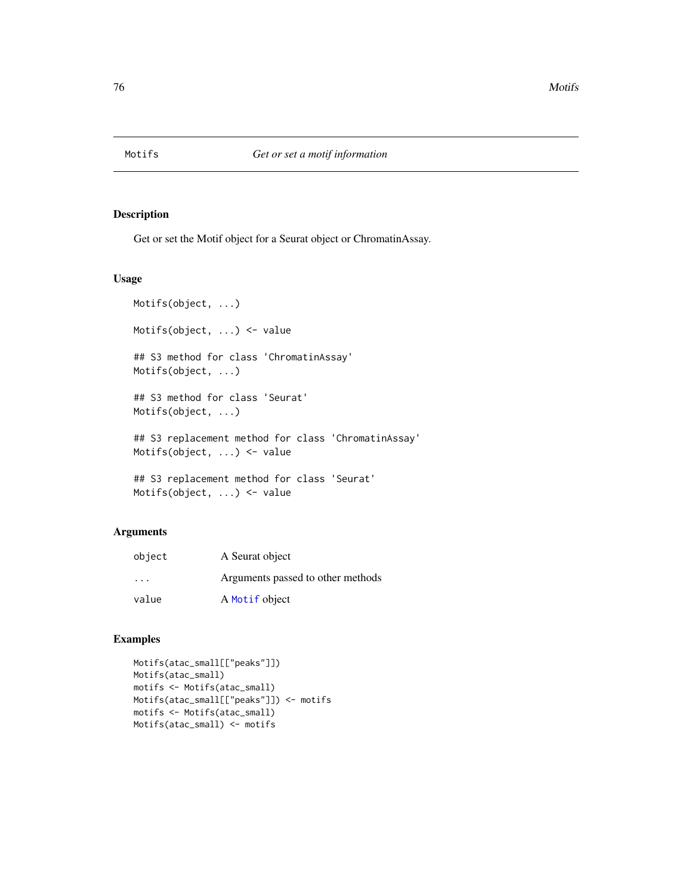<span id="page-75-0"></span>

Get or set the Motif object for a Seurat object or ChromatinAssay.

#### Usage

```
Motifs(object, ...)
Motifs(object, ...) <- value
## S3 method for class 'ChromatinAssay'
Motifs(object, ...)
## S3 method for class 'Seurat'
Motifs(object, ...)
## S3 replacement method for class 'ChromatinAssay'
Motifs(object, ...) <- value
## S3 replacement method for class 'Seurat'
Motifs(object, ...) <- value
```
# Arguments

| object                  | A Seurat object                   |
|-------------------------|-----------------------------------|
| $\cdot$ $\cdot$ $\cdot$ | Arguments passed to other methods |
| value                   | A Motif object                    |

```
Motifs(atac_small[["peaks"]])
Motifs(atac_small)
motifs <- Motifs(atac_small)
Motifs(atac_small[["peaks"]]) <- motifs
motifs <- Motifs(atac_small)
Motifs(atac_small) <- motifs
```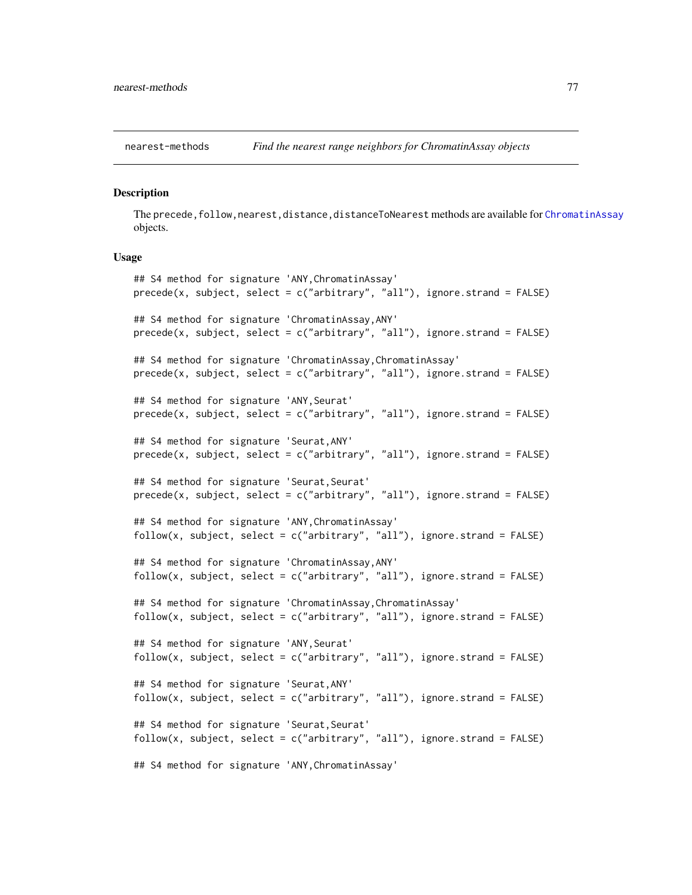<span id="page-76-1"></span><span id="page-76-0"></span>

The precede, follow, nearest, distance, distanceToNearest methods are available for [ChromatinAssay](#page-21-0) objects.

#### Usage

```
## S4 method for signature 'ANY,ChromatinAssay'
precede(x, subject, select = c("arbitrary", "all"), ignore.strand = FALSE)
## S4 method for signature 'ChromatinAssay,ANY'
precede(x, subject, select = c("arbitrary", "all"), ignore.strand = FALSE)
## S4 method for signature 'ChromatinAssay,ChromatinAssay'
precede(x, subject, select = c("arbitrary", "all"), ignore.strand = FALSE)
## S4 method for signature 'ANY,Seurat'
precede(x, subject, select = c("arbitrary", "all"), ignore.strand = FALSE)
## S4 method for signature 'Seurat,ANY'
precede(x, subject, select = c("arbitrary", "all"), ignore.strand = FALSE)
## S4 method for signature 'Seurat, Seurat'
precede(x, subject, select = c("arbitrary", "all"), ignore.strand = FALSE)
## S4 method for signature 'ANY,ChromatinAssay'
follow(x, subject, select = c("arbitrary", "all"), ignore.strand = FALSE)## S4 method for signature 'ChromatinAssay,ANY'
follow(x, subject, select = c("arbitrary", "all"), ignore.strand = FALSE)## S4 method for signature 'ChromatinAssay,ChromatinAssay'
follow(x, subject, select = c("arbitrary", "all"), ignore.strand = FALSE)
## S4 method for signature 'ANY,Seurat'
follow(x, subject, select = c("arbitrary", "all"), ignore.strand = FALSE)## S4 method for signature 'Seurat,ANY'
follow(x, subject, select = c("arbitrary", "all"), ignore.strand = FALSE)
## S4 method for signature 'Seurat, Seurat'
follow(x, subject, select = c("arbitrary", "all"), ignore.strand = FALSE)
## S4 method for signature 'ANY,ChromatinAssay'
```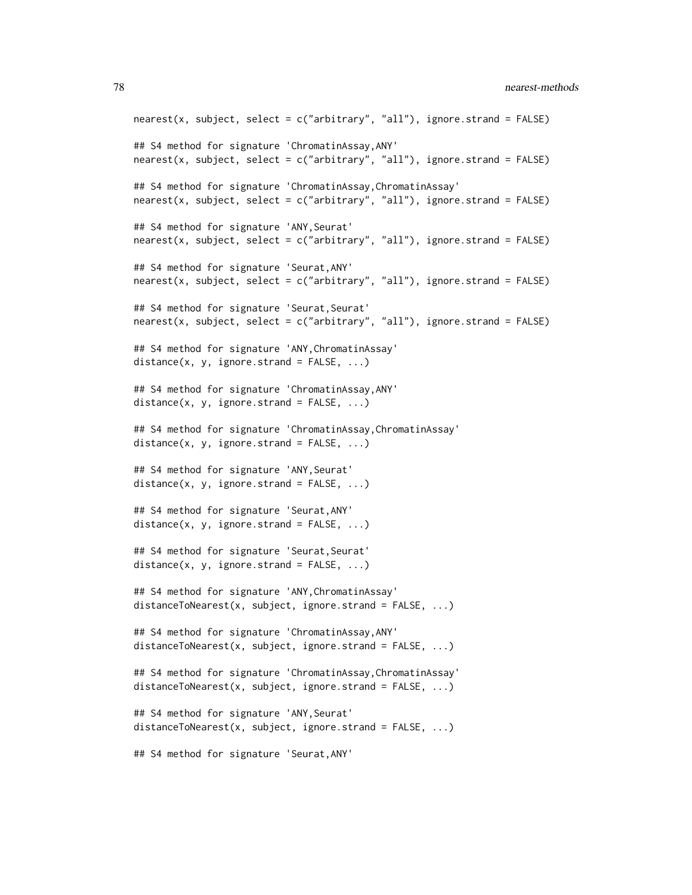```
nearest(x, subject, select = c("arbitrary", "all"), ignore.strand = FALSE)
## S4 method for signature 'ChromatinAssay,ANY'
nearest(x, subject, select = c("arbitrary", "all"), ignore.strand = FALSE)
## S4 method for signature 'ChromatinAssay,ChromatinAssay'
nearest(x, subject, select = c("arbitrary", "all"), ignore.strand = FALSE)
## S4 method for signature 'ANY,Seurat'
nearest(x, subject, select = c("arbitrary", "all"), ignore.strand = FALSE)
## S4 method for signature 'Seurat,ANY'
nearest(x, subject, select = c("arbitrary", "all"), ignore.strand = FALSE)
## S4 method for signature 'Seurat, Seurat'
nearest(x, subject, select = c("arbitrary", "all"), ignore.strand = FALSE)
## S4 method for signature 'ANY,ChromatinAssay'
distance(x, y, ignore.strand = FALSE, ...)
## S4 method for signature 'ChromatinAssay,ANY'
distance(x, y, ignore-strand = FALSE, ...)## S4 method for signature 'ChromatinAssay,ChromatinAssay'
distance(x, y, ignore.strand = FALSE, ...)## S4 method for signature 'ANY,Seurat'
distance(x, y, ignore.strand = FALSE, ...)## S4 method for signature 'Seurat,ANY'
distance(x, y, ignore.strand = FALSE, ...)## S4 method for signature 'Seurat, Seurat'
distance(x, y, ignore.strand = FALSE, ...)## S4 method for signature 'ANY,ChromatinAssay'
distanceToNearest(x, subject, ignore.strand = FALSE, ...)
## S4 method for signature 'ChromatinAssay,ANY'
distanceToNearest(x, subject, ignore.strand = FALSE, ...)
## S4 method for signature 'ChromatinAssay,ChromatinAssay'
distanceToNearest(x, subject, ignore.strand = FALSE, ...)
## S4 method for signature 'ANY,Seurat'
distanceToNearest(x, subject, ignore.strand = FALSE, ...)
## S4 method for signature 'Seurat,ANY'
```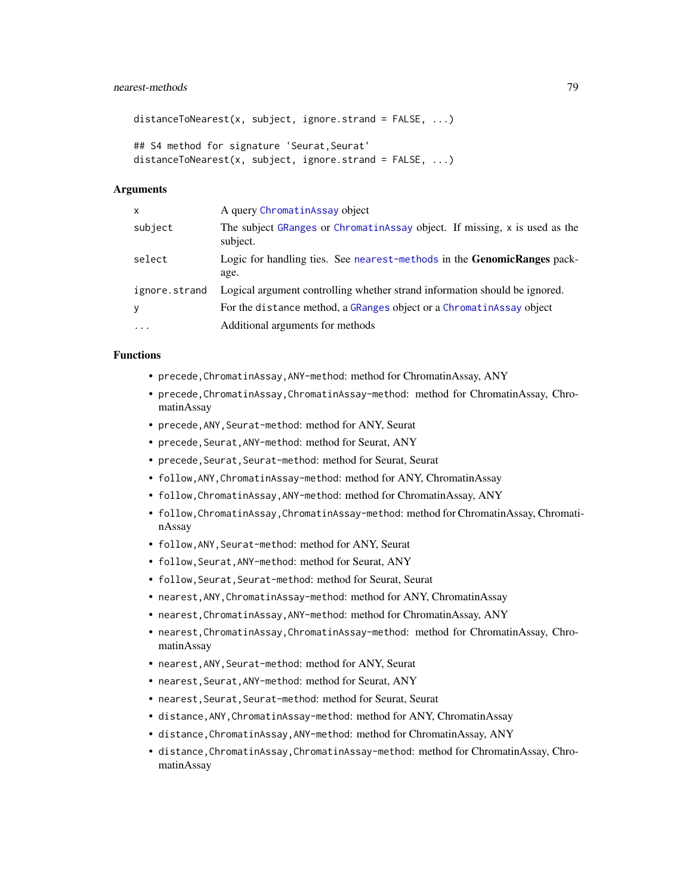## <span id="page-78-0"></span>nearest-methods 79

```
distanceToNearest(x, subject, ignore.strand = FALSE, ...)
## S4 method for signature 'Seurat, Seurat'
distanceToNearest(x, subject, ignore.strand = FALSE, ...)
```
#### **Arguments**

| A query ChromatinAssay object                                                          |
|----------------------------------------------------------------------------------------|
| The subject GRanges or ChromatinAssay object. If missing, x is used as the<br>subject. |
| Logic for handling ties. See nearest-methods in the <b>GenomicRanges</b> pack-<br>age. |
| Logical argument controlling whether strand information should be ignored.             |
| For the distance method, a GRanges object or a ChromatinAssay object                   |
| Additional arguments for methods                                                       |
|                                                                                        |

#### Functions

- precede, ChromatinAssay, ANY-method: method for ChromatinAssay, ANY
- precede,ChromatinAssay,ChromatinAssay-method: method for ChromatinAssay, ChromatinAssay
- precede,ANY,Seurat-method: method for ANY, Seurat
- precede,Seurat,ANY-method: method for Seurat, ANY
- precede,Seurat,Seurat-method: method for Seurat, Seurat
- follow,ANY,ChromatinAssay-method: method for ANY, ChromatinAssay
- follow,ChromatinAssay,ANY-method: method for ChromatinAssay, ANY
- follow,ChromatinAssay,ChromatinAssay-method: method for ChromatinAssay, ChromatinAssay
- follow,ANY,Seurat-method: method for ANY, Seurat
- follow,Seurat,ANY-method: method for Seurat, ANY
- follow,Seurat,Seurat-method: method for Seurat, Seurat
- nearest,ANY,ChromatinAssay-method: method for ANY, ChromatinAssay
- nearest,ChromatinAssay,ANY-method: method for ChromatinAssay, ANY
- nearest,ChromatinAssay,ChromatinAssay-method: method for ChromatinAssay, ChromatinAssay
- nearest,ANY,Seurat-method: method for ANY, Seurat
- nearest,Seurat,ANY-method: method for Seurat, ANY
- nearest,Seurat,Seurat-method: method for Seurat, Seurat
- distance,ANY,ChromatinAssay-method: method for ANY, ChromatinAssay
- distance,ChromatinAssay,ANY-method: method for ChromatinAssay, ANY
- distance, ChromatinAssay, ChromatinAssay-method: method for ChromatinAssay, ChromatinAssay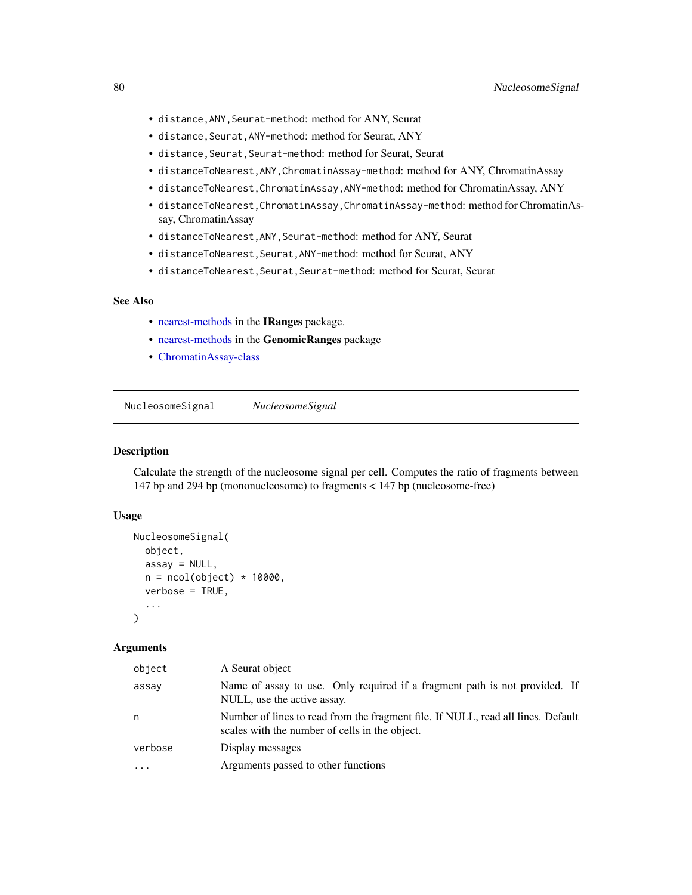- <span id="page-79-0"></span>• distance,ANY,Seurat-method: method for ANY, Seurat
- distance,Seurat,ANY-method: method for Seurat, ANY
- distance,Seurat,Seurat-method: method for Seurat, Seurat
- distanceToNearest,ANY,ChromatinAssay-method: method for ANY, ChromatinAssay
- distanceToNearest,ChromatinAssay,ANY-method: method for ChromatinAssay, ANY
- distanceToNearest,ChromatinAssay,ChromatinAssay-method: method for ChromatinAssay, ChromatinAssay
- distanceToNearest,ANY,Seurat-method: method for ANY, Seurat
- distanceToNearest,Seurat,ANY-method: method for Seurat, ANY
- distanceToNearest,Seurat,Seurat-method: method for Seurat, Seurat

#### See Also

- [nearest-methods](#page-76-0) in the IRanges package.
- [nearest-methods](#page-76-0) in the GenomicRanges package
- [ChromatinAssay-class](#page-21-1)

NucleosomeSignal *NucleosomeSignal*

#### Description

Calculate the strength of the nucleosome signal per cell. Computes the ratio of fragments between 147 bp and 294 bp (mononucleosome) to fragments < 147 bp (nucleosome-free)

#### Usage

```
NucleosomeSignal(
  object,
  assay = NULL,n = \text{ncol}(\text{object}) \times 10000,verbose = TRUE,
   ...
)
```
#### Arguments

| object   | A Seurat object                                                                                                                    |
|----------|------------------------------------------------------------------------------------------------------------------------------------|
| assay    | Name of assay to use. Only required if a fragment path is not provided. If<br>NULL, use the active assay.                          |
| n        | Number of lines to read from the fragment file. If NULL, read all lines. Default<br>scales with the number of cells in the object. |
| verbose  | Display messages                                                                                                                   |
| $\cdots$ | Arguments passed to other functions                                                                                                |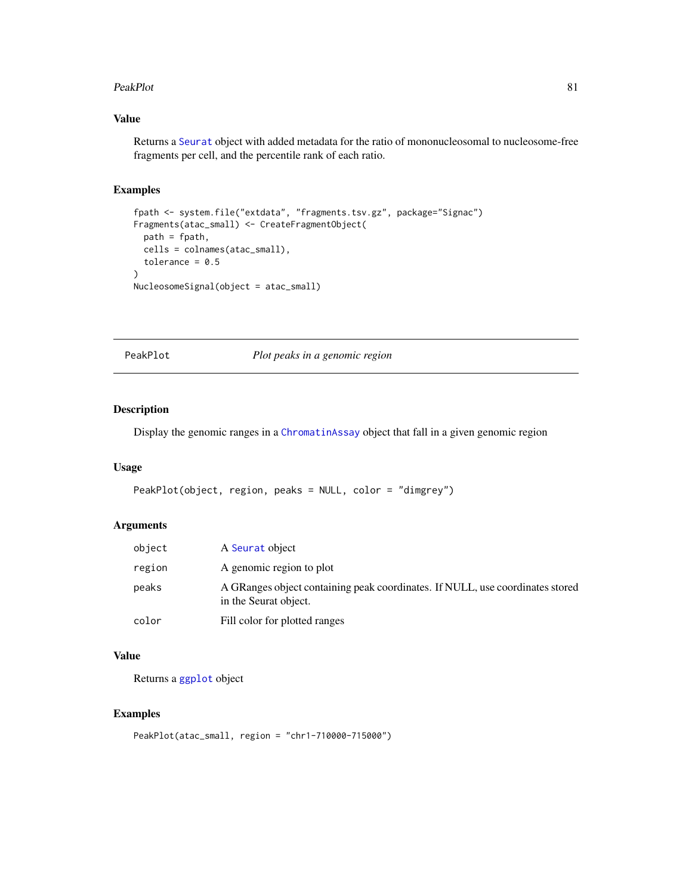#### <span id="page-80-0"></span>PeakPlot 81

# Value

Returns a [Seurat](#page-0-0) object with added metadata for the ratio of mononucleosomal to nucleosome-free fragments per cell, and the percentile rank of each ratio.

#### Examples

```
fpath <- system.file("extdata", "fragments.tsv.gz", package="Signac")
Fragments(atac_small) <- CreateFragmentObject(
  path = fpath,
  cells = colnames(atac_small),
  tolerance = 0.5\mathcal{L}NucleosomeSignal(object = atac_small)
```
PeakPlot *Plot peaks in a genomic region*

# Description

Display the genomic ranges in a [ChromatinAssay](#page-21-0) object that fall in a given genomic region

#### Usage

```
PeakPlot(object, region, peaks = NULL, color = "dimgrey")
```
#### Arguments

| object | A Seurat object                                                                                        |
|--------|--------------------------------------------------------------------------------------------------------|
| region | A genomic region to plot                                                                               |
| peaks  | A GRanges object containing peak coordinates. If NULL, use coordinates stored<br>in the Seurat object. |
| color  | Fill color for plotted ranges                                                                          |

# Value

Returns a [ggplot](#page-0-0) object

```
PeakPlot(atac_small, region = "chr1-710000-715000")
```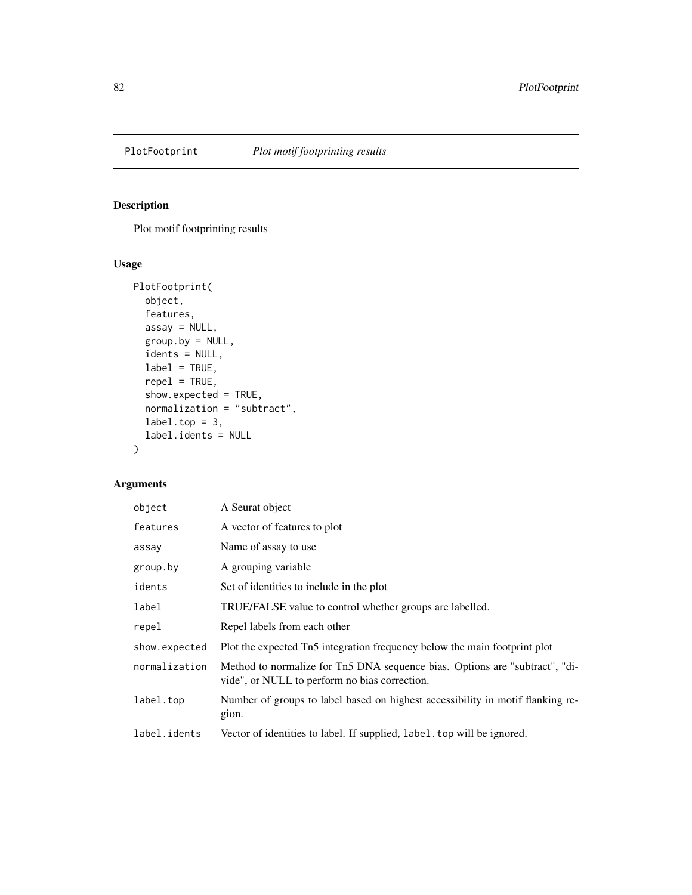<span id="page-81-0"></span>

Plot motif footprinting results

# Usage

```
PlotFootprint(
  object,
  features,
  assay = NULL,
  group.by = NULL,
  idents = NULL,
 label = TRUE,repel = TRUE,
  show.expected = TRUE,
 normalization = "subtract",
 label.top = 3,label.idents = NULL
\mathcal{L}
```
# Arguments

| object        | A Seurat object                                                                                                              |
|---------------|------------------------------------------------------------------------------------------------------------------------------|
| features      | A vector of features to plot                                                                                                 |
| assay         | Name of assay to use                                                                                                         |
| group.by      | A grouping variable                                                                                                          |
| idents        | Set of identities to include in the plot                                                                                     |
| label         | TRUE/FALSE value to control whether groups are labelled.                                                                     |
| repel         | Repel labels from each other                                                                                                 |
| show.expected | Plot the expected Tn5 integration frequency below the main footprint plot                                                    |
| normalization | Method to normalize for Tn5 DNA sequence bias. Options are "subtract", "di-<br>vide", or NULL to perform no bias correction. |
| label.top     | Number of groups to label based on highest accessibility in motif flanking re-<br>gion.                                      |
| label.idents  | Vector of identities to label. If supplied, label. top will be ignored.                                                      |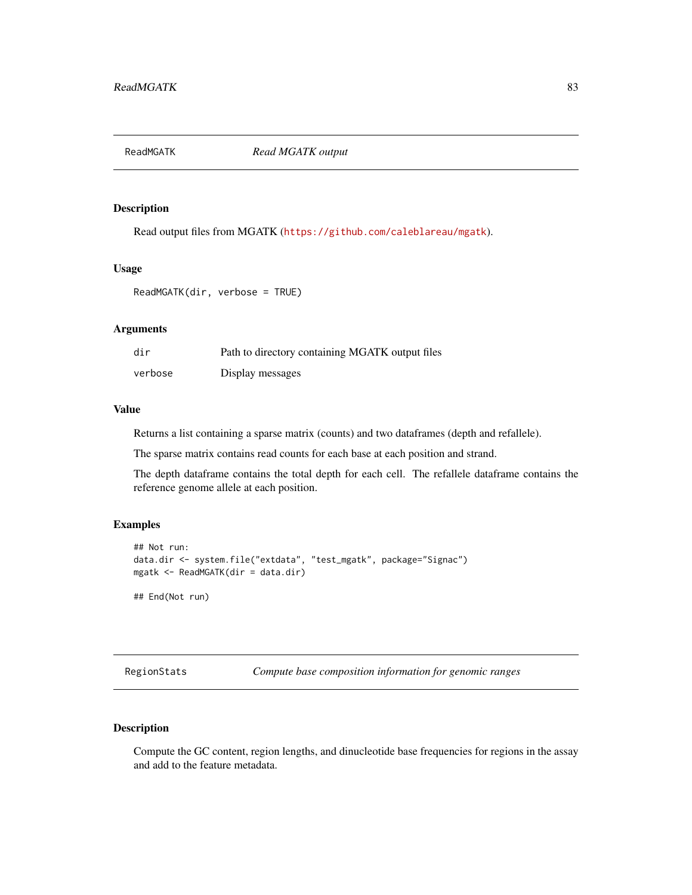<span id="page-82-0"></span>ReadMGATK *Read MGATK output*

#### Description

Read output files from MGATK (<https://github.com/caleblareau/mgatk>).

#### Usage

ReadMGATK(dir, verbose = TRUE)

# Arguments

| dir     | Path to directory containing MGATK output files |
|---------|-------------------------------------------------|
| verbose | Display messages                                |

#### Value

Returns a list containing a sparse matrix (counts) and two dataframes (depth and refallele).

The sparse matrix contains read counts for each base at each position and strand.

The depth dataframe contains the total depth for each cell. The refallele dataframe contains the reference genome allele at each position.

#### Examples

```
## Not run:
data.dir <- system.file("extdata", "test_mgatk", package="Signac")
mgatk <- ReadMGATK(dir = data.dir)
```
## End(Not run)

RegionStats *Compute base composition information for genomic ranges*

# Description

Compute the GC content, region lengths, and dinucleotide base frequencies for regions in the assay and add to the feature metadata.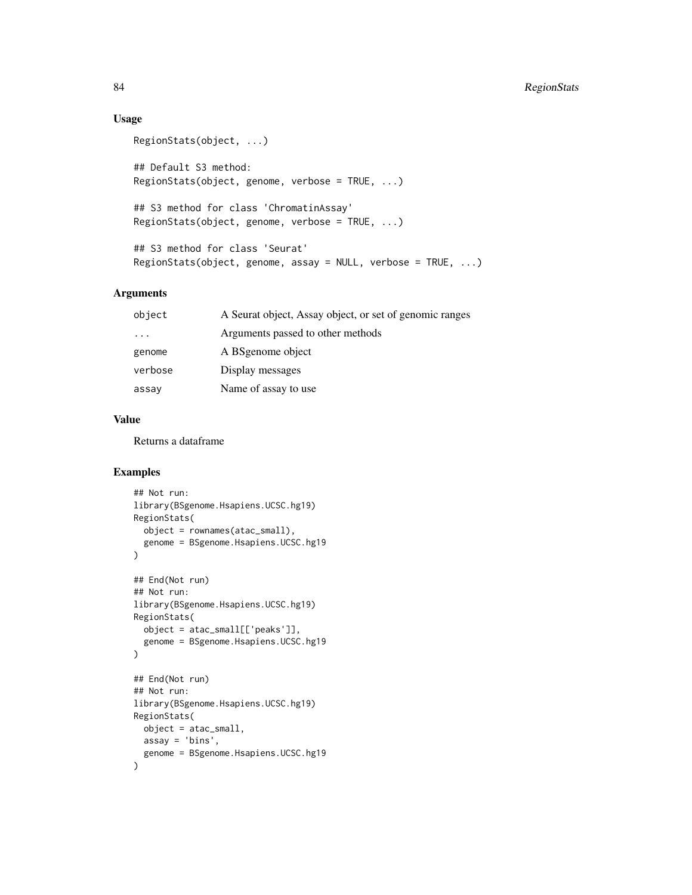#### Usage

```
RegionStats(object, ...)
## Default S3 method:
RegionStats(object, genome, verbose = TRUE, ...)
## S3 method for class 'ChromatinAssay'
RegionStats(object, genome, verbose = TRUE, ...)
## S3 method for class 'Seurat'
RegionStats(object, genome, assay = NULL, verbose = TRUE, ...)
```
# Arguments

| object                  | A Seurat object, Assay object, or set of genomic ranges |
|-------------------------|---------------------------------------------------------|
| $\cdot$ $\cdot$ $\cdot$ | Arguments passed to other methods                       |
| genome                  | A BSgenome object                                       |
| verbose                 | Display messages                                        |
| assay                   | Name of assay to use                                    |

# Value

Returns a dataframe

```
## Not run:
library(BSgenome.Hsapiens.UCSC.hg19)
RegionStats(
  object = rownames(atac_small),
  genome = BSgenome.Hsapiens.UCSC.hg19
)
## End(Not run)
## Not run:
library(BSgenome.Hsapiens.UCSC.hg19)
RegionStats(
  object = atac_small[['peaks']],
  genome = BSgenome.Hsapiens.UCSC.hg19
\mathcal{L}## End(Not run)
## Not run:
library(BSgenome.Hsapiens.UCSC.hg19)
RegionStats(
 object = atac_small,
 assay = 'bins',
  genome = BSgenome.Hsapiens.UCSC.hg19
\mathcal{L}
```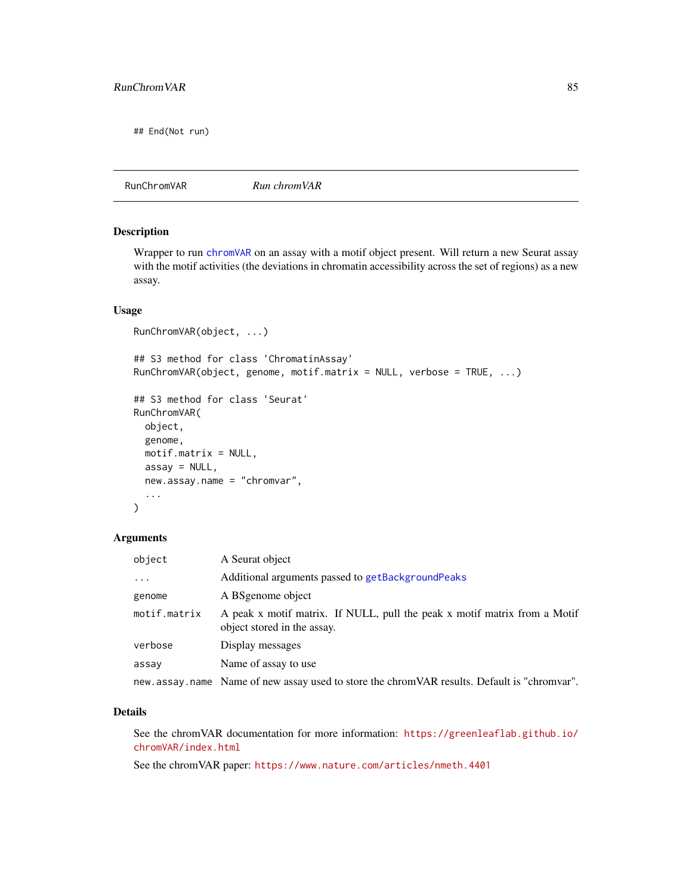<span id="page-84-0"></span>## End(Not run)

### RunChromVAR *Run chromVAR*

#### Description

Wrapper to run [chromVAR](#page-0-0) on an assay with a motif object present. Will return a new Seurat assay with the motif activities (the deviations in chromatin accessibility across the set of regions) as a new assay.

# Usage

```
RunChromVAR(object, ...)
## S3 method for class 'ChromatinAssay'
RunChromVAR(object, genome, motif.matrix = NULL, verbose = TRUE, ...)
## S3 method for class 'Seurat'
RunChromVAR(
 object,
 genome,
 motif.matrix = NULL,
 assay = NULL,new.assay.name = "chromvar",
  ...
)
```
# Arguments

| object       | A Seurat object                                                                                          |
|--------------|----------------------------------------------------------------------------------------------------------|
| $\ddots$     | Additional arguments passed to getBackgroundPeaks                                                        |
| genome       | A BSgenome object                                                                                        |
| motif.matrix | A peak x motif matrix. If NULL, pull the peak x motif matrix from a Motif<br>object stored in the assay. |
| verbose      | Display messages                                                                                         |
| assay        | Name of assay to use                                                                                     |
|              | new assay name Name of new assay used to store the chrom VAR results. Default is "chromvar".             |

#### Details

See the chromVAR documentation for more information: [https://greenleaflab.github.io/](https://greenleaflab.github.io/chromVAR/index.html) [chromVAR/index.html](https://greenleaflab.github.io/chromVAR/index.html)

See the chromVAR paper: <https://www.nature.com/articles/nmeth.4401>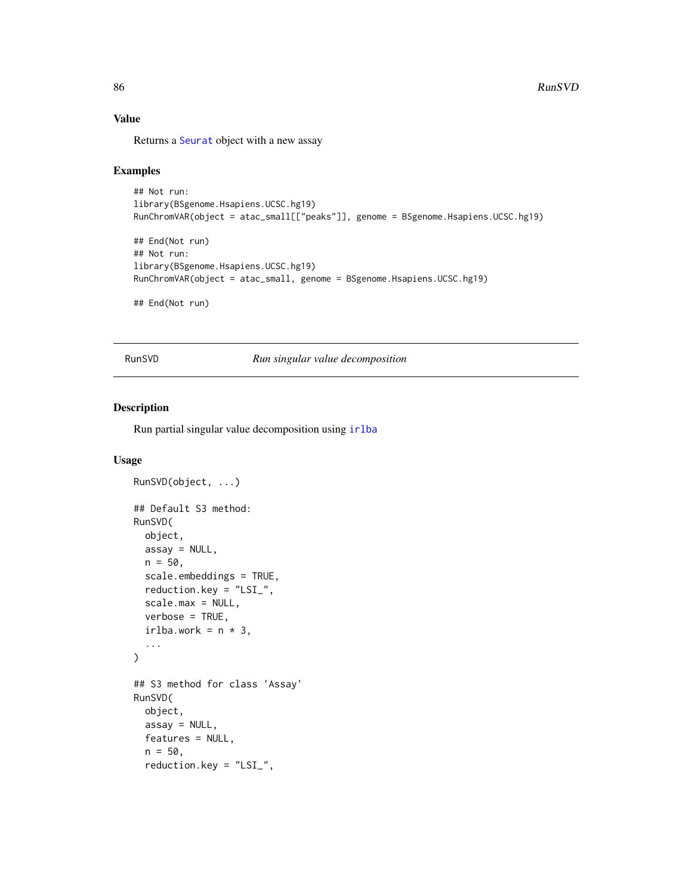# Value

Returns a [Seurat](#page-0-0) object with a new assay

#### Examples

```
## Not run:
library(BSgenome.Hsapiens.UCSC.hg19)
RunChromVAR(object = atac_small[["peaks"]], genome = BSgenome.Hsapiens.UCSC.hg19)
## End(Not run)
## Not run:
library(BSgenome.Hsapiens.UCSC.hg19)
RunChromVAR(object = atac_small, genome = BSgenome.Hsapiens.UCSC.hg19)
## End(Not run)
```
RunSVD *Run singular value decomposition*

#### Description

Run partial singular value decomposition using [irlba](#page-0-0)

# Usage

```
RunSVD(object, ...)
## Default S3 method:
RunSVD(
 object,
  assay = NULL,n = 50,
  scale.embeddings = TRUE,
  reduction.key = "LSI_",
  scale.max = NULL,
  verbose = TRUE,
  irlba.work = n * 3,
  ...
)
## S3 method for class 'Assay'
RunSVD(
 object,
  assay = NULL,
  features = NULL,
  n = 50,
  reduction.key = "LSI_",
```
<span id="page-85-0"></span>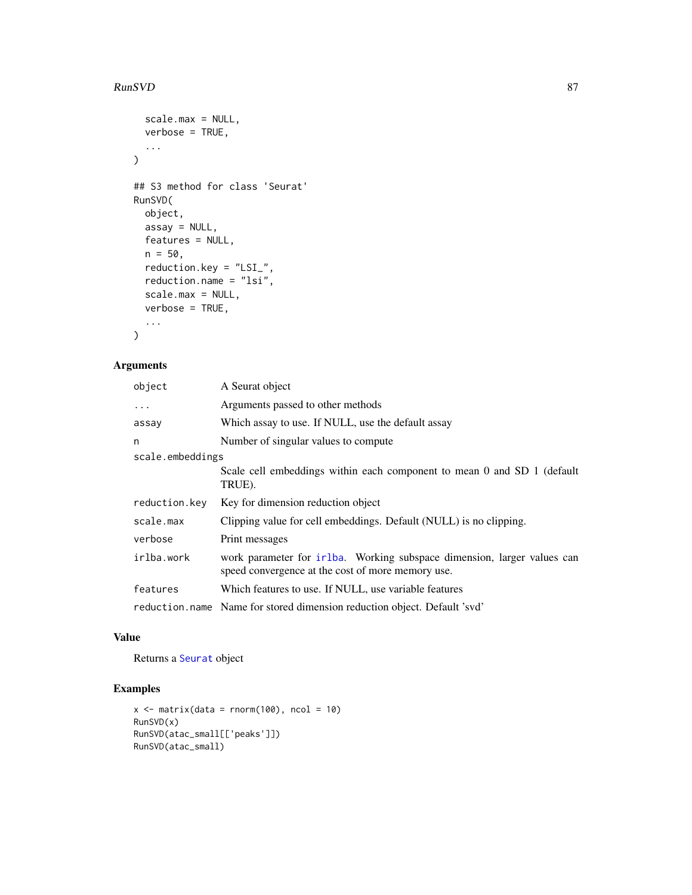#### <span id="page-86-0"></span> $RunSVD$  87

```
scale.max = NULL,
  verbose = TRUE,
  ...
\mathcal{L}## S3 method for class 'Seurat'
RunSVD(
  object,
  assay = NULL,
  features = NULL,
  n = 50,
  reduction.key = "LSI_",
  reduction.name = "lsi",
  scale.max = NULL,
  verbose = TRUE,
  ...
\mathcal{L}
```
# Arguments

| object           | A Seurat object                                                                                                              |  |
|------------------|------------------------------------------------------------------------------------------------------------------------------|--|
| $\ddots$         | Arguments passed to other methods                                                                                            |  |
| assay            | Which assay to use. If NULL, use the default assay                                                                           |  |
| n                | Number of singular values to compute.                                                                                        |  |
| scale.embeddings |                                                                                                                              |  |
|                  | Scale cell embeddings within each component to mean 0 and SD 1 (default<br>TRUE).                                            |  |
| reduction.key    | Key for dimension reduction object                                                                                           |  |
| scale.max        | Clipping value for cell embeddings. Default (NULL) is no clipping.                                                           |  |
| verbose          | Print messages                                                                                                               |  |
| irlba.work       | work parameter for inlba. Working subspace dimension, larger values can<br>speed convergence at the cost of more memory use. |  |
| features         | Which features to use. If NULL, use variable features                                                                        |  |
|                  | reduction.name Name for stored dimension reduction object. Default 'svd'                                                     |  |

# Value

Returns a [Seurat](#page-0-0) object

```
x \le - matrix(data = rnorm(100), ncol = 10)
RunSVD(x)
RunSVD(atac_small[['peaks']])
RunSVD(atac_small)
```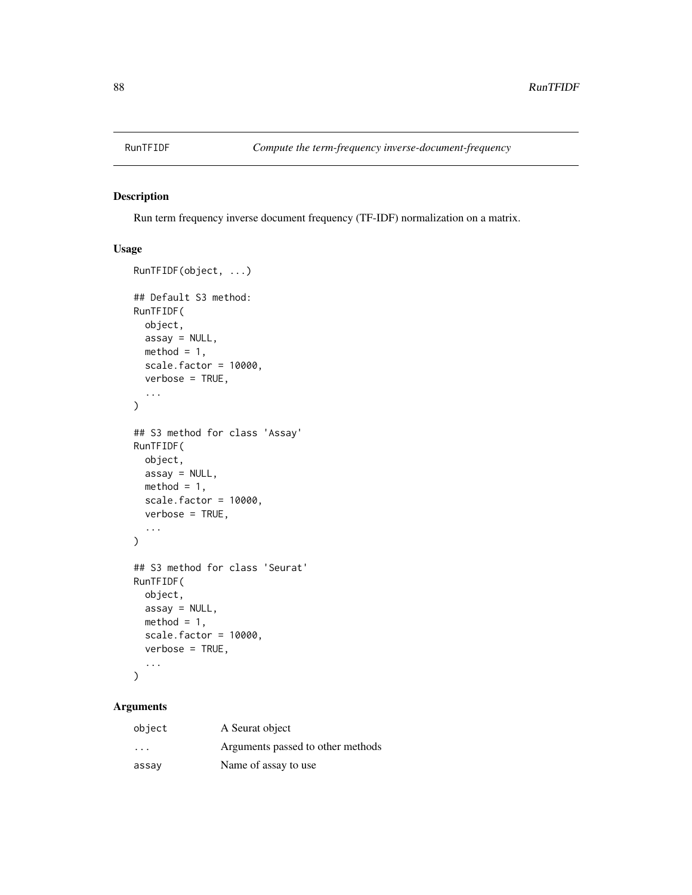<span id="page-87-0"></span>

Run term frequency inverse document frequency (TF-IDF) normalization on a matrix.

# Usage

```
RunTFIDF(object, ...)
## Default S3 method:
RunTFIDF(
 object,
 assay = NULL,
 method = 1,
  scale.factor = 10000,
 verbose = TRUE,
  ...
)
## S3 method for class 'Assay'
RunTFIDF(
 object,
 assay = NULL,
 method = 1,scale.factor = 10000,
  verbose = TRUE,
  ...
\mathcal{L}## S3 method for class 'Seurat'
RunTFIDF(
 object,
  assay = NULL,
 method = 1,
 scale.factor = 10000,
 verbose = TRUE,
  ...
\mathcal{L}
```
#### Arguments

| object                  | A Seurat object                   |
|-------------------------|-----------------------------------|
| $\cdot$ $\cdot$ $\cdot$ | Arguments passed to other methods |
| assav                   | Name of assay to use              |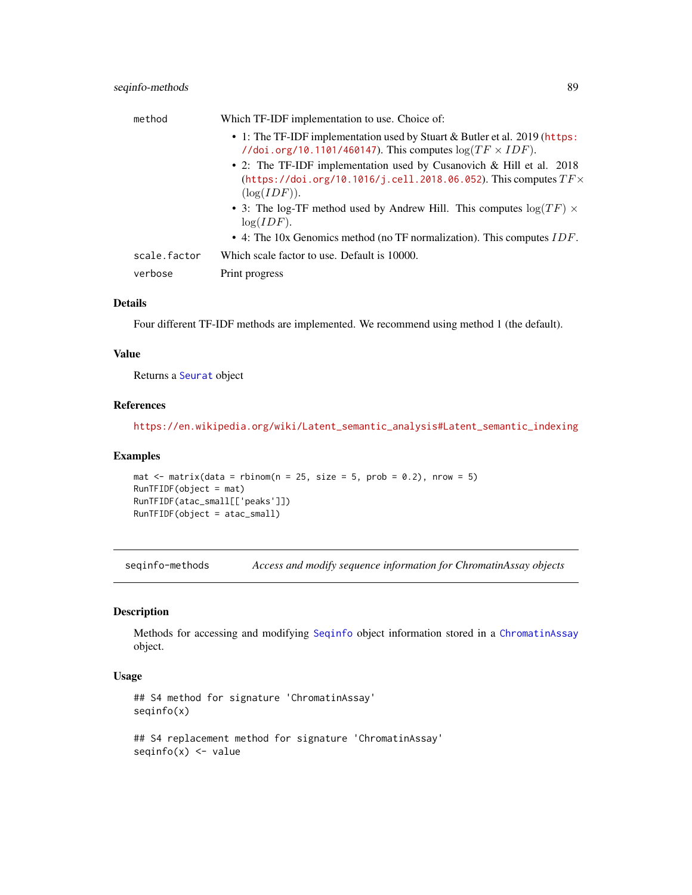<span id="page-88-1"></span>

| method       | Which TF-IDF implementation to use. Choice of:                                                                                                |
|--------------|-----------------------------------------------------------------------------------------------------------------------------------------------|
|              | • 1: The TF-IDF implementation used by Stuart & Butler et al. 2019 (https:<br>//doi.org/10.1101/460147). This computes $log(TF \times IDF)$ . |
|              | • 2: The TF-IDF implementation used by Cusanovich & Hill et al. 2018                                                                          |
|              | (https://doi.org/10.1016/j.cell.2018.06.052). This computes $TF \times$<br>(log(IDF)).                                                        |
|              | • 3: The log-TF method used by Andrew Hill. This computes $\log(TF) \times$<br>log(IDF).                                                      |
|              | • 4: The 10x Genomics method (no TF normalization). This computes $IDF$ .                                                                     |
| scale.factor | Which scale factor to use. Default is 10000.                                                                                                  |
| verbose      | Print progress                                                                                                                                |
|              |                                                                                                                                               |

#### Details

Four different TF-IDF methods are implemented. We recommend using method 1 (the default).

#### Value

Returns a [Seurat](#page-0-0) object

#### References

[https://en.wikipedia.org/wiki/Latent\\_semantic\\_analysis#Latent\\_semantic\\_indexing](https://en.wikipedia.org/wiki/Latent_semantic_analysis#Latent_semantic_indexing)

#### Examples

```
mat \le matrix(data = rbinom(n = 25, size = 5, prob = 0.2), nrow = 5)
RunTFIDF(object = mat)RunTFIDF(atac_small[['peaks']])
RunTFIDF(object = atac_small)
```
seqinfo-methods *Access and modify sequence information for ChromatinAssay objects*

#### <span id="page-88-0"></span>Description

Methods for accessing and modifying [Seqinfo](#page-0-0) object information stored in a [ChromatinAssay](#page-21-0) object.

#### Usage

```
## S4 method for signature 'ChromatinAssay'
seqinfo(x)
## S4 replacement method for signature 'ChromatinAssay'
seqinfo(x) \leftarrow value
```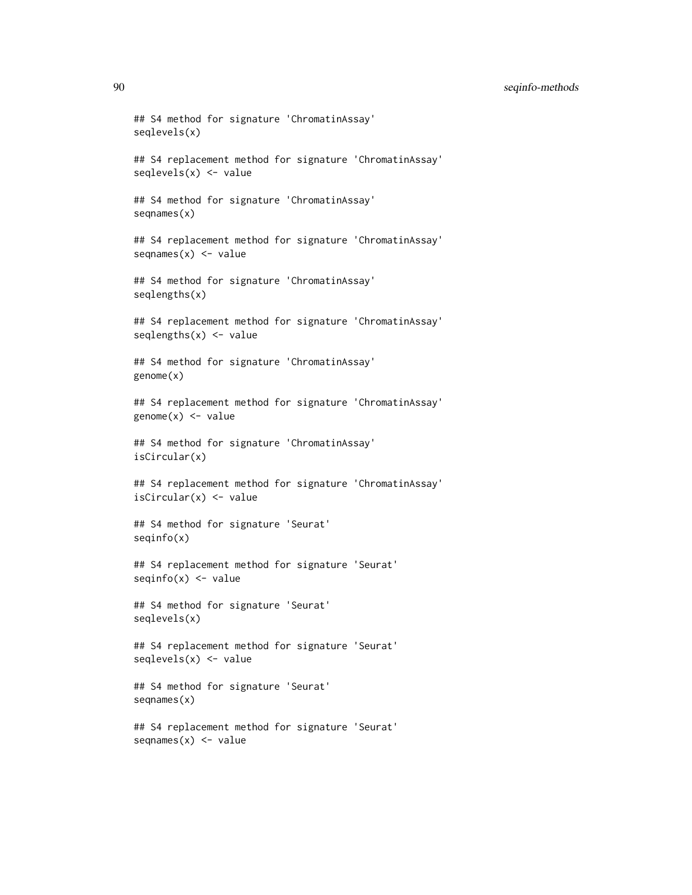#### 90 seqinfo-methods

```
## S4 method for signature 'ChromatinAssay'
seqlevels(x)
## S4 replacement method for signature 'ChromatinAssay'
seqlevels(x) <- value
## S4 method for signature 'ChromatinAssay'
seqnames(x)
## S4 replacement method for signature 'ChromatinAssay'
seqnames(x) <- value
## S4 method for signature 'ChromatinAssay'
seqlengths(x)
## S4 replacement method for signature 'ChromatinAssay'
seqlengths(x) <- value
## S4 method for signature 'ChromatinAssay'
genome(x)
## S4 replacement method for signature 'ChromatinAssay'
genome(x) < - value## S4 method for signature 'ChromatinAssay'
isCircular(x)
## S4 replacement method for signature 'ChromatinAssay'
isCircular(x) <- value
## S4 method for signature 'Seurat'
seqinfo(x)
## S4 replacement method for signature 'Seurat'
seqinfo(x) \leq value## S4 method for signature 'Seurat'
seqlevels(x)
## S4 replacement method for signature 'Seurat'
seqlevels(x) \leq value## S4 method for signature 'Seurat'
seqnames(x)
## S4 replacement method for signature 'Seurat'
seqnames(x) < - value
```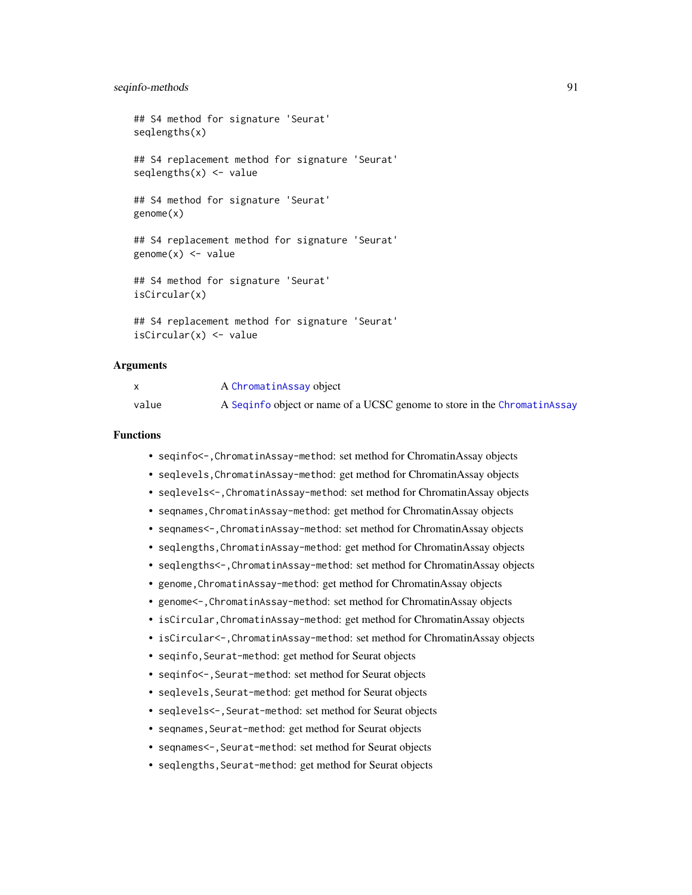# <span id="page-90-0"></span>seqinfo-methods 91

```
## S4 method for signature 'Seurat'
seqlengths(x)
## S4 replacement method for signature 'Seurat'
seqlengths(x) < - value## S4 method for signature 'Seurat'
genome(x)
## S4 replacement method for signature 'Seurat'
genome(x) < - value
## S4 method for signature 'Seurat'
isCircular(x)
```

```
## S4 replacement method for signature 'Seurat'
isCircular(x) <- value
```
#### Arguments

|       | A ChromatinAssay object                                                   |
|-------|---------------------------------------------------------------------------|
| value | A Sequinfo object or name of a UCSC genome to store in the ChromatinAssay |

# Functions

- seqinfo<-, ChromatinAssay-method: set method for ChromatinAssay objects
- seqlevels, ChromatinAssay-method: get method for ChromatinAssay objects
- seqlevels<-,ChromatinAssay-method: set method for ChromatinAssay objects
- seqnames,ChromatinAssay-method: get method for ChromatinAssay objects
- seqnames<-,ChromatinAssay-method: set method for ChromatinAssay objects
- seqlengths, ChromatinAssay-method: get method for ChromatinAssay objects
- seqlengths<-,ChromatinAssay-method: set method for ChromatinAssay objects
- genome,ChromatinAssay-method: get method for ChromatinAssay objects
- genome<-,ChromatinAssay-method: set method for ChromatinAssay objects
- isCircular, ChromatinAssay-method: get method for ChromatinAssay objects
- isCircular <-, ChromatinAssay-method: set method for ChromatinAssay objects
- seqinfo,Seurat-method: get method for Seurat objects
- seqinfo<-, Seurat-method: set method for Seurat objects
- seqlevels, Seurat-method: get method for Seurat objects
- seqlevels<-, Seurat-method: set method for Seurat objects
- seqnames, Seurat-method: get method for Seurat objects
- seqnames<-, Seurat-method: set method for Seurat objects
- seqlengths, Seurat-method: get method for Seurat objects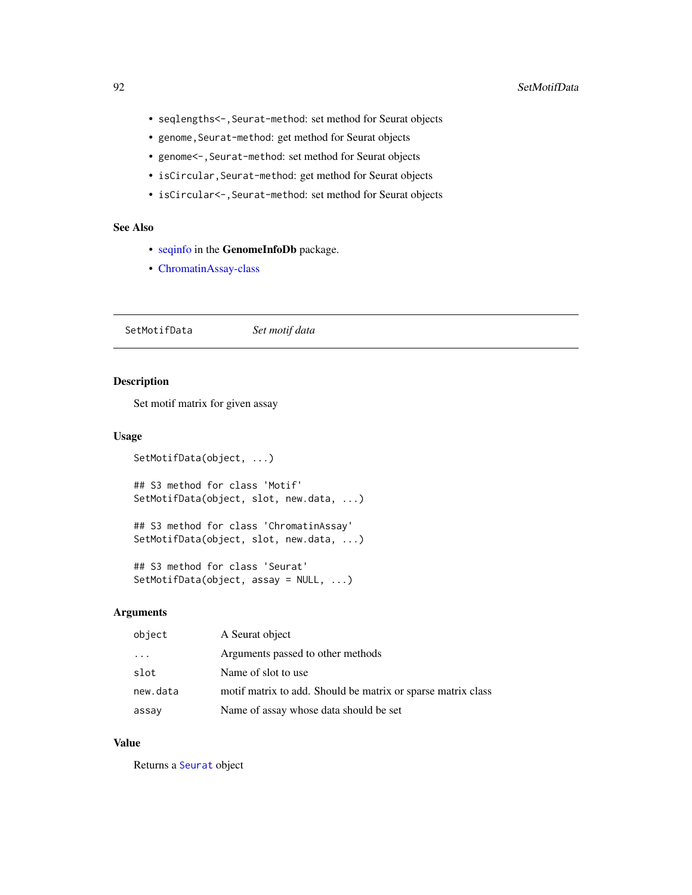- <span id="page-91-0"></span>• seqlengths<-,Seurat-method: set method for Seurat objects
- genome, Seurat-method: get method for Seurat objects
- genome<-, Seurat-method: set method for Seurat objects
- isCircular,Seurat-method: get method for Seurat objects
- isCircular<-,Seurat-method: set method for Seurat objects

# See Also

- [seqinfo](#page-88-0) in the GenomeInfoDb package.
- [ChromatinAssay-class](#page-21-1)

SetMotifData *Set motif data*

#### Description

Set motif matrix for given assay

# Usage

```
SetMotifData(object, ...)
```

```
## S3 method for class 'Motif'
SetMotifData(object, slot, new.data, ...)
```
## S3 method for class 'ChromatinAssay' SetMotifData(object, slot, new.data, ...)

```
## S3 method for class 'Seurat'
SetMotifData(object, assay = NULL, ...)
```
# Arguments

| object   | A Seurat object                                              |
|----------|--------------------------------------------------------------|
| $\cdots$ | Arguments passed to other methods                            |
| slot     | Name of slot to use                                          |
| new.data | motif matrix to add. Should be matrix or sparse matrix class |
| assay    | Name of assay whose data should be set                       |

#### Value

Returns a [Seurat](#page-0-0) object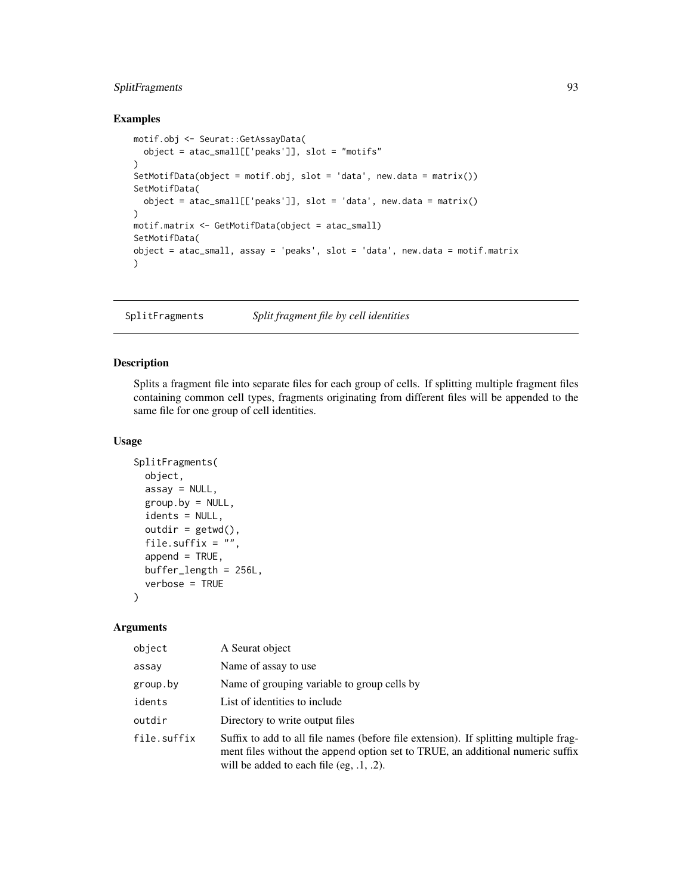# <span id="page-92-0"></span>SplitFragments 93

#### Examples

```
motif.obj <- Seurat::GetAssayData(
  object = atac_small[['peaks']], slot = "motifs"
)
SetMotifData(object = motif.obj, slot = 'data', new.data = matrix())
SetMotifData(
  object = atac_small[['peaks']], slot = 'data', new.data = matrix()
\mathcal{L}motif.matrix <- GetMotifData(object = atac_small)
SetMotifData(
object = atac_small, assay = 'peaks', slot = 'data', new.data = motif.matrix
\mathcal{L}
```
SplitFragments *Split fragment file by cell identities*

# Description

Splits a fragment file into separate files for each group of cells. If splitting multiple fragment files containing common cell types, fragments originating from different files will be appended to the same file for one group of cell identities.

# Usage

```
SplitFragments(
 object,
  assay = NULL,group.by = NULL,idents = NULL,outdir = getwd(),file.suffix = ",
  append = TRUE,buffer_length = 256L,
  verbose = TRUE
)
```
### Arguments

| object      | A Seurat object                                                                                                                                                                                                       |
|-------------|-----------------------------------------------------------------------------------------------------------------------------------------------------------------------------------------------------------------------|
| assay       | Name of assay to use                                                                                                                                                                                                  |
| group.by    | Name of grouping variable to group cells by                                                                                                                                                                           |
| idents      | List of identities to include                                                                                                                                                                                         |
| outdir      | Directory to write output files                                                                                                                                                                                       |
| file.suffix | Suffix to add to all file names (before file extension). If splitting multiple frag-<br>ment files without the append option set to TRUE, an additional numeric suffix<br>will be added to each file (eg, $.1, .2$ ). |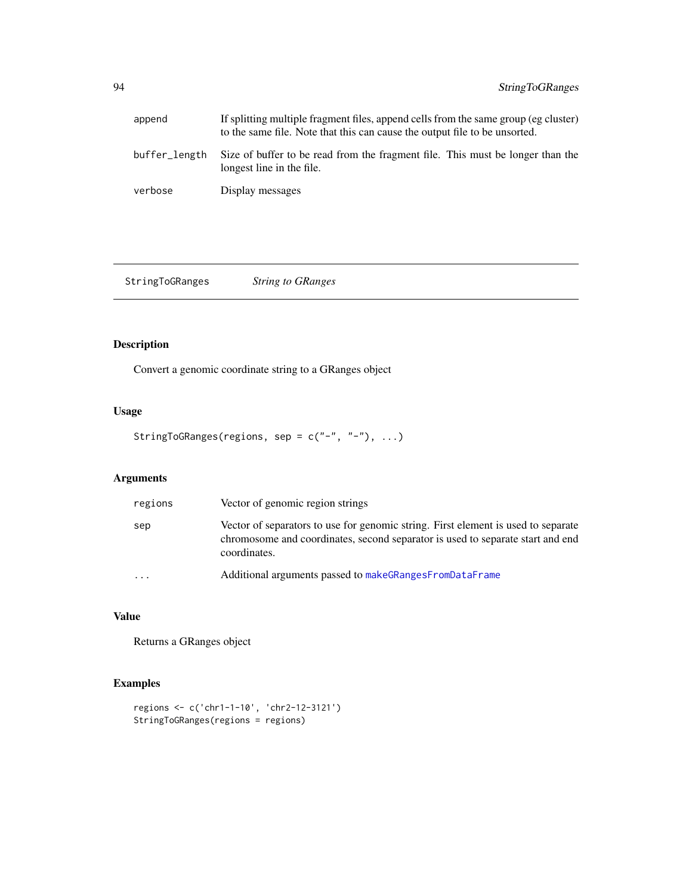<span id="page-93-0"></span>

| append        | If splitting multiple fragment files, append cells from the same group (eg cluster)<br>to the same file. Note that this can cause the output file to be unsorted. |  |
|---------------|-------------------------------------------------------------------------------------------------------------------------------------------------------------------|--|
| buffer_length | Size of buffer to be read from the fragment file. This must be longer than the<br>longest line in the file.                                                       |  |
| verbose       | Display messages                                                                                                                                                  |  |

StringToGRanges *String to GRanges*

# Description

Convert a genomic coordinate string to a GRanges object

# Usage

StringToGRanges(regions, sep = c("-", "-"), ...)

# Arguments

| regions           | Vector of genomic region strings                                                                                                                                                    |
|-------------------|-------------------------------------------------------------------------------------------------------------------------------------------------------------------------------------|
| sep               | Vector of separators to use for genomic string. First element is used to separate<br>chromosome and coordinates, second separator is used to separate start and end<br>coordinates. |
| $\cdot\cdot\cdot$ | Additional arguments passed to makeGRangesFromDataFrame                                                                                                                             |

# Value

Returns a GRanges object

```
regions <- c('chr1-1-10', 'chr2-12-3121')
StringToGRanges(regions = regions)
```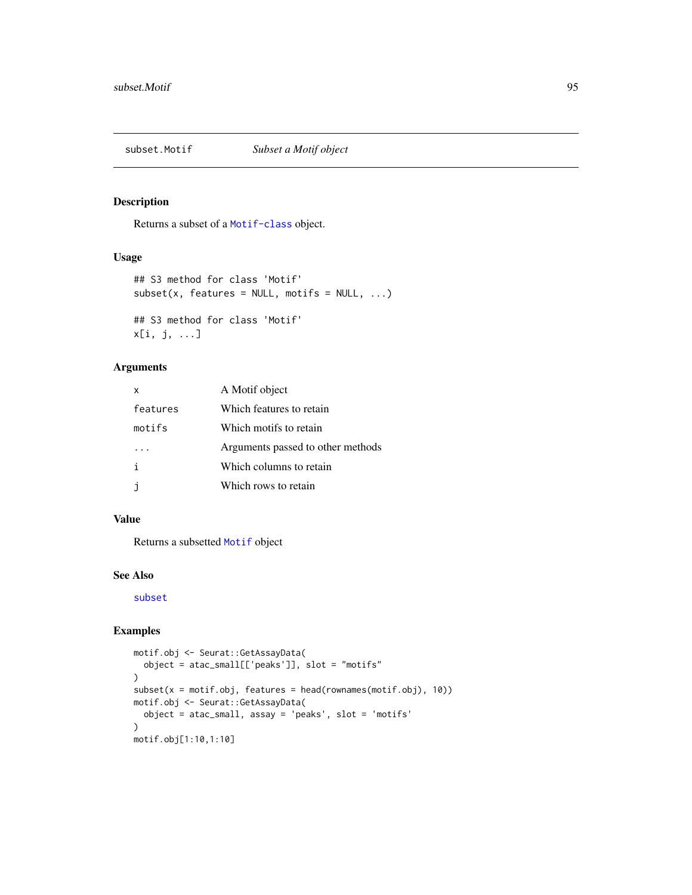<span id="page-94-1"></span><span id="page-94-0"></span>

Returns a subset of a [Motif-class](#page-73-1) object.

# Usage

```
## S3 method for class 'Motif'
subset(x, features = NULL, motifs = NULL, ...)
## S3 method for class 'Motif'
x[i, j, ...]
```
# Arguments

| x        | A Motif object                    |
|----------|-----------------------------------|
| features | Which features to retain          |
| motifs   | Which motifs to retain            |
|          | Arguments passed to other methods |
| i        | Which columns to retain           |
|          | Which rows to retain              |

#### Value

Returns a subsetted [Motif](#page-73-0) object

# See Also

[subset](#page-94-0)

```
motif.obj <- Seurat::GetAssayData(
  object = atac_small[['peaks']], slot = "motifs"
\mathcal{L}subset(x = motif.obj, features = head(rownames(motif.obj), 10))motif.obj <- Seurat::GetAssayData(
  object = atac_small, assay = 'peaks', slot = 'motifs'
\mathcal{L}motif.obj[1:10,1:10]
```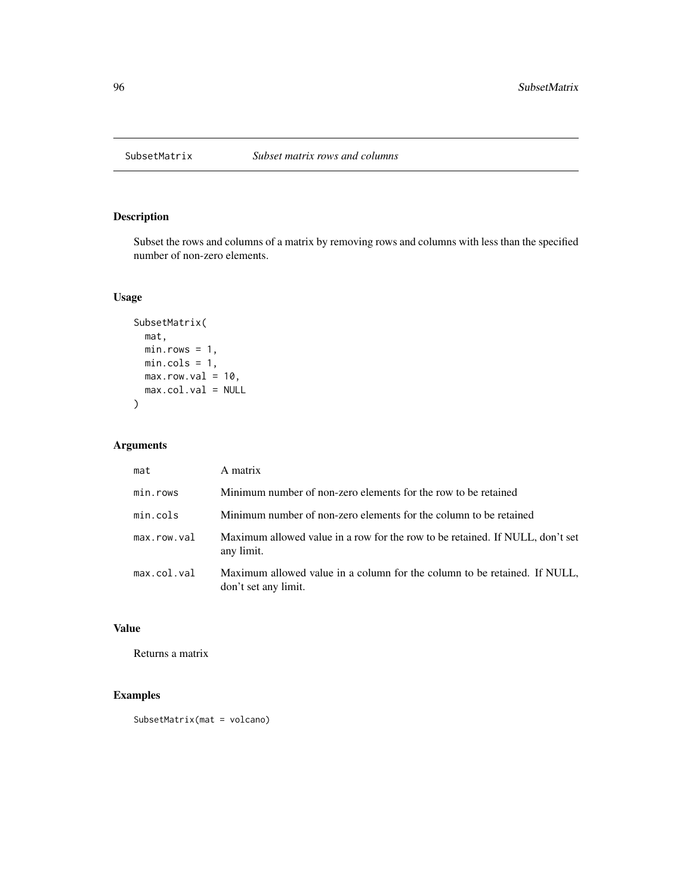<span id="page-95-0"></span>

Subset the rows and columns of a matrix by removing rows and columns with less than the specified number of non-zero elements.

# Usage

```
SubsetMatrix(
  mat,
  min rows = 1,
  min.cols = 1,
  maxrowval = 10,
  max.col.val = NULL
\mathcal{L}
```
# Arguments

| mat         | A matrix                                                                                          |
|-------------|---------------------------------------------------------------------------------------------------|
| min.rows    | Minimum number of non-zero elements for the row to be retained                                    |
| min.cols    | Minimum number of non-zero elements for the column to be retained                                 |
| max.row.val | Maximum allowed value in a row for the row to be retained. If NULL, don't set<br>any limit.       |
| max.col.val | Maximum allowed value in a column for the column to be retained. If NULL,<br>don't set any limit. |

# Value

Returns a matrix

# Examples

SubsetMatrix(mat = volcano)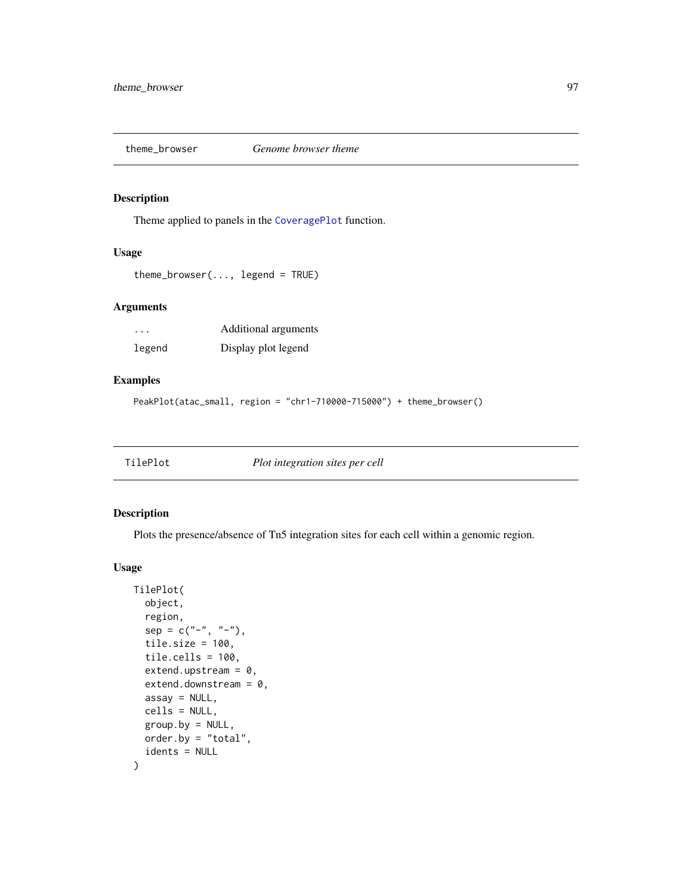<span id="page-96-0"></span>

Theme applied to panels in the [CoveragePlot](#page-28-0) function.

#### Usage

```
theme_browser(..., \text{ legend} = \text{TRUE})
```
# Arguments

| .      | Additional arguments |
|--------|----------------------|
| legend | Display plot legend  |

# Examples

```
PeakPlot(atac_small, region = "chr1-710000-715000") + theme_browser()
```
TilePlot *Plot integration sites per cell*

# Description

Plots the presence/absence of Tn5 integration sites for each cell within a genomic region.

#### Usage

```
TilePlot(
 object,
  region,
  sep = c("-", "-"),
  tile.size = 100,
  tile.cells = 100,
  extend.upstream = 0,
 extend.downstream = 0,
  assay = NULL,
 cells = NULL,
 group.py = NULL,order.by = "total",
  idents = NULL
\mathcal{E}
```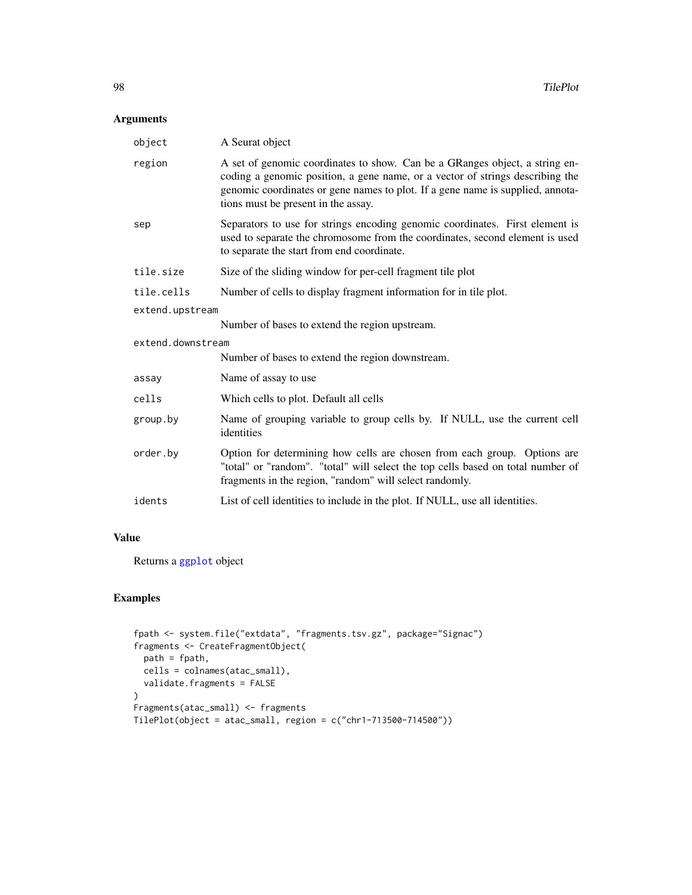# <span id="page-97-0"></span>Arguments

| A Seurat object                                                                                                                                                                                                                                                                       |  |  |
|---------------------------------------------------------------------------------------------------------------------------------------------------------------------------------------------------------------------------------------------------------------------------------------|--|--|
| A set of genomic coordinates to show. Can be a GRanges object, a string en-<br>coding a genomic position, a gene name, or a vector of strings describing the<br>genomic coordinates or gene names to plot. If a gene name is supplied, annota-<br>tions must be present in the assay. |  |  |
| Separators to use for strings encoding genomic coordinates. First element is<br>used to separate the chromosome from the coordinates, second element is used<br>to separate the start from end coordinate.                                                                            |  |  |
| Size of the sliding window for per-cell fragment tile plot                                                                                                                                                                                                                            |  |  |
| Number of cells to display fragment information for in tile plot.                                                                                                                                                                                                                     |  |  |
| extend.upstream                                                                                                                                                                                                                                                                       |  |  |
| Number of bases to extend the region upstream.                                                                                                                                                                                                                                        |  |  |
| extend.downstream                                                                                                                                                                                                                                                                     |  |  |
| Number of bases to extend the region downstream.                                                                                                                                                                                                                                      |  |  |
| Name of assay to use                                                                                                                                                                                                                                                                  |  |  |
| Which cells to plot. Default all cells                                                                                                                                                                                                                                                |  |  |
| Name of grouping variable to group cells by. If NULL, use the current cell<br>identities                                                                                                                                                                                              |  |  |
| Option for determining how cells are chosen from each group. Options are<br>"total" or "random". "total" will select the top cells based on total number of<br>fragments in the region, "random" will select randomly.                                                                |  |  |
| List of cell identities to include in the plot. If NULL, use all identities.                                                                                                                                                                                                          |  |  |
|                                                                                                                                                                                                                                                                                       |  |  |

# Value

Returns a [ggplot](#page-0-0) object

```
fpath <- system.file("extdata", "fragments.tsv.gz", package="Signac")
fragments <- CreateFragmentObject(
 path = fpath,
 cells = colnames(atac_small),
  validate.fragments = FALSE
\lambdaFragments(atac_small) <- fragments
TilePlot(object = atac_small, region = c("chr1-713500-714500"))
```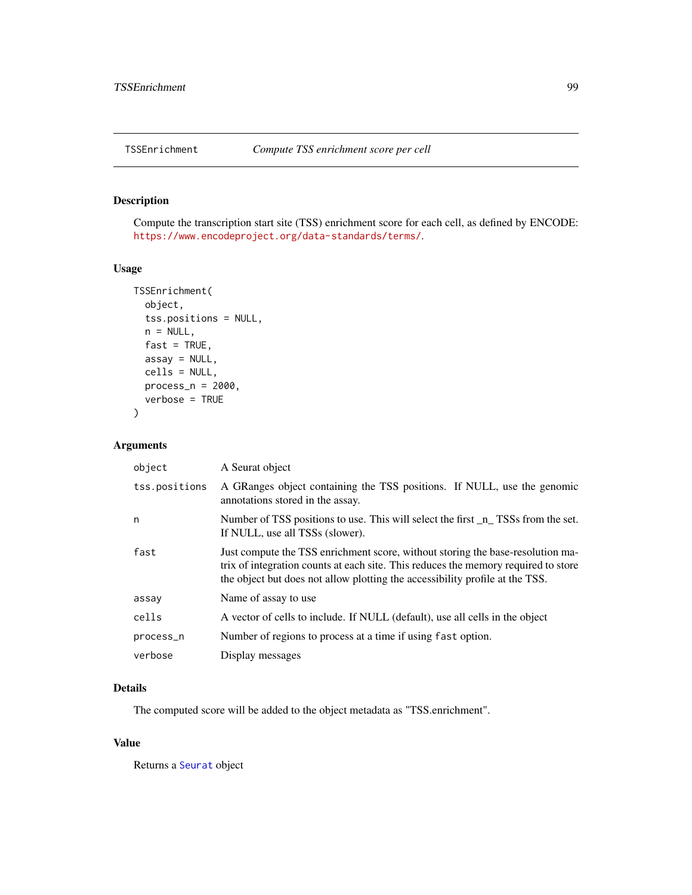<span id="page-98-1"></span><span id="page-98-0"></span>Compute the transcription start site (TSS) enrichment score for each cell, as defined by ENCODE: <https://www.encodeproject.org/data-standards/terms/>.

# Usage

```
TSSEnrichment(
 object,
  tss.positions = NULL,
 n = NULL,fast = TRUE,assay = NULL,cells = NULL,
 process_n = 2000,
 verbose = TRUE
)
```
# Arguments

| object        | A Seurat object                                                                                                                                                                                                                                      |
|---------------|------------------------------------------------------------------------------------------------------------------------------------------------------------------------------------------------------------------------------------------------------|
| tss.positions | A GRanges object containing the TSS positions. If NULL, use the genomic<br>annotations stored in the assay.                                                                                                                                          |
| n             | Number of TSS positions to use. This will select the first <u>n</u> TSSs from the set.<br>If NULL, use all TSSs (slower).                                                                                                                            |
| fast          | Just compute the TSS enrichment score, without storing the base-resolution ma-<br>trix of integration counts at each site. This reduces the memory required to store<br>the object but does not allow plotting the accessibility profile at the TSS. |
| assay         | Name of assay to use                                                                                                                                                                                                                                 |
| cells         | A vector of cells to include. If NULL (default), use all cells in the object                                                                                                                                                                         |
| process_n     | Number of regions to process at a time if using fast option.                                                                                                                                                                                         |
| verbose       | Display messages                                                                                                                                                                                                                                     |

# Details

The computed score will be added to the object metadata as "TSS.enrichment".

#### Value

Returns a [Seurat](#page-0-0) object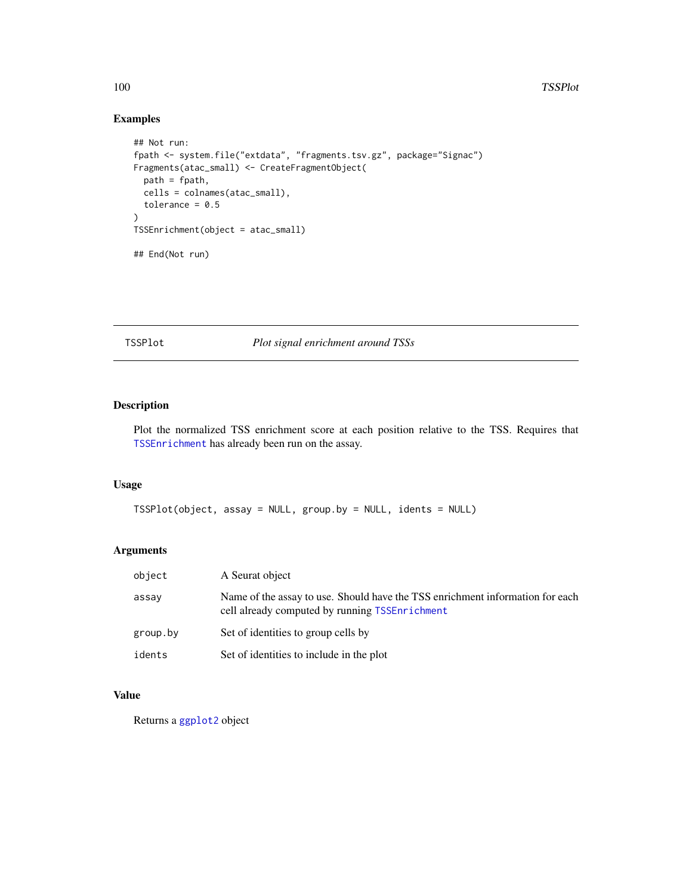# <span id="page-99-0"></span>Examples

```
## Not run:
fpath <- system.file("extdata", "fragments.tsv.gz", package="Signac")
Fragments(atac_small) <- CreateFragmentObject(
 path = fpath,
 cells = colnames(atac_small),
  tolerance = 0.5)
TSSEnrichment(object = atac_small)
## End(Not run)
```
# TSSPlot *Plot signal enrichment around TSSs*

# Description

Plot the normalized TSS enrichment score at each position relative to the TSS. Requires that [TSSEnrichment](#page-98-0) has already been run on the assay.

# Usage

```
TSSPlot(object, assay = NULL, group.by = NULL, idents = NULL)
```
# Arguments

| object   | A Seurat object                                                                                                                 |  |
|----------|---------------------------------------------------------------------------------------------------------------------------------|--|
| assay    | Name of the assay to use. Should have the TSS enrichment information for each<br>cell already computed by running TSSEnrichment |  |
| group.by | Set of identities to group cells by                                                                                             |  |
| idents   | Set of identities to include in the plot                                                                                        |  |

#### Value

Returns a [ggplot2](#page-0-0) object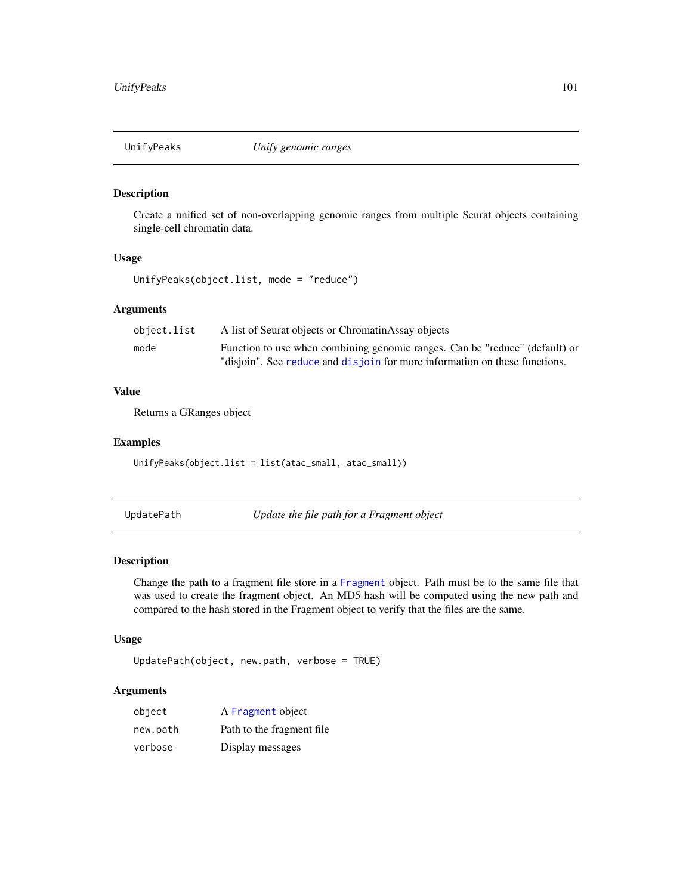<span id="page-100-0"></span>

Create a unified set of non-overlapping genomic ranges from multiple Seurat objects containing single-cell chromatin data.

#### Usage

UnifyPeaks(object.list, mode = "reduce")

#### Arguments

| object.list | A list of Seurat objects or ChromatinAssay objects                          |
|-------------|-----------------------------------------------------------------------------|
| mode        | Function to use when combining genomic ranges. Can be "reduce" (default) or |
|             | "disjoin". See reduce and disjoin for more information on these functions.  |

#### Value

Returns a GRanges object

#### Examples

```
UnifyPeaks(object.list = list(atac_small, atac_small))
```
UpdatePath *Update the file path for a Fragment object*

#### Description

Change the path to a fragment file store in a [Fragment](#page-51-0) object. Path must be to the same file that was used to create the fragment object. An MD5 hash will be computed using the new path and compared to the hash stored in the Fragment object to verify that the files are the same.

# Usage

```
UpdatePath(object, new.path, verbose = TRUE)
```
# Arguments

| object   | A Fragment object          |
|----------|----------------------------|
| new.path | Path to the fragment file. |
| verbose  | Display messages           |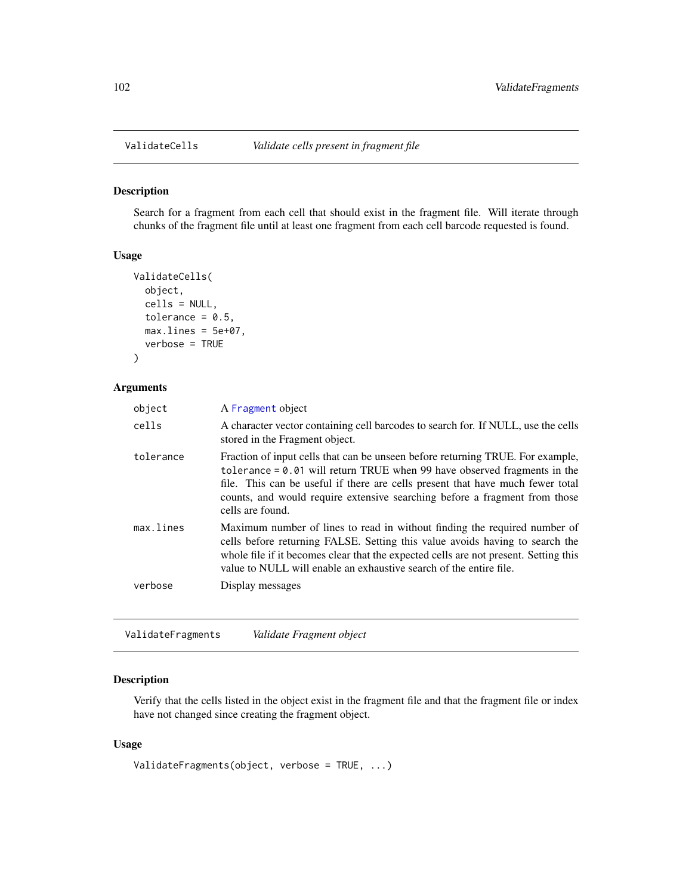<span id="page-101-1"></span><span id="page-101-0"></span>

Search for a fragment from each cell that should exist in the fragment file. Will iterate through chunks of the fragment file until at least one fragment from each cell barcode requested is found.

#### Usage

```
ValidateCells(
  object,
  cells = NULL,
  tolerance = 0.5,
 maxu.1ines = 5e+07,
  verbose = TRUE
)
```
#### Arguments

| object    | A Fragment object                                                                                                                                                                                                                                                                                                                                |
|-----------|--------------------------------------------------------------------------------------------------------------------------------------------------------------------------------------------------------------------------------------------------------------------------------------------------------------------------------------------------|
| cells     | A character vector containing cell barcodes to search for. If NULL, use the cells<br>stored in the Fragment object.                                                                                                                                                                                                                              |
| tolerance | Fraction of input cells that can be unseen before returning TRUE. For example,<br>tolerance = $0.01$ will return TRUE when 99 have observed fragments in the<br>file. This can be useful if there are cells present that have much fewer total<br>counts, and would require extensive searching before a fragment from those<br>cells are found. |
| max.lines | Maximum number of lines to read in without finding the required number of<br>cells before returning FALSE. Setting this value avoids having to search the<br>whole file if it becomes clear that the expected cells are not present. Setting this<br>value to NULL will enable an exhaustive search of the entire file.                          |
| verbose   | Display messages                                                                                                                                                                                                                                                                                                                                 |
|           |                                                                                                                                                                                                                                                                                                                                                  |

ValidateFragments *Validate Fragment object*

# Description

Verify that the cells listed in the object exist in the fragment file and that the fragment file or index have not changed since creating the fragment object.

#### Usage

```
ValidateFragments(object, verbose = TRUE, ...)
```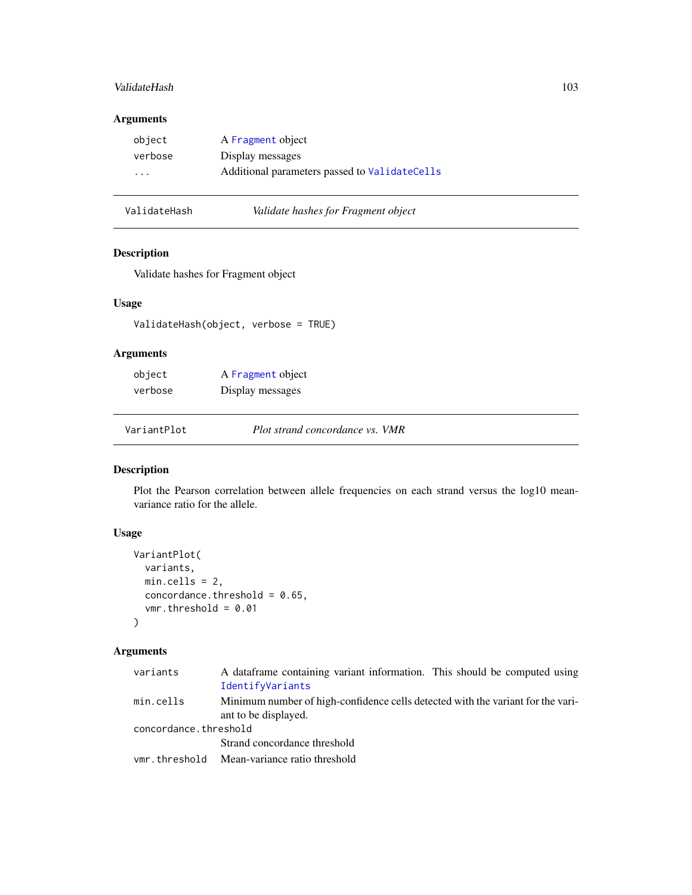# <span id="page-102-0"></span>ValidateHash 103

# Arguments

| object   | A Fragment object                             |
|----------|-----------------------------------------------|
| verbose  | Display messages                              |
| $\cdots$ | Additional parameters passed to ValidateCells |

ValidateHash *Validate hashes for Fragment object*

# Description

Validate hashes for Fragment object

# Usage

```
ValidateHash(object, verbose = TRUE)
```
# Arguments

| object  | A Fragment object |
|---------|-------------------|
| verbose | Display messages  |

VariantPlot *Plot strand concordance vs. VMR*

# Description

Plot the Pearson correlation between allele frequencies on each strand versus the log10 meanvariance ratio for the allele.

# Usage

```
VariantPlot(
  variants,
 min.cells = 2,
 concordance.threshold = 0.65,
  vmr.threshold = 0.01
)
```
# Arguments

| variants              | A dataframe containing variant information. This should be computed using       |  |
|-----------------------|---------------------------------------------------------------------------------|--|
|                       | IdentifyVariants                                                                |  |
| min.cells             | Minimum number of high-confidence cells detected with the variant for the vari- |  |
|                       | ant to be displayed.                                                            |  |
| concordance.threshold |                                                                                 |  |
|                       | Strand concordance threshold                                                    |  |
|                       | vmr. threshold Mean-variance ratio threshold                                    |  |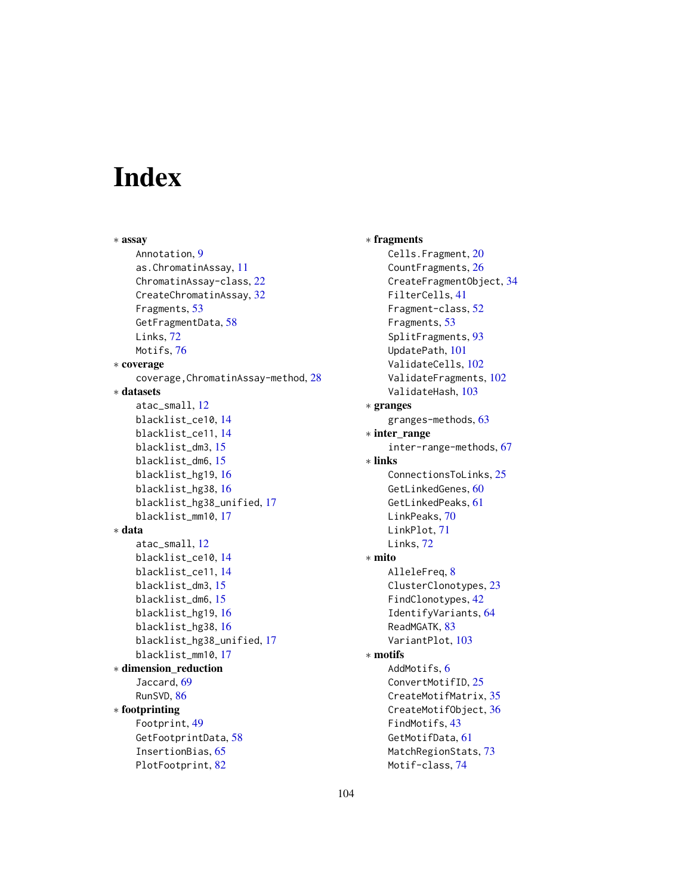# Index

∗ assay Annotation, [9](#page-8-0) as.ChromatinAssay, [11](#page-10-0) ChromatinAssay-class, [22](#page-21-2) CreateChromatinAssay, [32](#page-31-0) Fragments, [53](#page-52-0) GetFragmentData, [58](#page-57-0) Links, [72](#page-71-0) Motifs, [76](#page-75-0) ∗ coverage coverage, ChromatinAssay-method, [28](#page-27-0) ∗ datasets atac\_small, [12](#page-11-0) blacklist\_ce10, [14](#page-13-0) blacklist\_ce11, [14](#page-13-0) blacklist\_dm3, [15](#page-14-0) blacklist\_dm6, [15](#page-14-0) blacklist\_hg19, [16](#page-15-0) blacklist\_hg38, [16](#page-15-0) blacklist\_hg38\_unified, [17](#page-16-0) blacklist\_mm10, [17](#page-16-0) ∗ data atac\_small, [12](#page-11-0) blacklist\_ce10, [14](#page-13-0) blacklist\_ce11, [14](#page-13-0) blacklist\_dm3, [15](#page-14-0) blacklist\_dm6, [15](#page-14-0) blacklist\_hg19, [16](#page-15-0) blacklist\_hg38, [16](#page-15-0) blacklist\_hg38\_unified, [17](#page-16-0) blacklist\_mm10, [17](#page-16-0) ∗ dimension\_reduction Jaccard, [69](#page-68-0) RunSVD, [86](#page-85-0) ∗ footprinting Footprint, [49](#page-48-0) GetFootprintData, [58](#page-57-0) InsertionBias, [65](#page-64-0) PlotFootprint, [82](#page-81-0)

∗ fragments Cells.Fragment, [20](#page-19-0) CountFragments, [26](#page-25-0) CreateFragmentObject, [34](#page-33-0) FilterCells, [41](#page-40-0) Fragment-class, [52](#page-51-1) Fragments, [53](#page-52-0) SplitFragments, [93](#page-92-0) UpdatePath, [101](#page-100-0) ValidateCells, [102](#page-101-1) ValidateFragments, [102](#page-101-1) ValidateHash, [103](#page-102-0) ∗ granges granges-methods, [63](#page-62-0) ∗ inter\_range inter-range-methods, [67](#page-66-1) ∗ links ConnectionsToLinks, [25](#page-24-0) GetLinkedGenes, [60](#page-59-0) GetLinkedPeaks, [61](#page-60-0) LinkPeaks, [70](#page-69-0) LinkPlot, [71](#page-70-0) Links, [72](#page-71-0) ∗ mito AlleleFreq, [8](#page-7-0) ClusterClonotypes, [23](#page-22-0) FindClonotypes, [42](#page-41-0) IdentifyVariants, [64](#page-63-1) ReadMGATK, [83](#page-82-0) VariantPlot, [103](#page-102-0) ∗ motifs AddMotifs, [6](#page-5-0) ConvertMotifID, [25](#page-24-0) CreateMotifMatrix, [35](#page-34-0) CreateMotifObject, [36](#page-35-0) FindMotifs, [43](#page-42-0) GetMotifData, [61](#page-60-0) MatchRegionStats, [73](#page-72-0) Motif-class, [74](#page-73-2)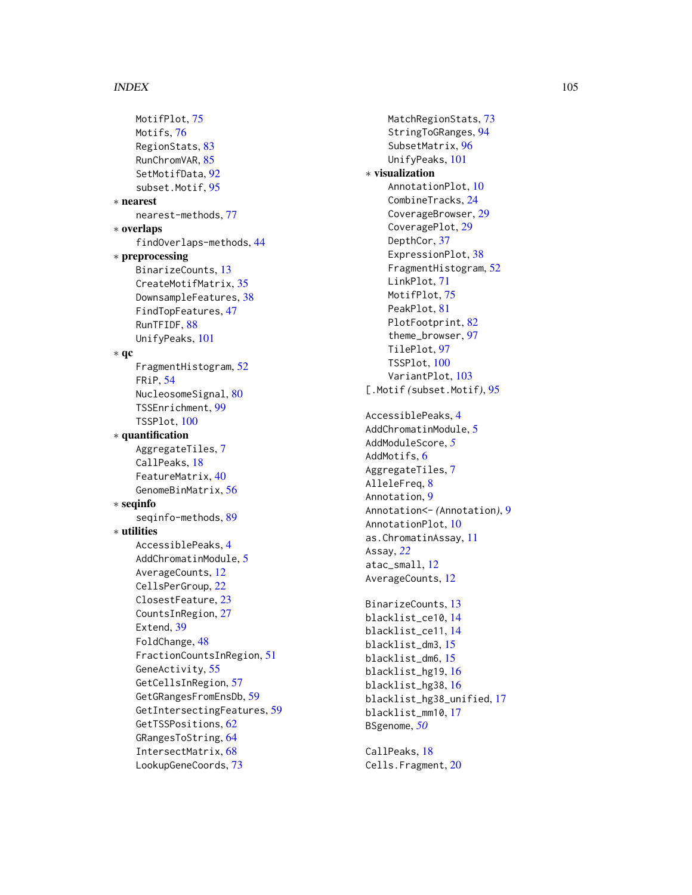```
75
   Motifs
, 76
   83
   85
   92
   subset.Motif
, 95
∗ nearest
   nearest-methods
, 77
∗ overlaps
   findOverlaps-methods
, 44
∗ preprocessing
   BinarizeCounts
, 13
   CreateMotifMatrix
, 35
   DownsampleFeatures
, 38
   FindTopFeatures
, 47
   88
   UnifyPeaks
, 101
∗ qc
   FragmentHistogram
, 52
   FRiP
, 54
   80
   TSSEnrichment
, 99
   TSSPlot
, 100
∗ quantification
   7
   18
   40
   GenomeBinMatrix
, 56
∗ seqinfo
   seqinfo-methods
, 89
∗ utilities
   AccessiblePeaks
,
4
   AddChromatinModule
,
5
   12
   CellsPerGroup
, 22
   ClosestFeature
, 23
   CountsInRegion
, 27
   39
   FoldChange
, 48
   FractionCountsInRegion
, 51
   55
   GetCellsInRegion
, 57
   GetGRangesFromEnsDb
, 59
   GetIntersectingFeatures
, 59
   62
   GRangesToString
, 64
   IntersectMatrix
, 68
   LookupGeneCoords
, 73
```
MatchRegionStats, [73](#page-72-0) StringToGRanges , [94](#page-93-0) SubsetMatrix, [96](#page-95-0) UnifyPeaks , [101](#page-100-0) ∗ visualization AnnotationPlot, [10](#page-9-0) CombineTracks , [24](#page-23-0) CoverageBrowser, [29](#page-28-1) CoveragePlot, [29](#page-28-1) DepthCor, [37](#page-36-0) ExpressionPlot, [38](#page-37-0) FragmentHistogram , [52](#page-51-1) LinkPlot , [71](#page-70-0) MotifPlot, [75](#page-74-0) PeakPlot, [81](#page-80-0) PlotFootprint, [82](#page-81-0) theme\_browser , [97](#page-96-0) TilePlot, [97](#page-96-0) TSSPlot, [100](#page-99-0) VariantPlot, [103](#page-102-0) [.Motif *(*subset.Motif *)* , [95](#page-94-1) AccessiblePeaks , [4](#page-3-0) AddChromatinModule , [5](#page-4-0) AddModuleScore , *[5](#page-4-0)* AddMotifs , [6](#page-5-0) AggregateTiles , [7](#page-6-0) AlleleFreq, <mark>[8](#page-7-0)</mark> Annotation, [9](#page-8-0) Annotation<- *(*Annotation *)* , [9](#page-8-0) AnnotationPlot, [10](#page-9-0) as.ChromatinAssay , [11](#page-10-0) Assay , *[22](#page-21-2)* atac\_small , [12](#page-11-0) AverageCounts , [12](#page-11-0) BinarizeCounts , [13](#page-12-0) blacklist\_ce10 , [14](#page-13-0) blacklist\_ce11 , [14](#page-13-0) blacklist\_dm3 , [15](#page-14-0) blacklist\_dm6 , [15](#page-14-0) blacklist\_hg19 , [16](#page-15-0) blacklist\_hg38 , [16](#page-15-0) blacklist\_hg38\_unified , [17](#page-16-0) blacklist\_mm10 , [17](#page-16-0) BSgenome , *[50](#page-49-0)*

CallPeaks , [18](#page-17-0) <code>Cells.Fragment</code>, $20$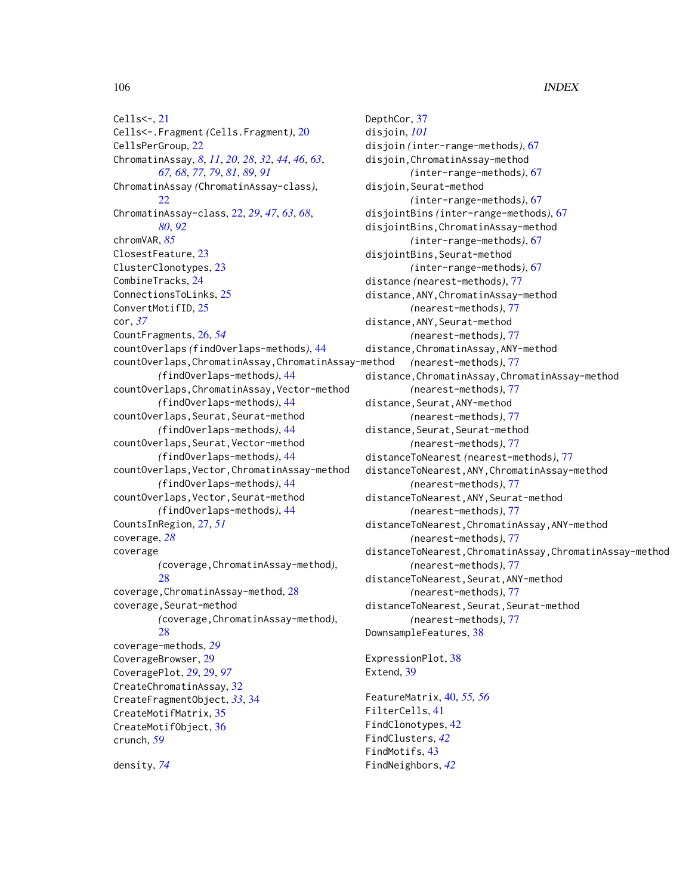Cells<-, [21](#page-20-0) Cells<-.Fragment *(*Cells.Fragment*)*, [20](#page-19-0) CellsPerGroup, [22](#page-21-2) ChromatinAssay, *[8](#page-7-0)*, *[11](#page-10-0)*, *[20](#page-19-0)*, *[28](#page-27-0)*, *[32](#page-31-0)*, *[44](#page-43-0)*, *[46](#page-45-0)*, *[63](#page-62-0)*, *[67,](#page-66-1) [68](#page-67-0)*, *[77](#page-76-1)*, *[79](#page-78-0)*, *[81](#page-80-0)*, *[89](#page-88-1)*, *[91](#page-90-0)* ChromatinAssay *(*ChromatinAssay-class*)*, [22](#page-21-2) ChromatinAssay-class, [22,](#page-21-2) *[29](#page-28-1)*, *[47](#page-46-0)*, *[63](#page-62-0)*, *[68](#page-67-0)*, *[80](#page-79-0)*, *[92](#page-91-0)* chromVAR, *[85](#page-84-0)* ClosestFeature, [23](#page-22-0) ClusterClonotypes, [23](#page-22-0) CombineTracks, [24](#page-23-0) ConnectionsToLinks, [25](#page-24-0) ConvertMotifID, [25](#page-24-0) cor, *[37](#page-36-0)* CountFragments, [26,](#page-25-0) *[54](#page-53-0)* countOverlaps *(*findOverlaps-methods*)*, [44](#page-43-0) countOverlaps,ChromatinAssay,ChromatinAssay-method *(*findOverlaps-methods*)*, [44](#page-43-0) countOverlaps,ChromatinAssay,Vector-method *(*findOverlaps-methods*)*, [44](#page-43-0) countOverlaps,Seurat,Seurat-method *(*findOverlaps-methods*)*, [44](#page-43-0) countOverlaps,Seurat,Vector-method *(*findOverlaps-methods*)*, [44](#page-43-0) countOverlaps,Vector,ChromatinAssay-method *(*findOverlaps-methods*)*, [44](#page-43-0) countOverlaps,Vector,Seurat-method *(*findOverlaps-methods*)*, [44](#page-43-0) CountsInRegion, [27,](#page-26-0) *[51](#page-50-0)* coverage, *[28](#page-27-0)* coverage *(*coverage,ChromatinAssay-method*)*, [28](#page-27-0) coverage,ChromatinAssay-method, [28](#page-27-0) coverage,Seurat-method *(*coverage,ChromatinAssay-method*)*, [28](#page-27-0) coverage-methods, *[29](#page-28-1)* CoverageBrowser, [29](#page-28-1) CoveragePlot, *[29](#page-28-1)*, [29,](#page-28-1) *[97](#page-96-0)* CreateChromatinAssay, [32](#page-31-0) CreateFragmentObject, *[33](#page-32-0)*, [34](#page-33-0) CreateMotifMatrix, [35](#page-34-0) CreateMotifObject, [36](#page-35-0) crunch, *[59](#page-58-0)*

density, *[74](#page-73-2)*

DepthCor, [37](#page-36-0) disjoin, *[101](#page-100-0)* disjoin *(*inter-range-methods*)*, [67](#page-66-1) disjoin,ChromatinAssay-method *(*inter-range-methods*)*, [67](#page-66-1) disjoin,Seurat-method *(*inter-range-methods*)*, [67](#page-66-1) disjointBins *(*inter-range-methods*)*, [67](#page-66-1) disjointBins,ChromatinAssay-method *(*inter-range-methods*)*, [67](#page-66-1) disjointBins,Seurat-method *(*inter-range-methods*)*, [67](#page-66-1) distance *(*nearest-methods*)*, [77](#page-76-1) distance,ANY,ChromatinAssay-method *(*nearest-methods*)*, [77](#page-76-1) distance,ANY,Seurat-method *(*nearest-methods*)*, [77](#page-76-1) distance,ChromatinAssay,ANY-method *(*nearest-methods*)*, [77](#page-76-1) distance,ChromatinAssay,ChromatinAssay-method *(*nearest-methods*)*, [77](#page-76-1) distance,Seurat,ANY-method *(*nearest-methods*)*, [77](#page-76-1) distance,Seurat,Seurat-method *(*nearest-methods*)*, [77](#page-76-1) distanceToNearest *(*nearest-methods*)*, [77](#page-76-1) distanceToNearest,ANY,ChromatinAssay-method *(*nearest-methods*)*, [77](#page-76-1) distanceToNearest,ANY,Seurat-method *(*nearest-methods*)*, [77](#page-76-1) distanceToNearest,ChromatinAssay,ANY-method *(*nearest-methods*)*, [77](#page-76-1) distanceToNearest,ChromatinAssay,ChromatinAssay-method *(*nearest-methods*)*, [77](#page-76-1) distanceToNearest,Seurat,ANY-method *(*nearest-methods*)*, [77](#page-76-1) distanceToNearest, Seurat, Seurat-method *(*nearest-methods*)*, [77](#page-76-1) DownsampleFeatures, [38](#page-37-0) ExpressionPlot, [38](#page-37-0) Extend, [39](#page-38-0) FeatureMatrix, [40,](#page-39-0) *[55,](#page-54-0) [56](#page-55-0)*

FilterCells, [41](#page-40-0) FindClonotypes, [42](#page-41-0) FindClusters, *[42](#page-41-0)* FindMotifs, [43](#page-42-0) FindNeighbors, *[42](#page-41-0)*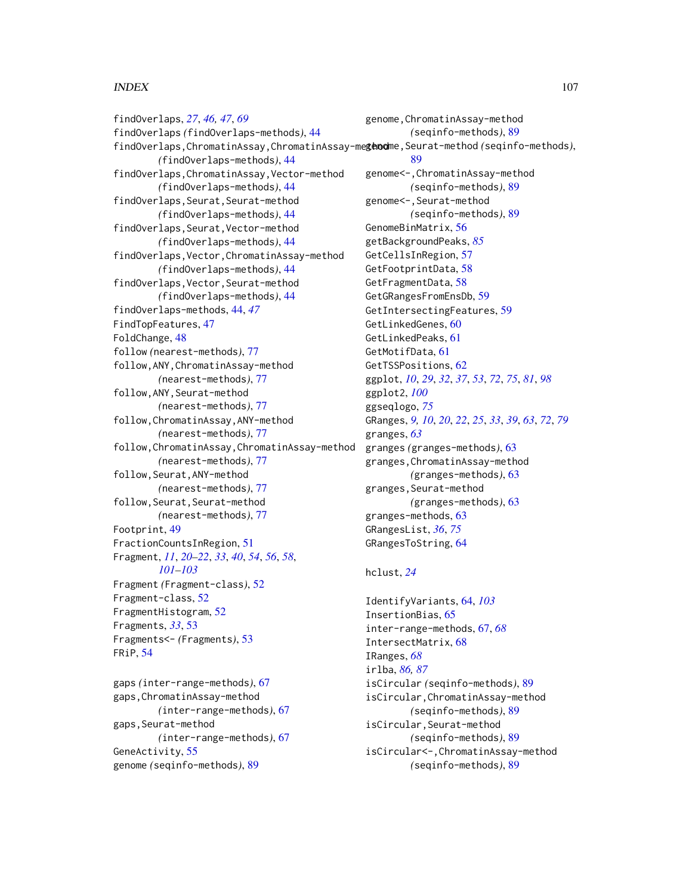findOverlaps, *[27](#page-26-0)*, *[46,](#page-45-0) [47](#page-46-0)*, *[69](#page-68-0)* findOverlaps *(*findOverlaps-methods*)*, [44](#page-43-0) findOverlaps,ChromatinAssay,ChromatinAssay-method genome,Seurat-method *(*seqinfo-methods*)*, *(*findOverlaps-methods*)*, [44](#page-43-0) findOverlaps,ChromatinAssay,Vector-method *(*findOverlaps-methods*)*, [44](#page-43-0) findOverlaps,Seurat,Seurat-method *(*findOverlaps-methods*)*, [44](#page-43-0) findOverlaps,Seurat,Vector-method *(*findOverlaps-methods*)*, [44](#page-43-0) findOverlaps,Vector,ChromatinAssay-method *(*findOverlaps-methods*)*, [44](#page-43-0) findOverlaps,Vector,Seurat-method *(*findOverlaps-methods*)*, [44](#page-43-0) findOverlaps-methods, [44,](#page-43-0) *[47](#page-46-0)* FindTopFeatures, [47](#page-46-0) FoldChange, [48](#page-47-0) follow *(*nearest-methods*)*, [77](#page-76-1) follow,ANY,ChromatinAssay-method *(*nearest-methods*)*, [77](#page-76-1) follow,ANY,Seurat-method *(*nearest-methods*)*, [77](#page-76-1) follow,ChromatinAssay,ANY-method *(*nearest-methods*)*, [77](#page-76-1) follow,ChromatinAssay,ChromatinAssay-method *(*nearest-methods*)*, [77](#page-76-1) follow,Seurat,ANY-method *(*nearest-methods*)*, [77](#page-76-1) follow, Seurat, Seurat-method *(*nearest-methods*)*, [77](#page-76-1) Footprint, [49](#page-48-0) FractionCountsInRegion, [51](#page-50-0) Fragment, *[11](#page-10-0)*, *[20](#page-19-0)[–22](#page-21-2)*, *[33](#page-32-0)*, *[40](#page-39-0)*, *[54](#page-53-0)*, *[56](#page-55-0)*, *[58](#page-57-0)*, *[101](#page-100-0)[–103](#page-102-0)* Fragment *(*Fragment-class*)*, [52](#page-51-1) Fragment-class, [52](#page-51-1) FragmentHistogram, [52](#page-51-1) Fragments, *[33](#page-32-0)*, [53](#page-52-0) Fragments<- *(*Fragments*)*, [53](#page-52-0) FRiP, [54](#page-53-0)

gaps *(*inter-range-methods*)*, [67](#page-66-1) gaps,ChromatinAssay-method *(*inter-range-methods*)*, [67](#page-66-1) gaps,Seurat-method *(*inter-range-methods*)*, [67](#page-66-1) GeneActivity, [55](#page-54-0) genome *(*seqinfo-methods*)*, [89](#page-88-1)

genome,ChromatinAssay-method *(*seqinfo-methods*)*, [89](#page-88-1) [89](#page-88-1) genome<-,ChromatinAssay-method *(*seqinfo-methods*)*, [89](#page-88-1) genome<-,Seurat-method *(*seqinfo-methods*)*, [89](#page-88-1) GenomeBinMatrix, [56](#page-55-0) getBackgroundPeaks, *[85](#page-84-0)* GetCellsInRegion, [57](#page-56-0) GetFootprintData, [58](#page-57-0) GetFragmentData, [58](#page-57-0) GetGRangesFromEnsDb, [59](#page-58-0) GetIntersectingFeatures, [59](#page-58-0) GetLinkedGenes, [60](#page-59-0) GetLinkedPeaks, [61](#page-60-0) GetMotifData, [61](#page-60-0) GetTSSPositions, [62](#page-61-0) ggplot, *[10](#page-9-0)*, *[29](#page-28-1)*, *[32](#page-31-0)*, *[37](#page-36-0)*, *[53](#page-52-0)*, *[72](#page-71-0)*, *[75](#page-74-0)*, *[81](#page-80-0)*, *[98](#page-97-0)* ggplot2, *[100](#page-99-0)* ggseqlogo, *[75](#page-74-0)* GRanges, *[9,](#page-8-0) [10](#page-9-0)*, *[20](#page-19-0)*, *[22](#page-21-2)*, *[25](#page-24-0)*, *[33](#page-32-0)*, *[39](#page-38-0)*, *[63](#page-62-0)*, *[72](#page-71-0)*, *[79](#page-78-0)* granges, *[63](#page-62-0)* granges *(*granges-methods*)*, [63](#page-62-0) granges,ChromatinAssay-method *(*granges-methods*)*, [63](#page-62-0) granges,Seurat-method *(*granges-methods*)*, [63](#page-62-0) granges-methods, [63](#page-62-0) GRangesList, *[36](#page-35-0)*, *[75](#page-74-0)* GRangesToString, [64](#page-63-1)

#### hclust, *[24](#page-23-0)*

IdentifyVariants, [64,](#page-63-1) *[103](#page-102-0)* InsertionBias, [65](#page-64-0) inter-range-methods, [67,](#page-66-1) *[68](#page-67-0)* IntersectMatrix, [68](#page-67-0) IRanges, *[68](#page-67-0)* irlba, *[86,](#page-85-0) [87](#page-86-0)* isCircular *(*seqinfo-methods*)*, [89](#page-88-1) isCircular,ChromatinAssay-method *(*seqinfo-methods*)*, [89](#page-88-1) isCircular,Seurat-method *(*seqinfo-methods*)*, [89](#page-88-1) isCircular<-,ChromatinAssay-method *(*seqinfo-methods*)*, [89](#page-88-1)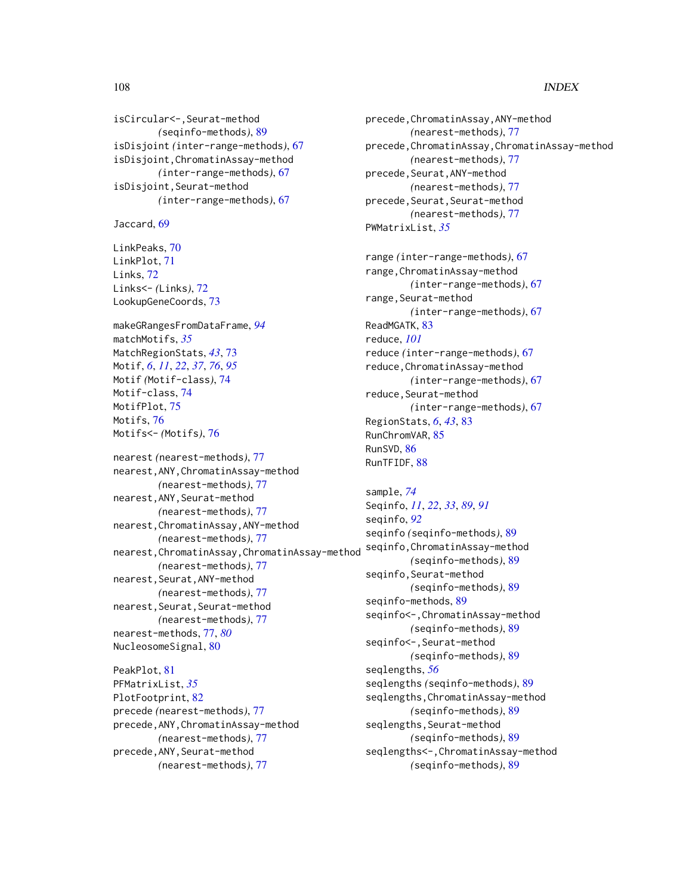isCircular<-,Seurat-method *(*seqinfo-methods*)*, [89](#page-88-1) isDisjoint *(*inter-range-methods*)*, [67](#page-66-1) isDisjoint,ChromatinAssay-method *(*inter-range-methods*)*, [67](#page-66-1) isDisjoint,Seurat-method *(*inter-range-methods*)*, [67](#page-66-1)

Jaccard, [69](#page-68-0)

LinkPeaks, [70](#page-69-0) LinkPlot, [71](#page-70-0) Links, [72](#page-71-0) Links<- *(*Links*)*, [72](#page-71-0) LookupGeneCoords, [73](#page-72-0)

makeGRangesFromDataFrame, *[94](#page-93-0)* matchMotifs, *[35](#page-34-0)* MatchRegionStats, *[43](#page-42-0)*, [73](#page-72-0) Motif, *[6](#page-5-0)*, *[11](#page-10-0)*, *[22](#page-21-2)*, *[37](#page-36-0)*, *[76](#page-75-0)*, *[95](#page-94-1)* Motif *(*Motif-class*)*, [74](#page-73-2) Motif-class, [74](#page-73-2) MotifPlot, [75](#page-74-0) Motifs, [76](#page-75-0) Motifs<- *(*Motifs*)*, [76](#page-75-0)

nearest *(*nearest-methods*)*, [77](#page-76-1) nearest,ANY,ChromatinAssay-method *(*nearest-methods*)*, [77](#page-76-1) nearest,ANY,Seurat-method *(*nearest-methods*)*, [77](#page-76-1) nearest,ChromatinAssay,ANY-method *(*nearest-methods*)*, [77](#page-76-1) nearest,ChromatinAssay,ChromatinAssay-method *(*nearest-methods*)*, [77](#page-76-1) nearest,Seurat,ANY-method *(*nearest-methods*)*, [77](#page-76-1) nearest,Seurat,Seurat-method *(*nearest-methods*)*, [77](#page-76-1) nearest-methods, [77,](#page-76-1) *[80](#page-79-0)* NucleosomeSignal, [80](#page-79-0)

PeakPlot, [81](#page-80-0) PFMatrixList, *[35](#page-34-0)* PlotFootprint, [82](#page-81-0) precede *(*nearest-methods*)*, [77](#page-76-1) precede,ANY,ChromatinAssay-method *(*nearest-methods*)*, [77](#page-76-1) precede,ANY,Seurat-method *(*nearest-methods*)*, [77](#page-76-1)

precede,ChromatinAssay,ANY-method *(*nearest-methods*)*, [77](#page-76-1) precede,ChromatinAssay,ChromatinAssay-method *(*nearest-methods*)*, [77](#page-76-1) precede,Seurat,ANY-method *(*nearest-methods*)*, [77](#page-76-1) precede,Seurat,Seurat-method *(*nearest-methods*)*, [77](#page-76-1) PWMatrixList, *[35](#page-34-0)* range *(*inter-range-methods*)*, [67](#page-66-1)

range,ChromatinAssay-method *(*inter-range-methods*)*, [67](#page-66-1) range,Seurat-method *(*inter-range-methods*)*, [67](#page-66-1) ReadMGATK, [83](#page-82-0) reduce, *[101](#page-100-0)* reduce *(*inter-range-methods*)*, [67](#page-66-1) reduce,ChromatinAssay-method *(*inter-range-methods*)*, [67](#page-66-1) reduce,Seurat-method *(*inter-range-methods*)*, [67](#page-66-1) RegionStats, *[6](#page-5-0)*, *[43](#page-42-0)*, [83](#page-82-0) RunChromVAR, [85](#page-84-0) RunSVD, [86](#page-85-0) RunTFIDF, [88](#page-87-0)

sample, *[74](#page-73-2)* Seqinfo, *[11](#page-10-0)*, *[22](#page-21-2)*, *[33](#page-32-0)*, *[89](#page-88-1)*, *[91](#page-90-0)* seqinfo, *[92](#page-91-0)* seqinfo *(*seqinfo-methods*)*, [89](#page-88-1) seqinfo,ChromatinAssay-method *(*seqinfo-methods*)*, [89](#page-88-1) seqinfo, Seurat-method *(*seqinfo-methods*)*, [89](#page-88-1) seqinfo-methods, [89](#page-88-1) seqinfo<-,ChromatinAssay-method *(*seqinfo-methods*)*, [89](#page-88-1) seqinfo<-,Seurat-method *(*seqinfo-methods*)*, [89](#page-88-1) seqlengths, *[56](#page-55-0)* seqlengths *(*seqinfo-methods*)*, [89](#page-88-1) seqlengths,ChromatinAssay-method *(*seqinfo-methods*)*, [89](#page-88-1) seqlengths, Seurat-method *(*seqinfo-methods*)*, [89](#page-88-1) seqlengths<-,ChromatinAssay-method *(*seqinfo-methods*)*, [89](#page-88-1)